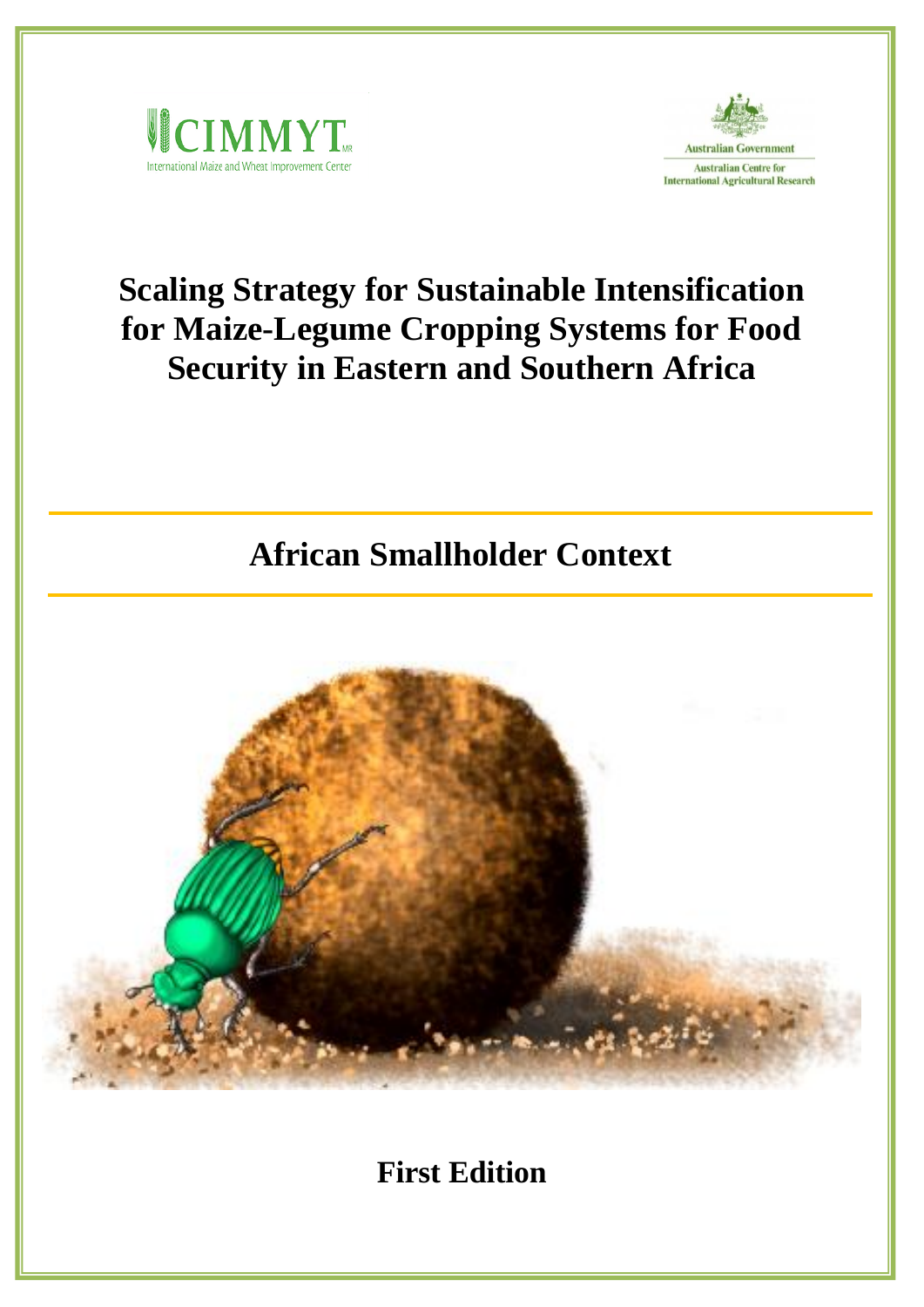



# **Scaling Strategy for Sustainable Intensification for Maize-Legume Cropping Systems for Food Security in Eastern and Southern Africa**

# **African Smallholder Context**



**First Edition**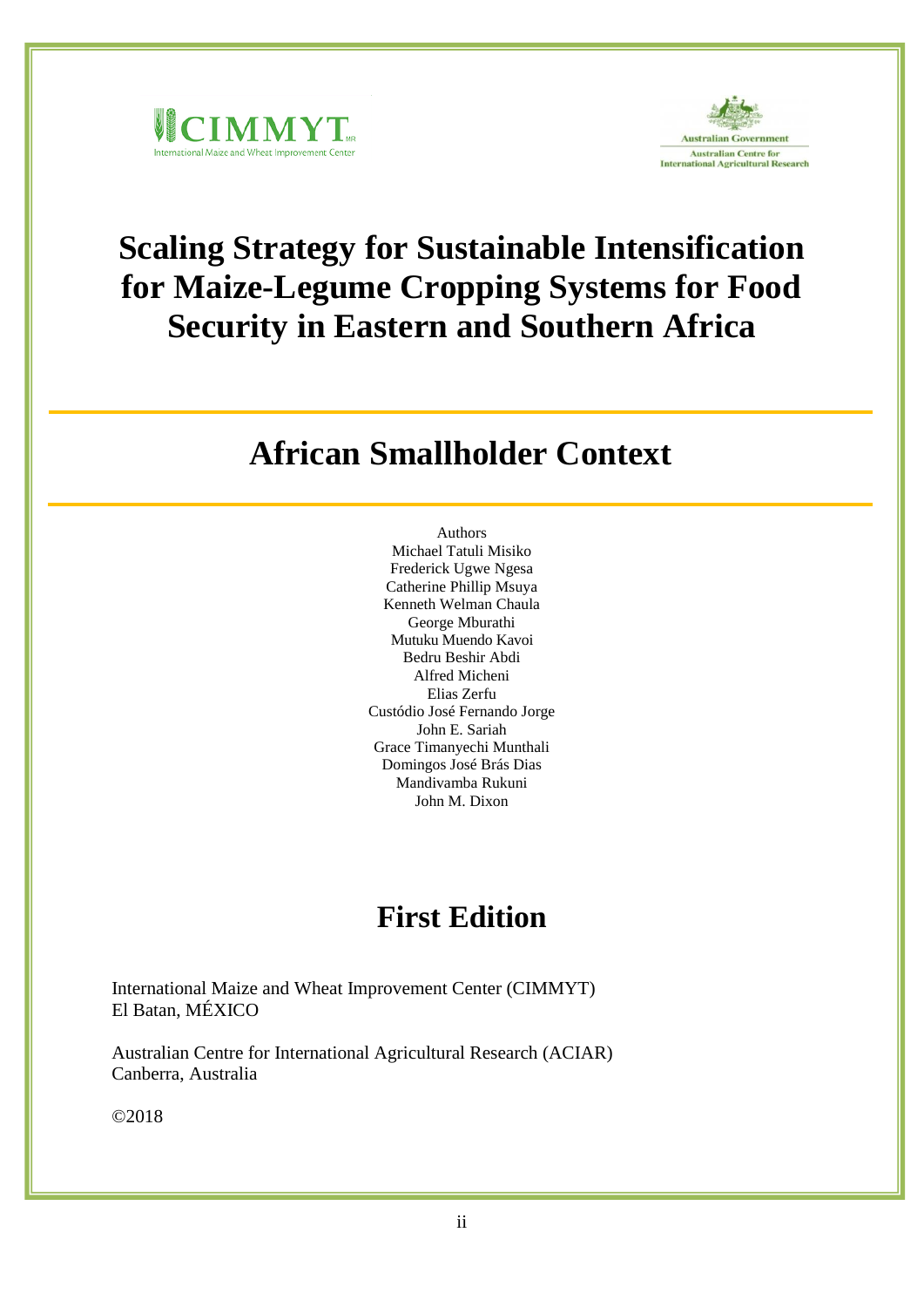



# **Scaling Strategy for Sustainable Intensification for Maize-Legume Cropping Systems for Food Security in Eastern and Southern Africa**

## **African Smallholder Context**

Authors Michael Tatuli Misiko Frederick Ugwe Ngesa Catherine Phillip Msuya Kenneth Welman Chaula George Mburathi Mutuku Muendo Kavoi Bedru Beshir Abdi Alfred Micheni Elias Zerfu Custódio José Fernando Jorge John E. Sariah Grace Timanyechi Munthali Domingos José Brás Dias Mandivamba Rukuni John M. Dixon

## **First Edition**

International Maize and Wheat Improvement Center (CIMMYT) El Batan, MÉXICO

Australian Centre for International Agricultural Research (ACIAR) Canberra, Australia

©2018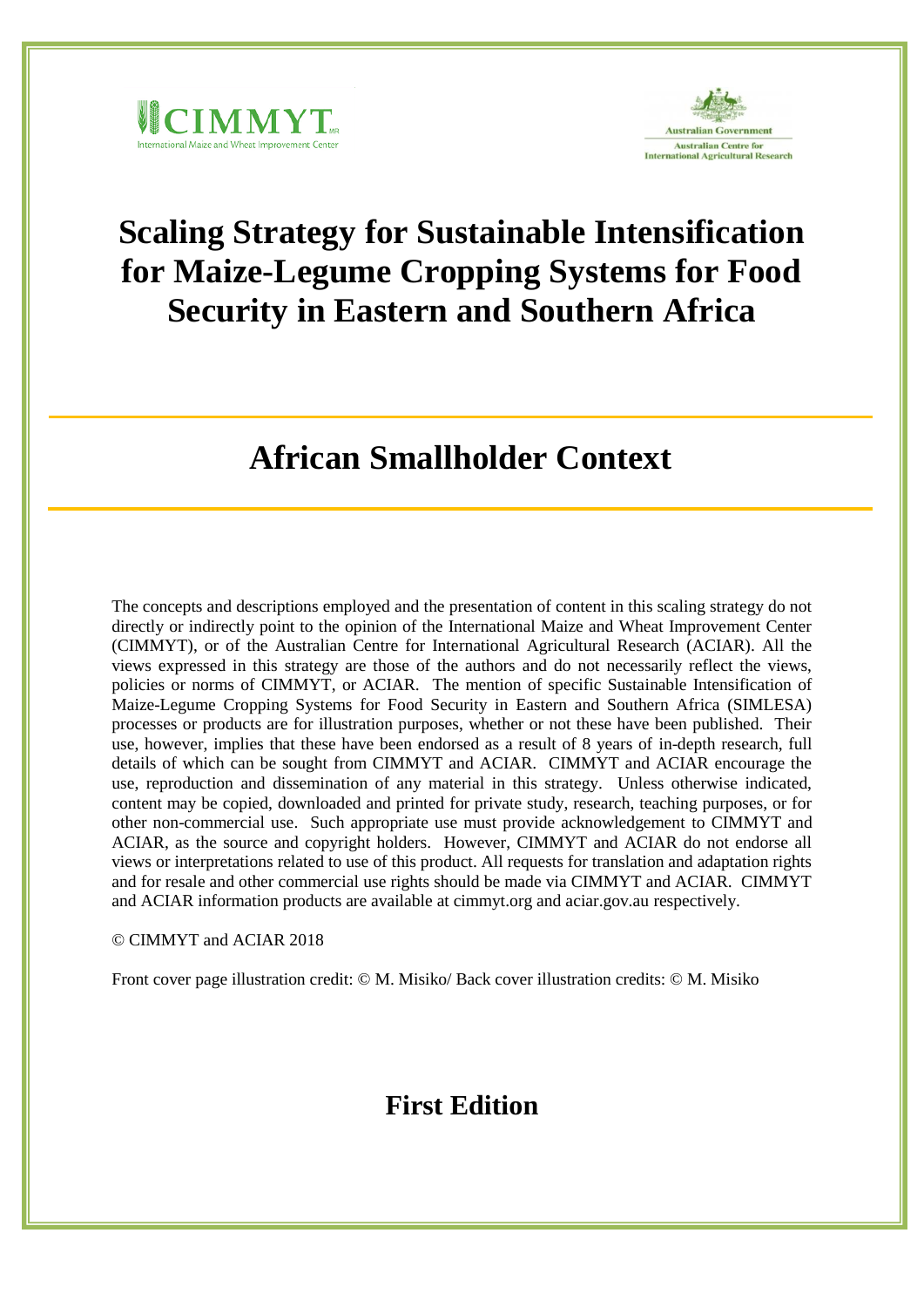



# **Scaling Strategy for Sustainable Intensification for Maize-Legume Cropping Systems for Food Security in Eastern and Southern Africa**

## **African Smallholder Context**

The concepts and descriptions employed and the presentation of content in this scaling strategy do not directly or indirectly point to the opinion of the International Maize and Wheat Improvement Center (CIMMYT), or of the Australian Centre for International Agricultural Research (ACIAR). All the views expressed in this strategy are those of the authors and do not necessarily reflect the views, policies or norms of CIMMYT, or ACIAR. The mention of specific Sustainable Intensification of Maize-Legume Cropping Systems for Food Security in Eastern and Southern Africa (SIMLESA) processes or products are for illustration purposes, whether or not these have been published. Their use, however, implies that these have been endorsed as a result of 8 years of in-depth research, full details of which can be sought from CIMMYT and ACIAR. CIMMYT and ACIAR encourage the use, reproduction and dissemination of any material in this strategy. Unless otherwise indicated, content may be copied, downloaded and printed for private study, research, teaching purposes, or for other non-commercial use. Such appropriate use must provide acknowledgement to CIMMYT and ACIAR, as the source and copyright holders. However, CIMMYT and ACIAR do not endorse all views or interpretations related to use of this product. All requests for translation and adaptation rights and for resale and other commercial use rights should be made via CIMMYT and ACIAR. CIMMYT and ACIAR information products are available at cimmyt.org and aciar.gov.au respectively.

© CIMMYT and ACIAR 2018

Front cover page illustration credit: © M. Misiko/ Back cover illustration credits: © M. Misiko

## **First Edition**

i<br>iii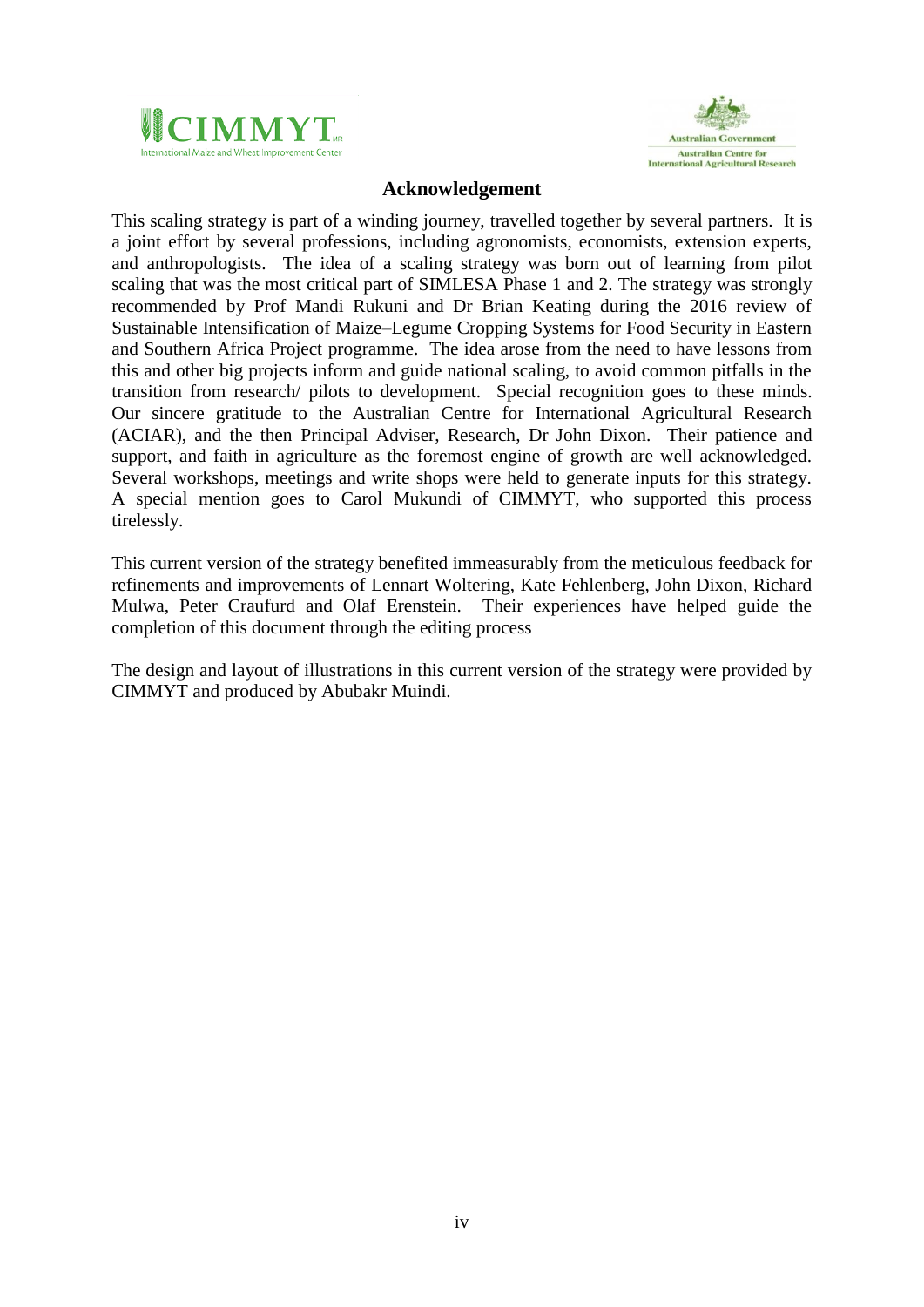



## **Acknowledgement**

<span id="page-3-0"></span>This scaling strategy is part of a winding journey, travelled together by several partners. It is a joint effort by several professions, including agronomists, economists, extension experts, and anthropologists. The idea of a scaling strategy was born out of learning from pilot scaling that was the most critical part of SIMLESA Phase 1 and 2. The strategy was strongly recommended by Prof Mandi Rukuni and Dr Brian Keating during the 2016 review of Sustainable Intensification of Maize–Legume Cropping Systems for Food Security in Eastern and Southern Africa Project programme. The idea arose from the need to have lessons from this and other big projects inform and guide national scaling, to avoid common pitfalls in the transition from research/ pilots to development. Special recognition goes to these minds. Our sincere gratitude to the Australian Centre for International Agricultural Research (ACIAR), and the then Principal Adviser, Research, Dr John Dixon. Their patience and support, and faith in agriculture as the foremost engine of growth are well acknowledged. Several workshops, meetings and write shops were held to generate inputs for this strategy. A special mention goes to Carol Mukundi of CIMMYT, who supported this process tirelessly.

This current version of the strategy benefited immeasurably from the meticulous feedback for refinements and improvements of Lennart Woltering, Kate Fehlenberg, John Dixon, Richard Mulwa, Peter Craufurd and Olaf Erenstein. Their experiences have helped guide the completion of this document through the editing process

The design and layout of illustrations in this current version of the strategy were provided by CIMMYT and produced by Abubakr Muindi.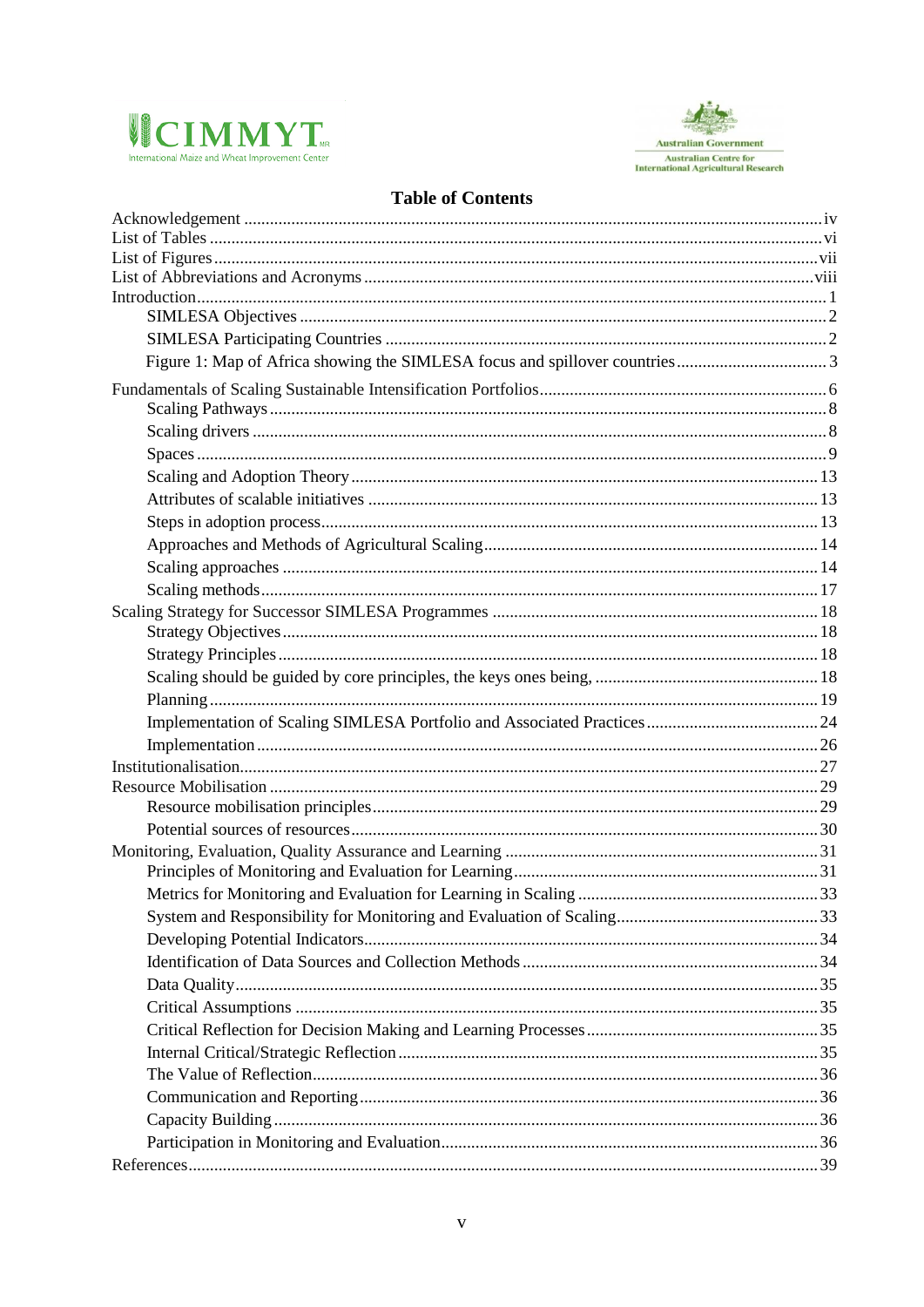



## **Table of Contents**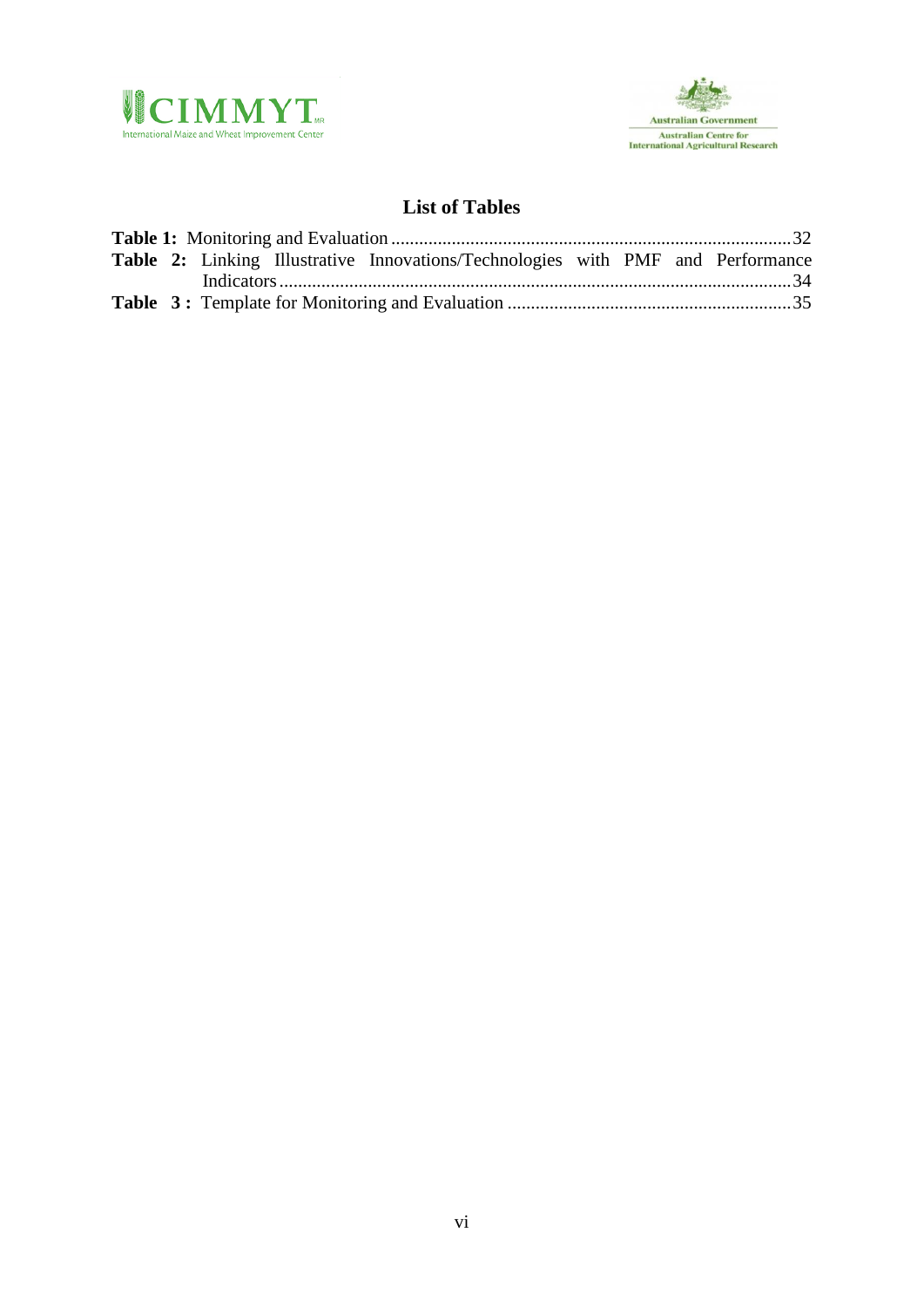



## **List of Tables**

<span id="page-5-0"></span>

|  |  | Table 2: Linking Illustrative Innovations/Technologies with PMF and Performance |  |  |
|--|--|---------------------------------------------------------------------------------|--|--|
|  |  |                                                                                 |  |  |
|  |  |                                                                                 |  |  |
|  |  |                                                                                 |  |  |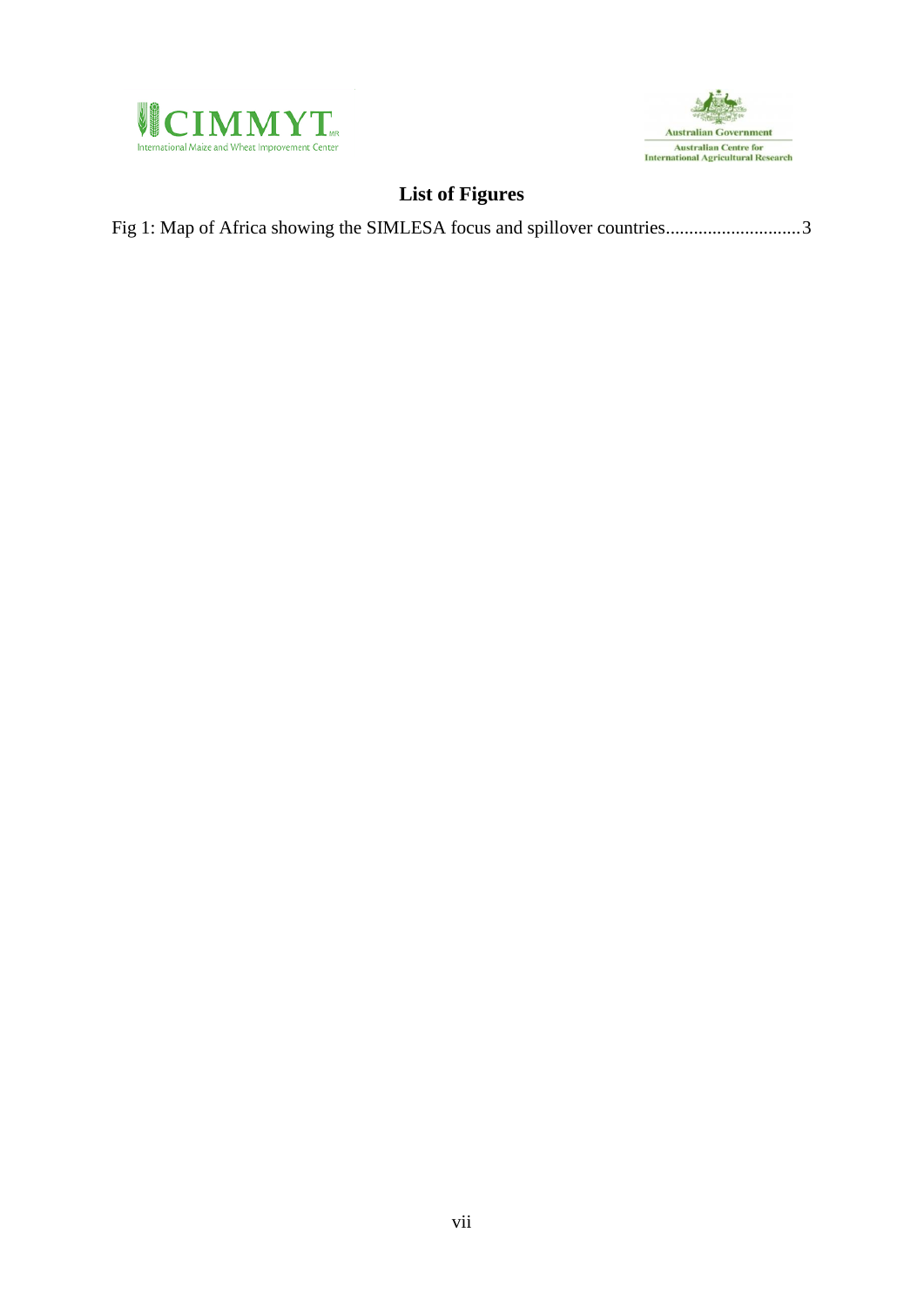



## **List of Figures**

<span id="page-6-0"></span>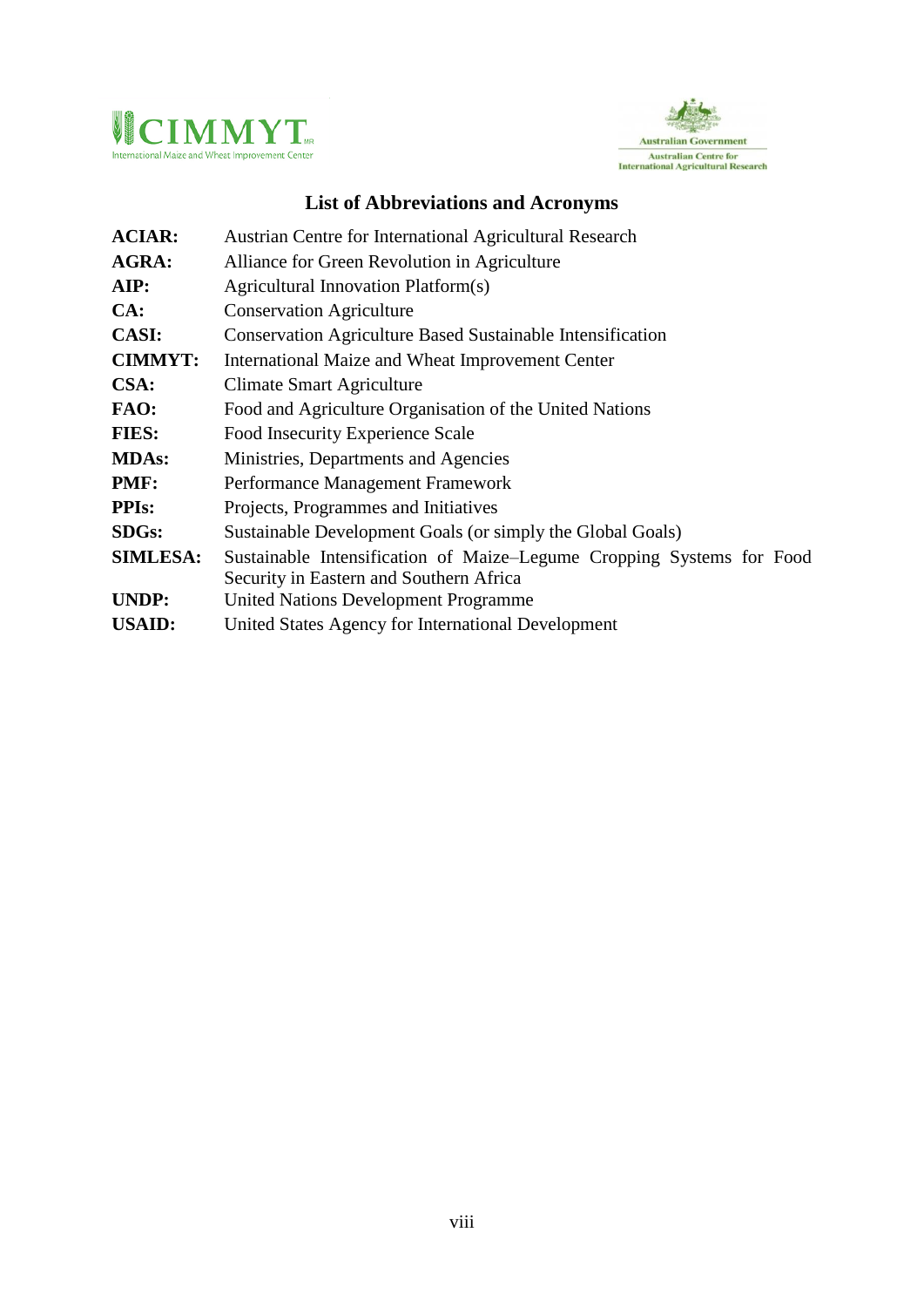



## **List of Abbreviations and Acronyms**

<span id="page-7-0"></span>

| <b>ACIAR:</b>   | Austrian Centre for International Agricultural Research               |  |  |  |
|-----------------|-----------------------------------------------------------------------|--|--|--|
| AGRA:           | Alliance for Green Revolution in Agriculture                          |  |  |  |
| AIP:            | Agricultural Innovation Platform(s)                                   |  |  |  |
| CA:             | <b>Conservation Agriculture</b>                                       |  |  |  |
| <b>CASI:</b>    | <b>Conservation Agriculture Based Sustainable Intensification</b>     |  |  |  |
| <b>CIMMYT:</b>  | International Maize and Wheat Improvement Center                      |  |  |  |
| CSA:            | <b>Climate Smart Agriculture</b>                                      |  |  |  |
| FAO:            | Food and Agriculture Organisation of the United Nations               |  |  |  |
| <b>FIES:</b>    | Food Insecurity Experience Scale                                      |  |  |  |
| <b>MDAs:</b>    | Ministries, Departments and Agencies                                  |  |  |  |
| PMF:            | Performance Management Framework                                      |  |  |  |
| <b>PPIs:</b>    | Projects, Programmes and Initiatives                                  |  |  |  |
| <b>SDGs:</b>    | Sustainable Development Goals (or simply the Global Goals)            |  |  |  |
| <b>SIMLESA:</b> | Sustainable Intensification of Maize-Legume Cropping Systems for Food |  |  |  |
|                 | Security in Eastern and Southern Africa                               |  |  |  |
| <b>UNDP:</b>    | <b>United Nations Development Programme</b>                           |  |  |  |
| <b>USAID:</b>   | United States Agency for International Development                    |  |  |  |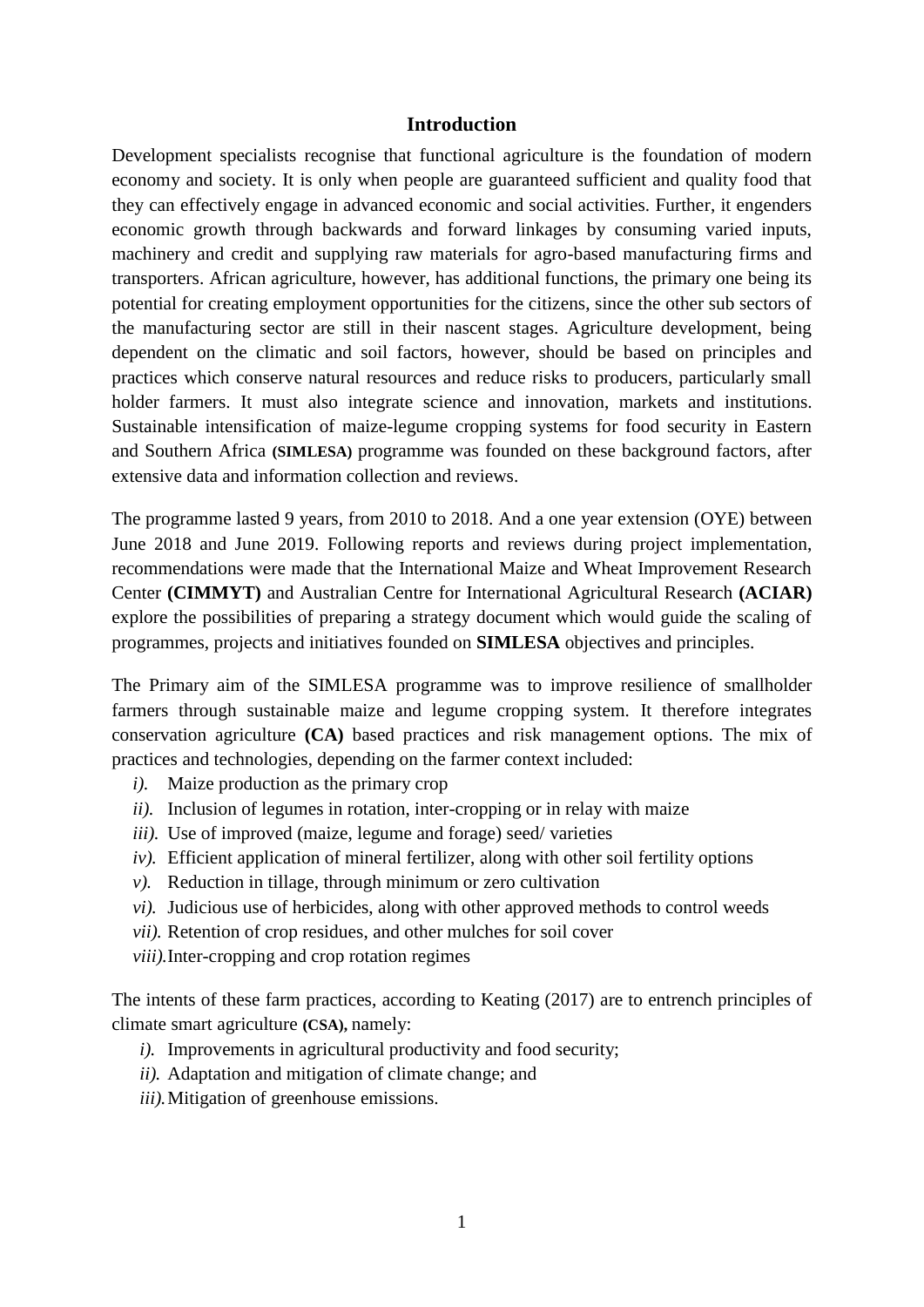#### **Introduction**

<span id="page-8-0"></span>Development specialists recognise that functional agriculture is the foundation of modern economy and society. It is only when people are guaranteed sufficient and quality food that they can effectively engage in advanced economic and social activities. Further, it engenders economic growth through backwards and forward linkages by consuming varied inputs, machinery and credit and supplying raw materials for agro-based manufacturing firms and transporters. African agriculture, however, has additional functions, the primary one being its potential for creating employment opportunities for the citizens, since the other sub sectors of the manufacturing sector are still in their nascent stages. Agriculture development, being dependent on the climatic and soil factors, however, should be based on principles and practices which conserve natural resources and reduce risks to producers, particularly small holder farmers. It must also integrate science and innovation, markets and institutions. Sustainable intensification of maize-legume cropping systems for food security in Eastern and Southern Africa **(SIMLESA)** programme was founded on these background factors, after extensive data and information collection and reviews.

The programme lasted 9 years, from 2010 to 2018. And a one year extension (OYE) between June 2018 and June 2019. Following reports and reviews during project implementation, recommendations were made that the International Maize and Wheat Improvement Research Center **(CIMMYT)** and Australian Centre for International Agricultural Research **(ACIAR)** explore the possibilities of preparing a strategy document which would guide the scaling of programmes, projects and initiatives founded on **SIMLESA** objectives and principles.

The Primary aim of the SIMLESA programme was to improve resilience of smallholder farmers through sustainable maize and legume cropping system. It therefore integrates conservation agriculture **(CA)** based practices and risk management options. The mix of practices and technologies, depending on the farmer context included:

- *i).* Maize production as the primary crop
- *ii).* Inclusion of legumes in rotation, inter-cropping or in relay with maize
- *iii*). Use of improved (maize, legume and forage) seed/ varieties
- *iv).* Efficient application of mineral fertilizer, along with other soil fertility options
- *v).* Reduction in tillage, through minimum or zero cultivation
- *vi).* Judicious use of herbicides, along with other approved methods to control weeds
- *vii).* Retention of crop residues, and other mulches for soil cover
- *viii).*Inter-cropping and crop rotation regimes

The intents of these farm practices, according to Keating (2017) are to entrench principles of climate smart agriculture **(CSA),** namely:

- *i).* Improvements in agricultural productivity and food security;
- *ii).* Adaptation and mitigation of climate change; and
- *iii).*Mitigation of greenhouse emissions.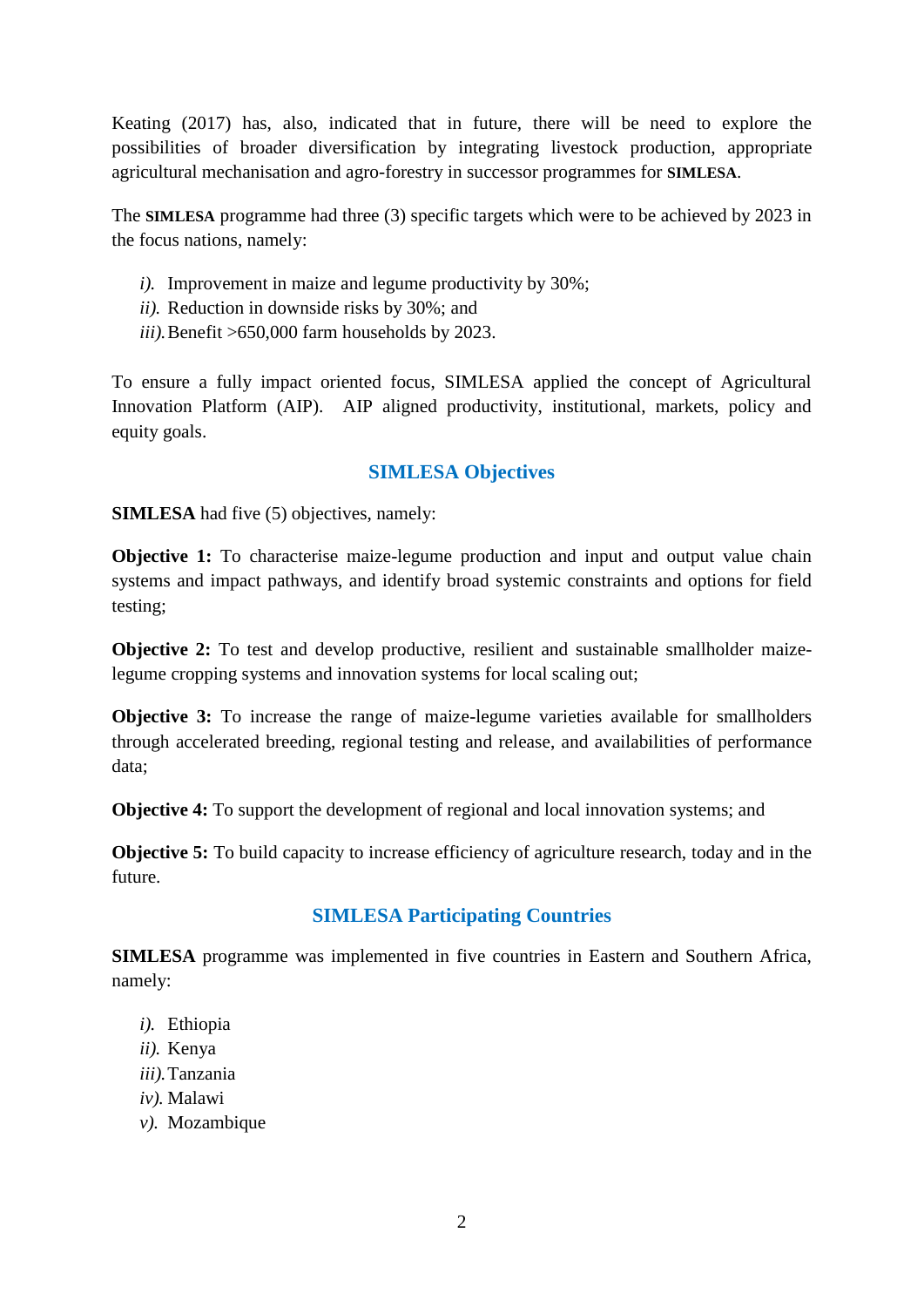Keating (2017) has, also, indicated that in future, there will be need to explore the possibilities of broader diversification by integrating livestock production, appropriate agricultural mechanisation and agro-forestry in successor programmes for **SIMLESA**.

The **SIMLESA** programme had three (3) specific targets which were to be achieved by 2023 in the focus nations, namely:

- *i).* Improvement in maize and legume productivity by 30%;
- *ii).* Reduction in downside risks by 30%; and
- *iii).*Benefit >650,000 farm households by 2023.

To ensure a fully impact oriented focus, SIMLESA applied the concept of Agricultural Innovation Platform (AIP). AIP aligned productivity, institutional, markets, policy and equity goals.

## **SIMLESA Objectives**

<span id="page-9-0"></span>**SIMLESA** had five (5) objectives, namely:

**Objective 1:** To characterise maize-legume production and input and output value chain systems and impact pathways, and identify broad systemic constraints and options for field testing;

**Objective 2:** To test and develop productive, resilient and sustainable smallholder maizelegume cropping systems and innovation systems for local scaling out;

**Objective 3:** To increase the range of maize-legume varieties available for smallholders through accelerated breeding, regional testing and release, and availabilities of performance data;

**Objective 4:** To support the development of regional and local innovation systems; and

<span id="page-9-1"></span>**Objective 5:** To build capacity to increase efficiency of agriculture research, today and in the future.

## **SIMLESA Participating Countries**

**SIMLESA** programme was implemented in five countries in Eastern and Southern Africa, namely:

- *i).* Ethiopia
- *ii).* Kenya
- *iii).*Tanzania
- *iv).* Malawi
- *v).* Mozambique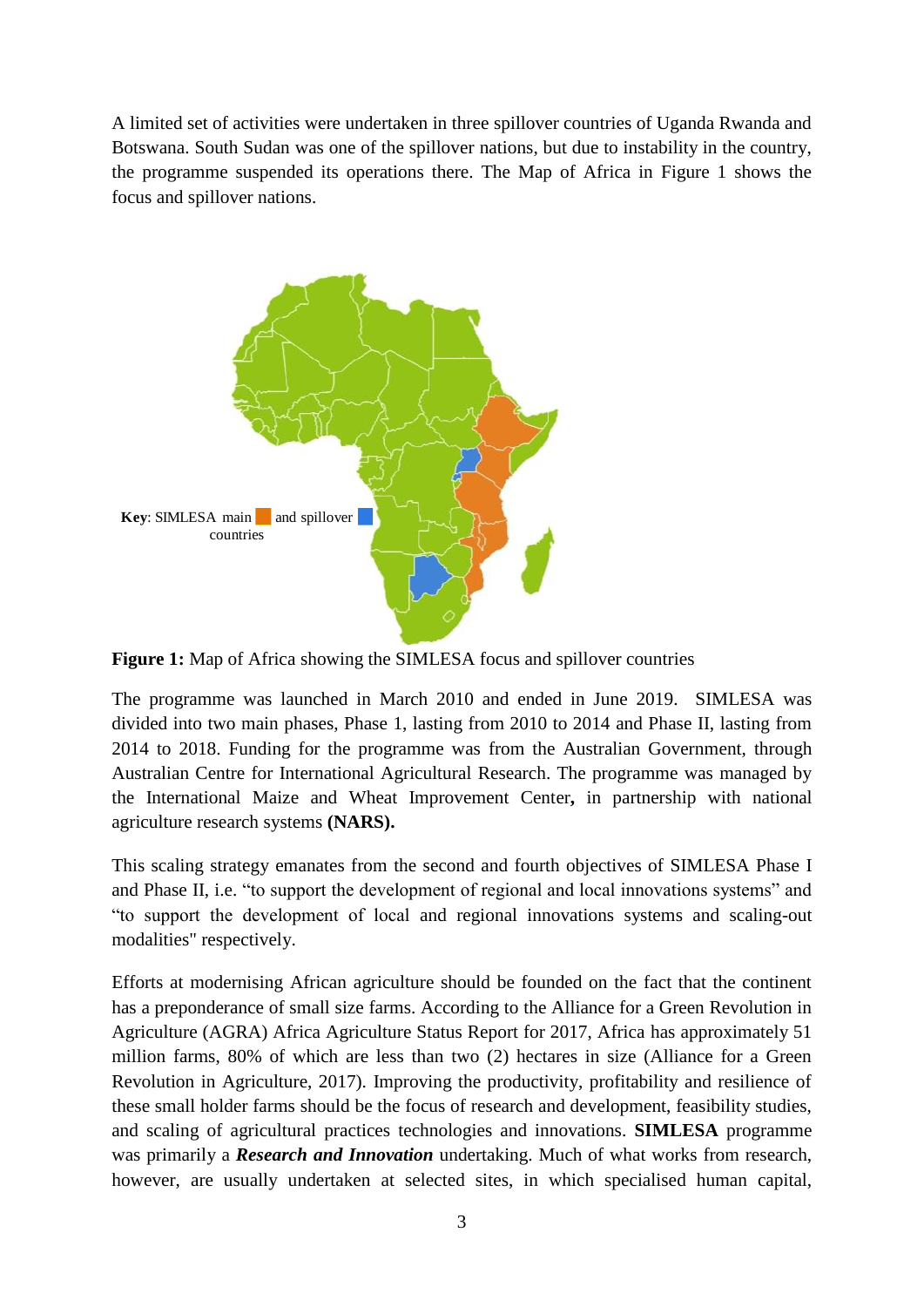A limited set of activities were undertaken in three spillover countries of Uganda Rwanda and Botswana. South Sudan was one of the spillover nations, but due to instability in the country, the programme suspended its operations there. The Map of Africa in Figure 1 shows the focus and spillover nations.



<span id="page-10-0"></span>**Figure 1:** Map of Africa showing the SIMLESA focus and spillover countries

The programme was launched in March 2010 and ended in June 2019. SIMLESA was divided into two main phases, Phase 1, lasting from 2010 to 2014 and Phase II, lasting from 2014 to 2018. Funding for the programme was from the Australian Government, through Australian Centre for International Agricultural Research. The programme was managed by the International Maize and Wheat Improvement Center**,** in partnership with national agriculture research systems **(NARS).**

This scaling strategy emanates from the second and fourth objectives of SIMLESA Phase I and Phase II, i.e. "to support the development of regional and local innovations systems" and "to support the development of local and regional innovations systems and scaling-out modalities" respectively.

Efforts at modernising African agriculture should be founded on the fact that the continent has a preponderance of small size farms. According to the Alliance for a Green Revolution in Agriculture (AGRA) Africa Agriculture Status Report for 2017, Africa has approximately 51 million farms, 80% of which are less than two (2) hectares in size (Alliance for a Green Revolution in Agriculture, 2017). Improving the productivity, profitability and resilience of these small holder farms should be the focus of research and development, feasibility studies, and scaling of agricultural practices technologies and innovations. **SIMLESA** programme was primarily a *Research and Innovation* undertaking. Much of what works from research, however, are usually undertaken at selected sites, in which specialised human capital,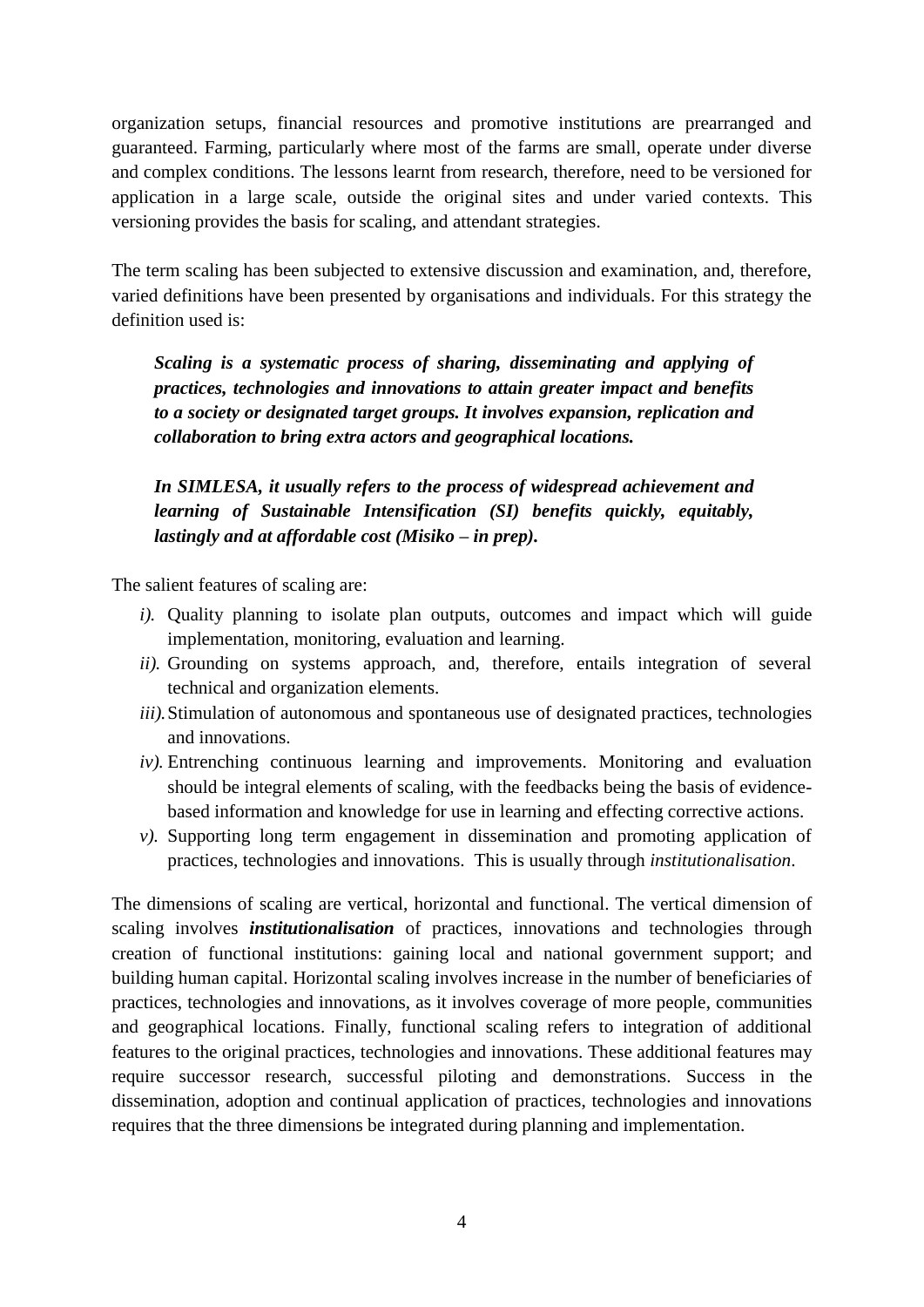organization setups, financial resources and promotive institutions are prearranged and guaranteed. Farming, particularly where most of the farms are small, operate under diverse and complex conditions. The lessons learnt from research, therefore, need to be versioned for application in a large scale, outside the original sites and under varied contexts. This versioning provides the basis for scaling, and attendant strategies.

The term scaling has been subjected to extensive discussion and examination, and, therefore, varied definitions have been presented by organisations and individuals. For this strategy the definition used is:

*Scaling is a systematic process of sharing, disseminating and applying of practices, technologies and innovations to attain greater impact and benefits to a society or designated target groups. It involves expansion, replication and collaboration to bring extra actors and geographical locations.*

*In SIMLESA, it usually refers to the process of widespread achievement and learning of Sustainable Intensification (SI) benefits quickly, equitably, lastingly and at affordable cost (Misiko – in prep).*

The salient features of scaling are:

- *i).* Quality planning to isolate plan outputs, outcomes and impact which will guide implementation, monitoring, evaluation and learning.
- *ii).* Grounding on systems approach, and, therefore, entails integration of several technical and organization elements.
- *iii*). Stimulation of autonomous and spontaneous use of designated practices, technologies and innovations.
- *iv).* Entrenching continuous learning and improvements. Monitoring and evaluation should be integral elements of scaling, with the feedbacks being the basis of evidencebased information and knowledge for use in learning and effecting corrective actions.
- *v).* Supporting long term engagement in dissemination and promoting application of practices, technologies and innovations. This is usually through *institutionalisation*.

The dimensions of scaling are vertical, horizontal and functional. The vertical dimension of scaling involves *institutionalisation* of practices, innovations and technologies through creation of functional institutions: gaining local and national government support; and building human capital. Horizontal scaling involves increase in the number of beneficiaries of practices, technologies and innovations, as it involves coverage of more people, communities and geographical locations. Finally, functional scaling refers to integration of additional features to the original practices, technologies and innovations. These additional features may require successor research, successful piloting and demonstrations. Success in the dissemination, adoption and continual application of practices, technologies and innovations requires that the three dimensions be integrated during planning and implementation.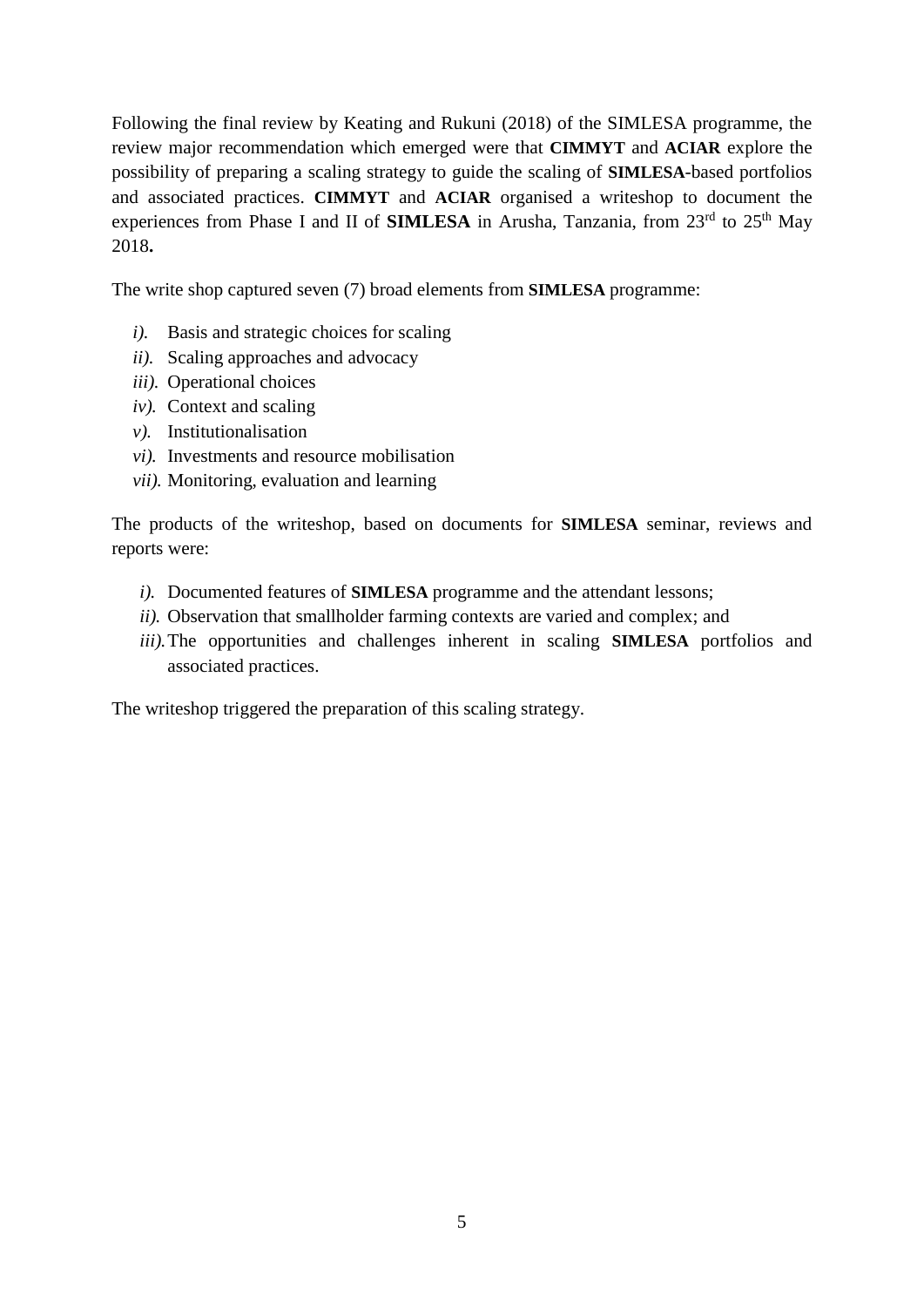Following the final review by Keating and Rukuni (2018) of the SIMLESA programme, the review major recommendation which emerged were that **CIMMYT** and **ACIAR** explore the possibility of preparing a scaling strategy to guide the scaling of **SIMLESA**-based portfolios and associated practices. **CIMMYT** and **ACIAR** organised a writeshop to document the experiences from Phase I and II of **SIMLESA** in Arusha, Tanzania, from  $23<sup>rd</sup>$  to  $25<sup>th</sup>$  May 2018**.**

The write shop captured seven (7) broad elements from **SIMLESA** programme:

- *i).* Basis and strategic choices for scaling
- *ii).* Scaling approaches and advocacy
- *iii).* Operational choices
- *iv).* Context and scaling
- *v).* Institutionalisation
- *vi).* Investments and resource mobilisation
- *vii).* Monitoring, evaluation and learning

The products of the writeshop, based on documents for **SIMLESA** seminar, reviews and reports were:

- *i).* Documented features of **SIMLESA** programme and the attendant lessons;
- *ii).* Observation that smallholder farming contexts are varied and complex; and
- *iii).*The opportunities and challenges inherent in scaling **SIMLESA** portfolios and associated practices.

The writeshop triggered the preparation of this scaling strategy.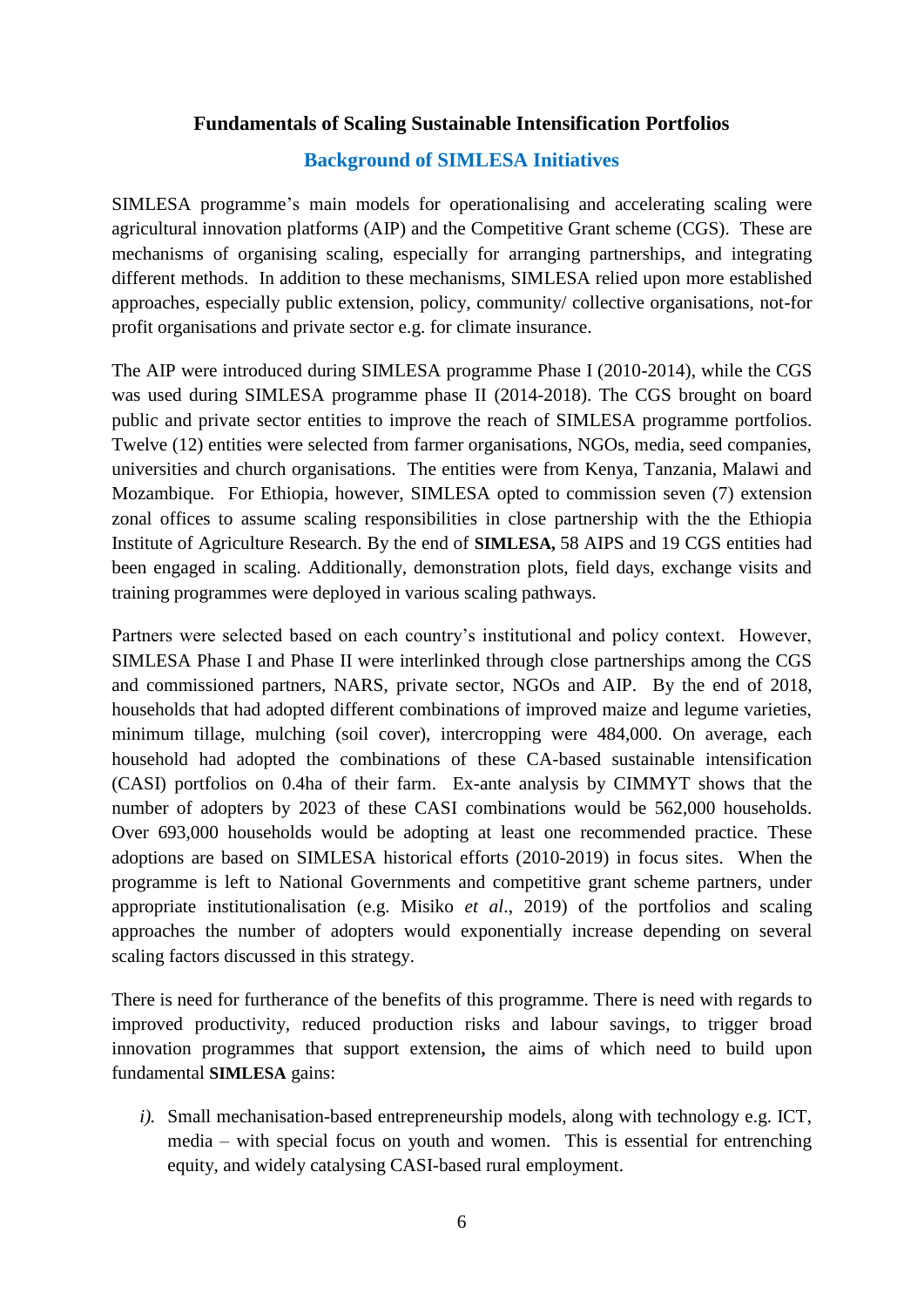## **Fundamentals of Scaling Sustainable Intensification Portfolios**

## **Background of SIMLESA Initiatives**

<span id="page-13-0"></span>SIMLESA programme's main models for operationalising and accelerating scaling were agricultural innovation platforms (AIP) and the Competitive Grant scheme (CGS). These are mechanisms of organising scaling, especially for arranging partnerships, and integrating different methods. In addition to these mechanisms, SIMLESA relied upon more established approaches, especially public extension, policy, community/ collective organisations, not-for profit organisations and private sector e.g. for climate insurance.

The AIP were introduced during SIMLESA programme Phase I (2010-2014), while the CGS was used during SIMLESA programme phase II (2014-2018). The CGS brought on board public and private sector entities to improve the reach of SIMLESA programme portfolios. Twelve (12) entities were selected from farmer organisations, NGOs, media, seed companies, universities and church organisations. The entities were from Kenya, Tanzania, Malawi and Mozambique. For Ethiopia, however, SIMLESA opted to commission seven (7) extension zonal offices to assume scaling responsibilities in close partnership with the the Ethiopia Institute of Agriculture Research. By the end of **SIMLESA,** 58 AIPS and 19 CGS entities had been engaged in scaling. Additionally, demonstration plots, field days, exchange visits and training programmes were deployed in various scaling pathways.

Partners were selected based on each country's institutional and policy context. However, SIMLESA Phase I and Phase II were interlinked through close partnerships among the CGS and commissioned partners, NARS, private sector, NGOs and AIP. By the end of 2018, households that had adopted different combinations of improved maize and legume varieties, minimum tillage, mulching (soil cover), intercropping were 484,000. On average, each household had adopted the combinations of these CA-based sustainable intensification (CASI) portfolios on 0.4ha of their farm. Ex-ante analysis by CIMMYT shows that the number of adopters by 2023 of these CASI combinations would be 562,000 households. Over 693,000 households would be adopting at least one recommended practice. These adoptions are based on SIMLESA historical efforts (2010-2019) in focus sites. When the programme is left to National Governments and competitive grant scheme partners, under appropriate institutionalisation (e.g. Misiko *et al*., 2019) of the portfolios and scaling approaches the number of adopters would exponentially increase depending on several scaling factors discussed in this strategy.

There is need for furtherance of the benefits of this programme. There is need with regards to improved productivity, reduced production risks and labour savings, to trigger broad innovation programmes that support extension**,** the aims of which need to build upon fundamental **SIMLESA** gains:

*i).* Small mechanisation-based entrepreneurship models, along with technology e.g. ICT, media – with special focus on youth and women. This is essential for entrenching equity, and widely catalysing CASI-based rural employment.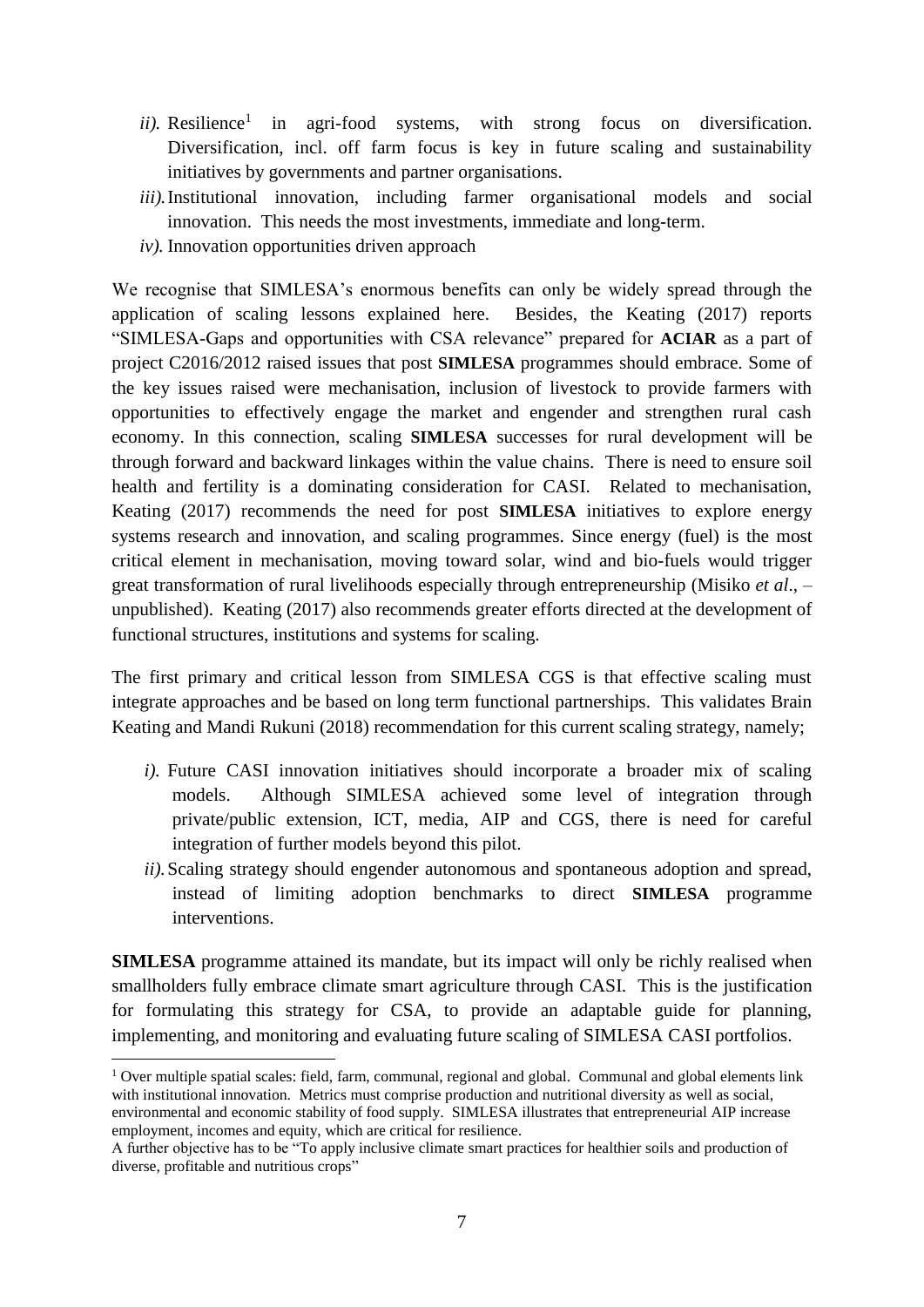- $ii)$ . Resilience<sup>1</sup> in agri-food systems, with strong focus on diversification. Diversification, incl. off farm focus is key in future scaling and sustainability initiatives by governments and partner organisations.
- *iii).*Institutional innovation, including farmer organisational models and social innovation. This needs the most investments, immediate and long-term.
- *iv).* Innovation opportunities driven approach

We recognise that SIMLESA's enormous benefits can only be widely spread through the application of scaling lessons explained here. Besides, the Keating (2017) reports "SIMLESA-Gaps and opportunities with CSA relevance" prepared for **ACIAR** as a part of project C2016/2012 raised issues that post **SIMLESA** programmes should embrace. Some of the key issues raised were mechanisation, inclusion of livestock to provide farmers with opportunities to effectively engage the market and engender and strengthen rural cash economy. In this connection, scaling **SIMLESA** successes for rural development will be through forward and backward linkages within the value chains. There is need to ensure soil health and fertility is a dominating consideration for CASI. Related to mechanisation, Keating (2017) recommends the need for post **SIMLESA** initiatives to explore energy systems research and innovation, and scaling programmes. Since energy (fuel) is the most critical element in mechanisation, moving toward solar, wind and bio-fuels would trigger great transformation of rural livelihoods especially through entrepreneurship (Misiko *et al*., – unpublished). Keating (2017) also recommends greater efforts directed at the development of functional structures, institutions and systems for scaling.

The first primary and critical lesson from SIMLESA CGS is that effective scaling must integrate approaches and be based on long term functional partnerships. This validates Brain Keating and Mandi Rukuni (2018) recommendation for this current scaling strategy, namely;

- *i*). Future CASI innovation initiatives should incorporate a broader mix of scaling models. Although SIMLESA achieved some level of integration through private/public extension, ICT, media, AIP and CGS, there is need for careful integration of further models beyond this pilot.
- *ii).*Scaling strategy should engender autonomous and spontaneous adoption and spread, instead of limiting adoption benchmarks to direct **SIMLESA** programme interventions.

**SIMLESA** programme attained its mandate, but its impact will only be richly realised when smallholders fully embrace climate smart agriculture through CASI. This is the justification for formulating this strategy for CSA, to provide an adaptable guide for planning, implementing, and monitoring and evaluating future scaling of SIMLESA CASI portfolios.

**.** 

<sup>&</sup>lt;sup>1</sup> Over multiple spatial scales: field, farm, communal, regional and global. Communal and global elements link with institutional innovation. Metrics must comprise production and nutritional diversity as well as social, environmental and economic stability of food supply. SIMLESA illustrates that entrepreneurial AIP increase employment, incomes and equity, which are critical for resilience.

A further objective has to be "To apply inclusive climate smart practices for healthier soils and production of diverse, profitable and nutritious crops"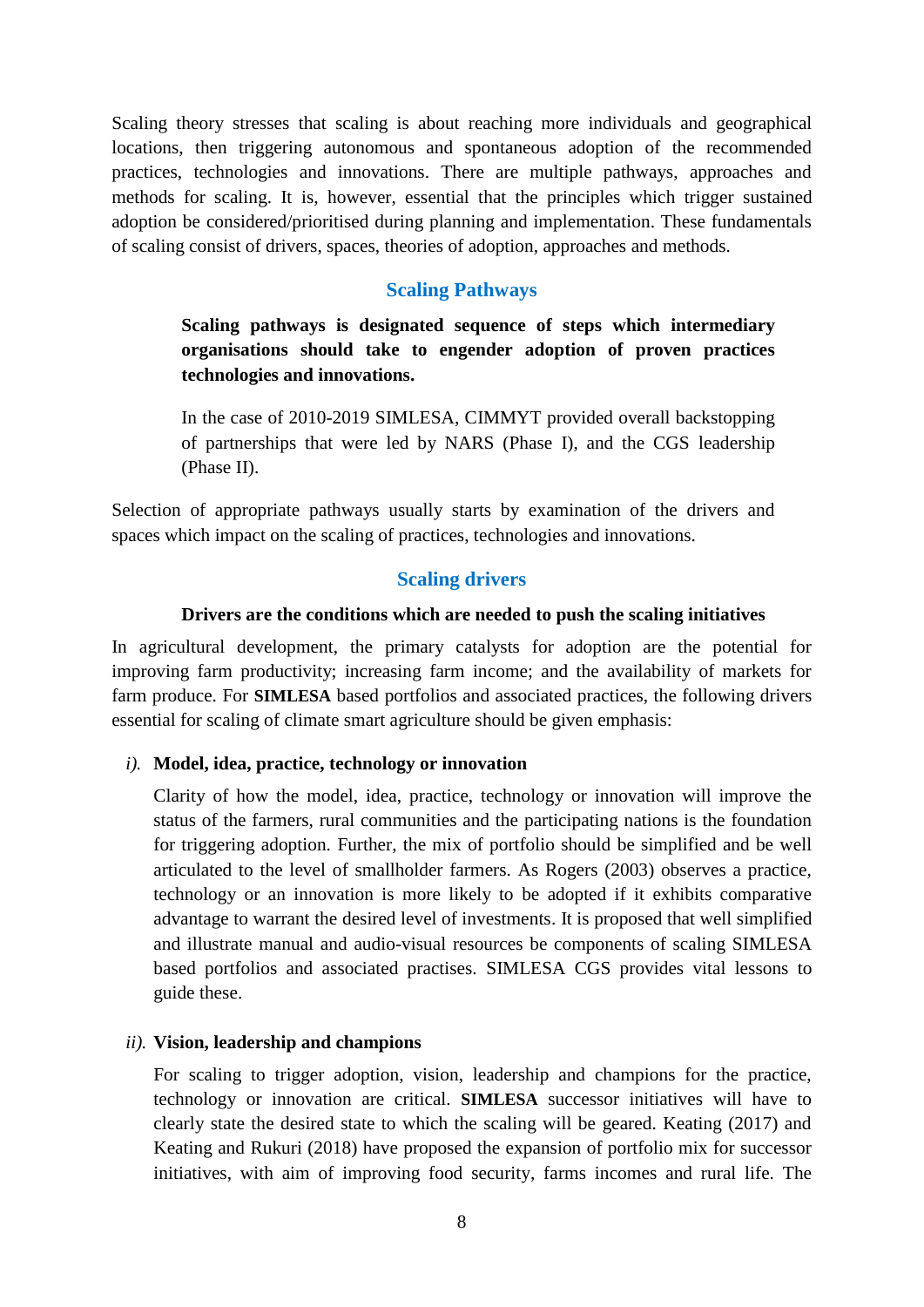Scaling theory stresses that scaling is about reaching more individuals and geographical locations, then triggering autonomous and spontaneous adoption of the recommended practices, technologies and innovations. There are multiple pathways, approaches and methods for scaling. It is, however, essential that the principles which trigger sustained adoption be considered/prioritised during planning and implementation. These fundamentals of scaling consist of drivers, spaces, theories of adoption, approaches and methods.

#### **Scaling Pathways**

<span id="page-15-0"></span>**Scaling pathways is designated sequence of steps which intermediary organisations should take to engender adoption of proven practices technologies and innovations.**

In the case of 2010-2019 SIMLESA, CIMMYT provided overall backstopping of partnerships that were led by NARS (Phase I), and the CGS leadership (Phase II).

<span id="page-15-1"></span>Selection of appropriate pathways usually starts by examination of the drivers and spaces which impact on the scaling of practices, technologies and innovations.

#### **Scaling drivers**

#### **Drivers are the conditions which are needed to push the scaling initiatives**

In agricultural development, the primary catalysts for adoption are the potential for improving farm productivity; increasing farm income; and the availability of markets for farm produce. For **SIMLESA** based portfolios and associated practices, the following drivers essential for scaling of climate smart agriculture should be given emphasis:

#### *i).* **Model, idea, practice, technology or innovation**

Clarity of how the model, idea, practice, technology or innovation will improve the status of the farmers, rural communities and the participating nations is the foundation for triggering adoption. Further, the mix of portfolio should be simplified and be well articulated to the level of smallholder farmers. As Rogers (2003) observes a practice, technology or an innovation is more likely to be adopted if it exhibits comparative advantage to warrant the desired level of investments. It is proposed that well simplified and illustrate manual and audio-visual resources be components of scaling SIMLESA based portfolios and associated practises. SIMLESA CGS provides vital lessons to guide these.

#### *ii).* **Vision, leadership and champions**

For scaling to trigger adoption, vision, leadership and champions for the practice, technology or innovation are critical. **SIMLESA** successor initiatives will have to clearly state the desired state to which the scaling will be geared. Keating (2017) and Keating and Rukuri (2018) have proposed the expansion of portfolio mix for successor initiatives, with aim of improving food security, farms incomes and rural life. The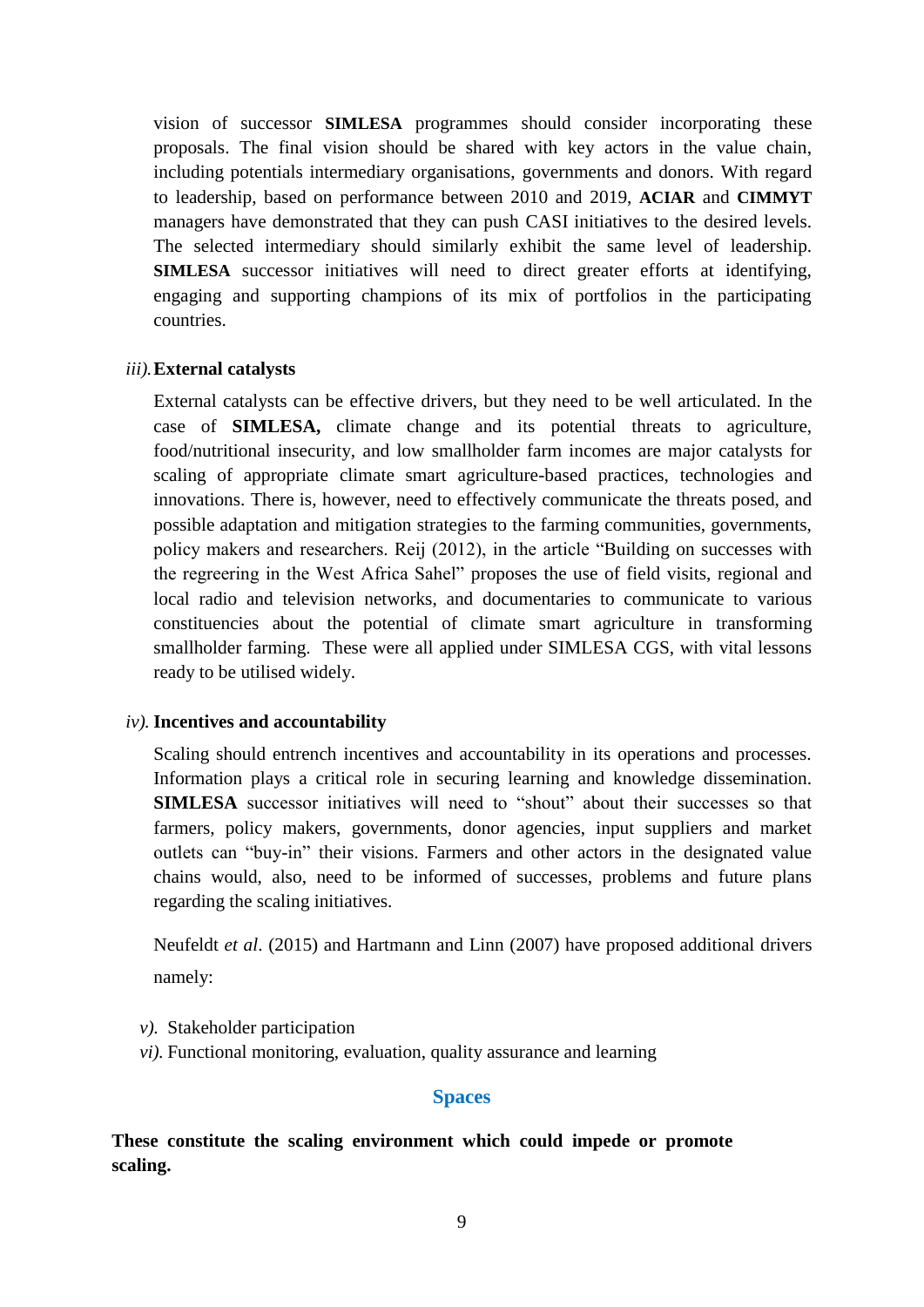vision of successor **SIMLESA** programmes should consider incorporating these proposals. The final vision should be shared with key actors in the value chain, including potentials intermediary organisations, governments and donors. With regard to leadership, based on performance between 2010 and 2019, **ACIAR** and **CIMMYT** managers have demonstrated that they can push CASI initiatives to the desired levels. The selected intermediary should similarly exhibit the same level of leadership. **SIMLESA** successor initiatives will need to direct greater efforts at identifying, engaging and supporting champions of its mix of portfolios in the participating countries.

#### *iii).***External catalysts**

External catalysts can be effective drivers, but they need to be well articulated. In the case of **SIMLESA,** climate change and its potential threats to agriculture, food/nutritional insecurity, and low smallholder farm incomes are major catalysts for scaling of appropriate climate smart agriculture-based practices, technologies and innovations. There is, however, need to effectively communicate the threats posed, and possible adaptation and mitigation strategies to the farming communities, governments, policy makers and researchers. Reij (2012), in the article "Building on successes with the regreering in the West Africa Sahel" proposes the use of field visits, regional and local radio and television networks, and documentaries to communicate to various constituencies about the potential of climate smart agriculture in transforming smallholder farming. These were all applied under SIMLESA CGS, with vital lessons ready to be utilised widely.

#### *iv).* **Incentives and accountability**

Scaling should entrench incentives and accountability in its operations and processes. Information plays a critical role in securing learning and knowledge dissemination. **SIMLESA** successor initiatives will need to "shout" about their successes so that farmers, policy makers, governments, donor agencies, input suppliers and market outlets can "buy-in" their visions. Farmers and other actors in the designated value chains would, also, need to be informed of successes, problems and future plans regarding the scaling initiatives.

Neufeldt *et al*. (2015) and Hartmann and Linn (2007) have proposed additional drivers namely:

- *v).* Stakeholder participation
- *vi).* Functional monitoring, evaluation, quality assurance and learning

#### **Spaces**

<span id="page-16-0"></span>**These constitute the scaling environment which could impede or promote scaling.**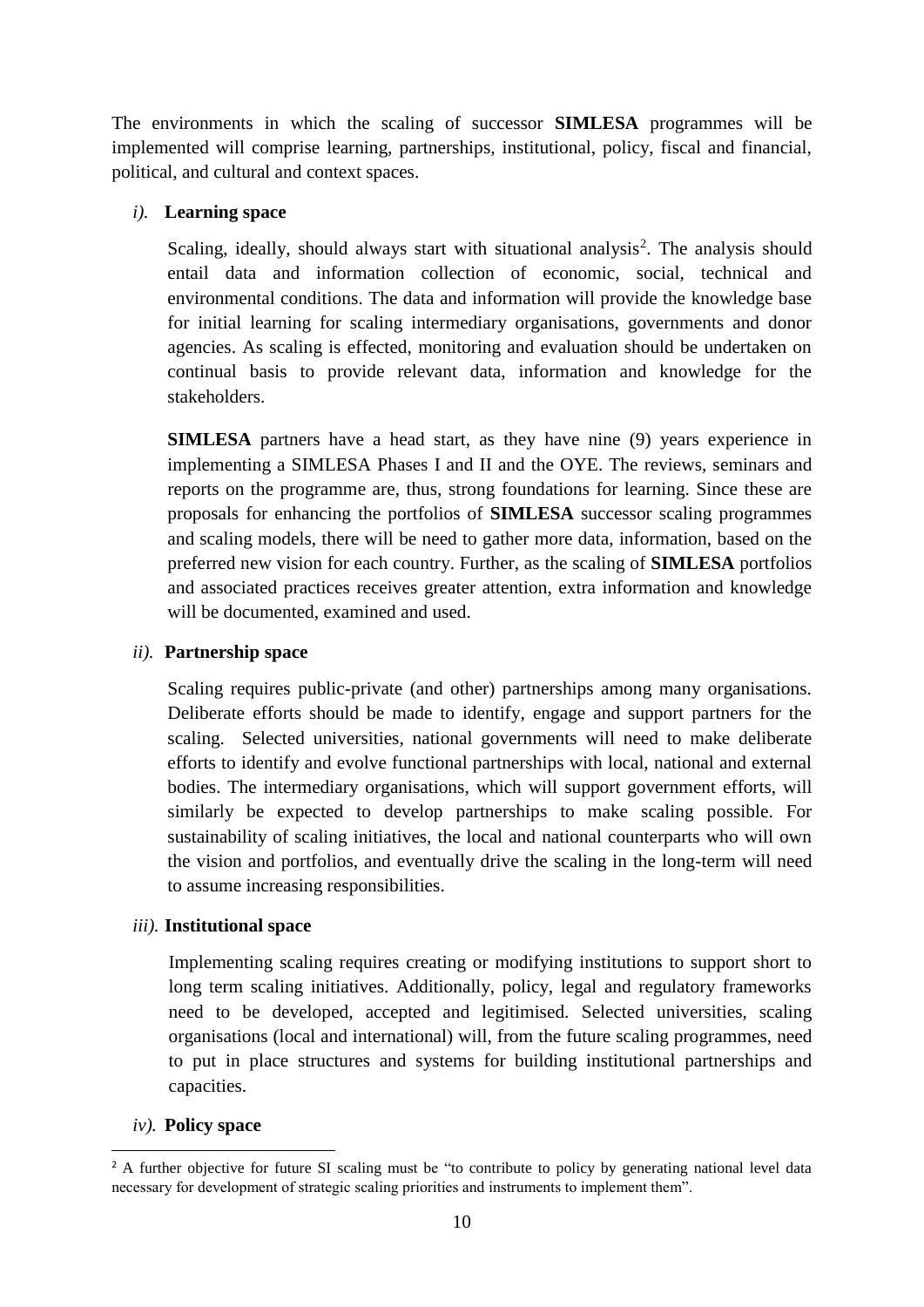The environments in which the scaling of successor **SIMLESA** programmes will be implemented will comprise learning, partnerships, institutional, policy, fiscal and financial, political, and cultural and context spaces.

#### *i).* **Learning space**

Scaling, ideally, should always start with situational analysis<sup>2</sup>. The analysis should entail data and information collection of economic, social, technical and environmental conditions. The data and information will provide the knowledge base for initial learning for scaling intermediary organisations, governments and donor agencies. As scaling is effected, monitoring and evaluation should be undertaken on continual basis to provide relevant data, information and knowledge for the stakeholders.

**SIMLESA** partners have a head start, as they have nine (9) years experience in implementing a SIMLESA Phases I and II and the OYE. The reviews, seminars and reports on the programme are, thus, strong foundations for learning. Since these are proposals for enhancing the portfolios of **SIMLESA** successor scaling programmes and scaling models, there will be need to gather more data, information, based on the preferred new vision for each country. Further, as the scaling of **SIMLESA** portfolios and associated practices receives greater attention, extra information and knowledge will be documented, examined and used.

#### *ii).* **Partnership space**

Scaling requires public-private (and other) partnerships among many organisations. Deliberate efforts should be made to identify, engage and support partners for the scaling. Selected universities, national governments will need to make deliberate efforts to identify and evolve functional partnerships with local, national and external bodies. The intermediary organisations, which will support government efforts, will similarly be expected to develop partnerships to make scaling possible. For sustainability of scaling initiatives, the local and national counterparts who will own the vision and portfolios, and eventually drive the scaling in the long-term will need to assume increasing responsibilities.

#### *iii).* **Institutional space**

Implementing scaling requires creating or modifying institutions to support short to long term scaling initiatives. Additionally, policy, legal and regulatory frameworks need to be developed, accepted and legitimised. Selected universities, scaling organisations (local and international) will, from the future scaling programmes, need to put in place structures and systems for building institutional partnerships and capacities.

#### *iv).* **Policy space**

**<sup>.</sup>** <sup>2</sup> A further objective for future SI scaling must be "to contribute to policy by generating national level data necessary for development of strategic scaling priorities and instruments to implement them".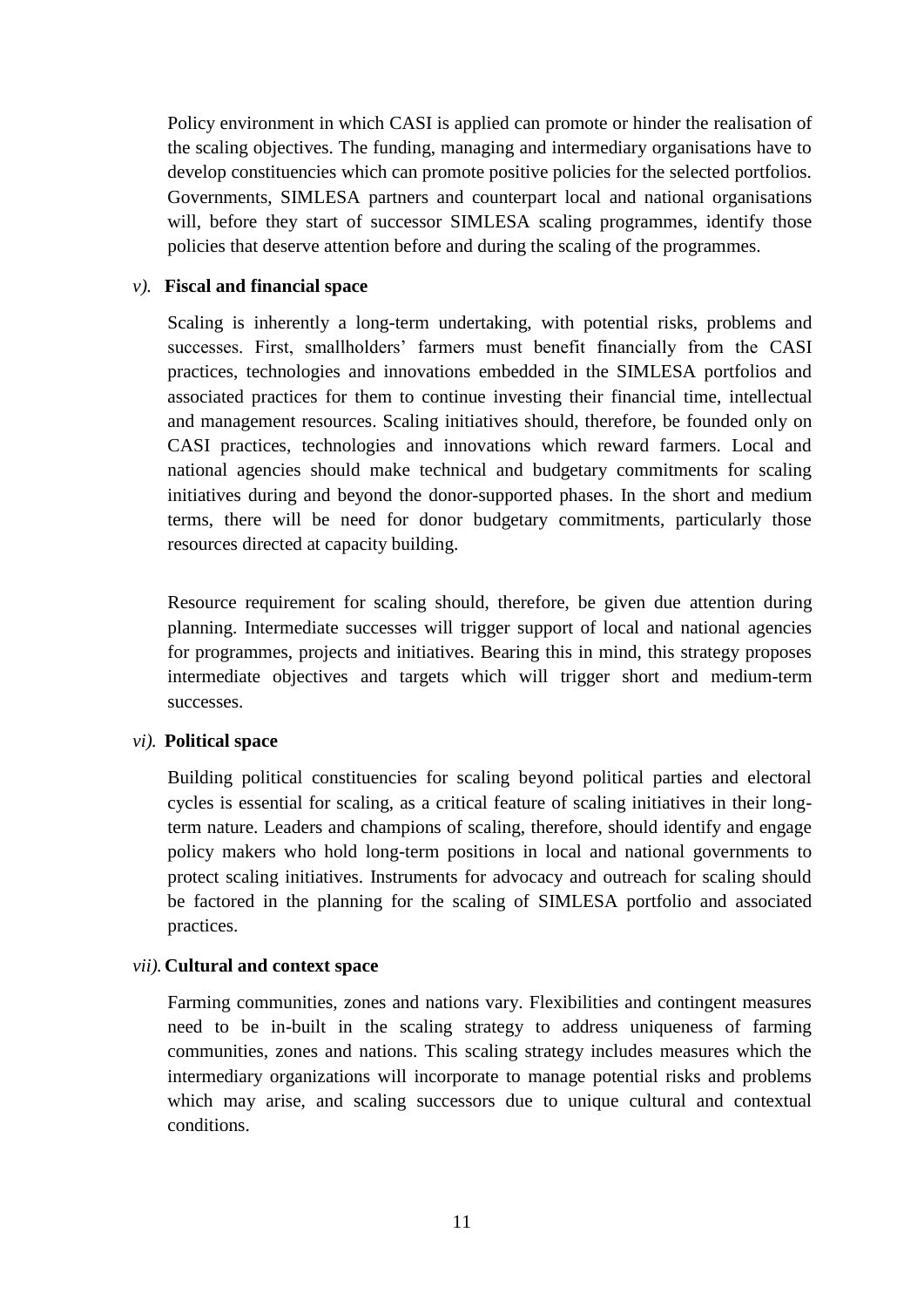Policy environment in which CASI is applied can promote or hinder the realisation of the scaling objectives. The funding, managing and intermediary organisations have to develop constituencies which can promote positive policies for the selected portfolios. Governments, SIMLESA partners and counterpart local and national organisations will, before they start of successor SIMLESA scaling programmes, identify those policies that deserve attention before and during the scaling of the programmes.

#### *v).* **Fiscal and financial space**

Scaling is inherently a long-term undertaking, with potential risks, problems and successes. First, smallholders' farmers must benefit financially from the CASI practices, technologies and innovations embedded in the SIMLESA portfolios and associated practices for them to continue investing their financial time, intellectual and management resources. Scaling initiatives should, therefore, be founded only on CASI practices, technologies and innovations which reward farmers. Local and national agencies should make technical and budgetary commitments for scaling initiatives during and beyond the donor-supported phases. In the short and medium terms, there will be need for donor budgetary commitments, particularly those resources directed at capacity building.

Resource requirement for scaling should, therefore, be given due attention during planning. Intermediate successes will trigger support of local and national agencies for programmes, projects and initiatives. Bearing this in mind, this strategy proposes intermediate objectives and targets which will trigger short and medium-term successes.

#### *vi).* **Political space**

Building political constituencies for scaling beyond political parties and electoral cycles is essential for scaling, as a critical feature of scaling initiatives in their longterm nature. Leaders and champions of scaling, therefore, should identify and engage policy makers who hold long-term positions in local and national governments to protect scaling initiatives. Instruments for advocacy and outreach for scaling should be factored in the planning for the scaling of SIMLESA portfolio and associated practices.

#### *vii).* **Cultural and context space**

Farming communities, zones and nations vary. Flexibilities and contingent measures need to be in-built in the scaling strategy to address uniqueness of farming communities, zones and nations. This scaling strategy includes measures which the intermediary organizations will incorporate to manage potential risks and problems which may arise, and scaling successors due to unique cultural and contextual conditions.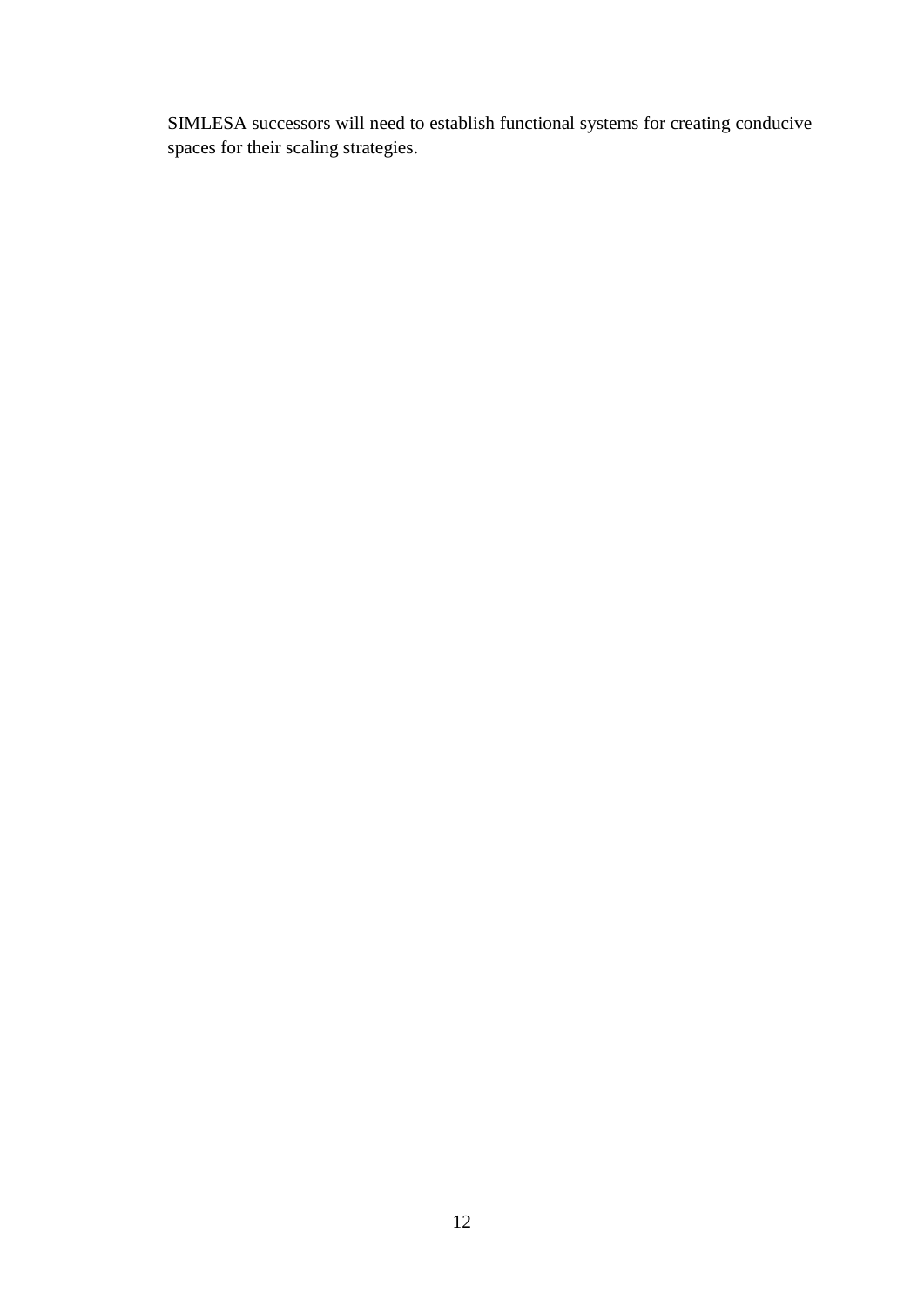SIMLESA successors will need to establish functional systems for creating conducive spaces for their scaling strategies.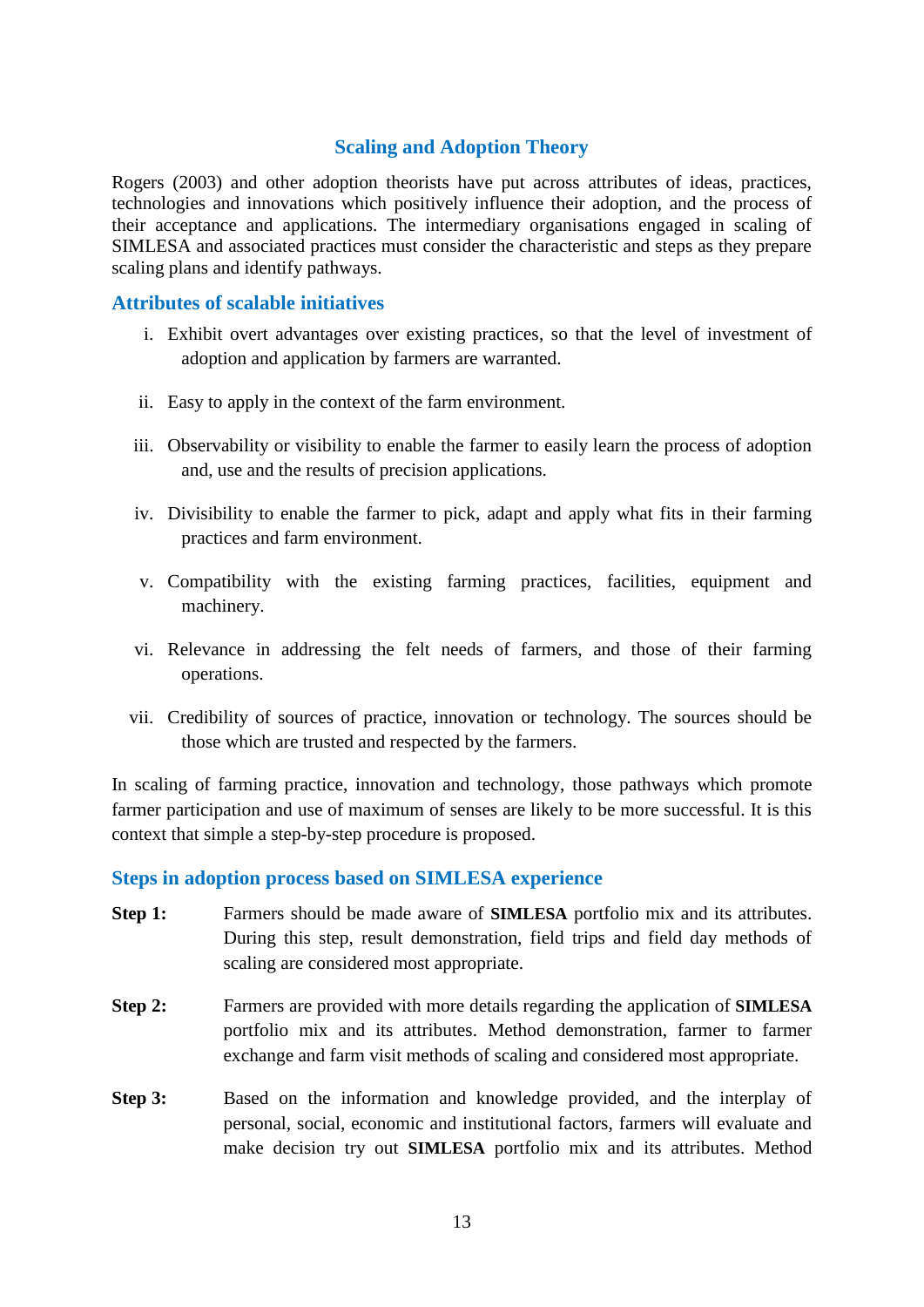## **Scaling and Adoption Theory**

<span id="page-20-0"></span>Rogers (2003) and other adoption theorists have put across attributes of ideas, practices, technologies and innovations which positively influence their adoption, and the process of their acceptance and applications. The intermediary organisations engaged in scaling of SIMLESA and associated practices must consider the characteristic and steps as they prepare scaling plans and identify pathways.

#### <span id="page-20-1"></span>**Attributes of scalable initiatives**

- i. Exhibit overt advantages over existing practices, so that the level of investment of adoption and application by farmers are warranted.
- ii. Easy to apply in the context of the farm environment.
- iii. Observability or visibility to enable the farmer to easily learn the process of adoption and, use and the results of precision applications.
- iv. Divisibility to enable the farmer to pick, adapt and apply what fits in their farming practices and farm environment.
- v. Compatibility with the existing farming practices, facilities, equipment and machinery.
- vi. Relevance in addressing the felt needs of farmers, and those of their farming operations.
- vii. Credibility of sources of practice, innovation or technology. The sources should be those which are trusted and respected by the farmers.

In scaling of farming practice, innovation and technology, those pathways which promote farmer participation and use of maximum of senses are likely to be more successful. It is this context that simple a step-by-step procedure is proposed.

#### <span id="page-20-2"></span>**Steps in adoption process based on SIMLESA experience**

- **Step 1:** Farmers should be made aware of **SIMLESA** portfolio mix and its attributes. During this step, result demonstration, field trips and field day methods of scaling are considered most appropriate.
- **Step 2:** Farmers are provided with more details regarding the application of **SIMLESA** portfolio mix and its attributes. Method demonstration, farmer to farmer exchange and farm visit methods of scaling and considered most appropriate.
- **Step 3:** Based on the information and knowledge provided, and the interplay of personal, social, economic and institutional factors, farmers will evaluate and make decision try out **SIMLESA** portfolio mix and its attributes. Method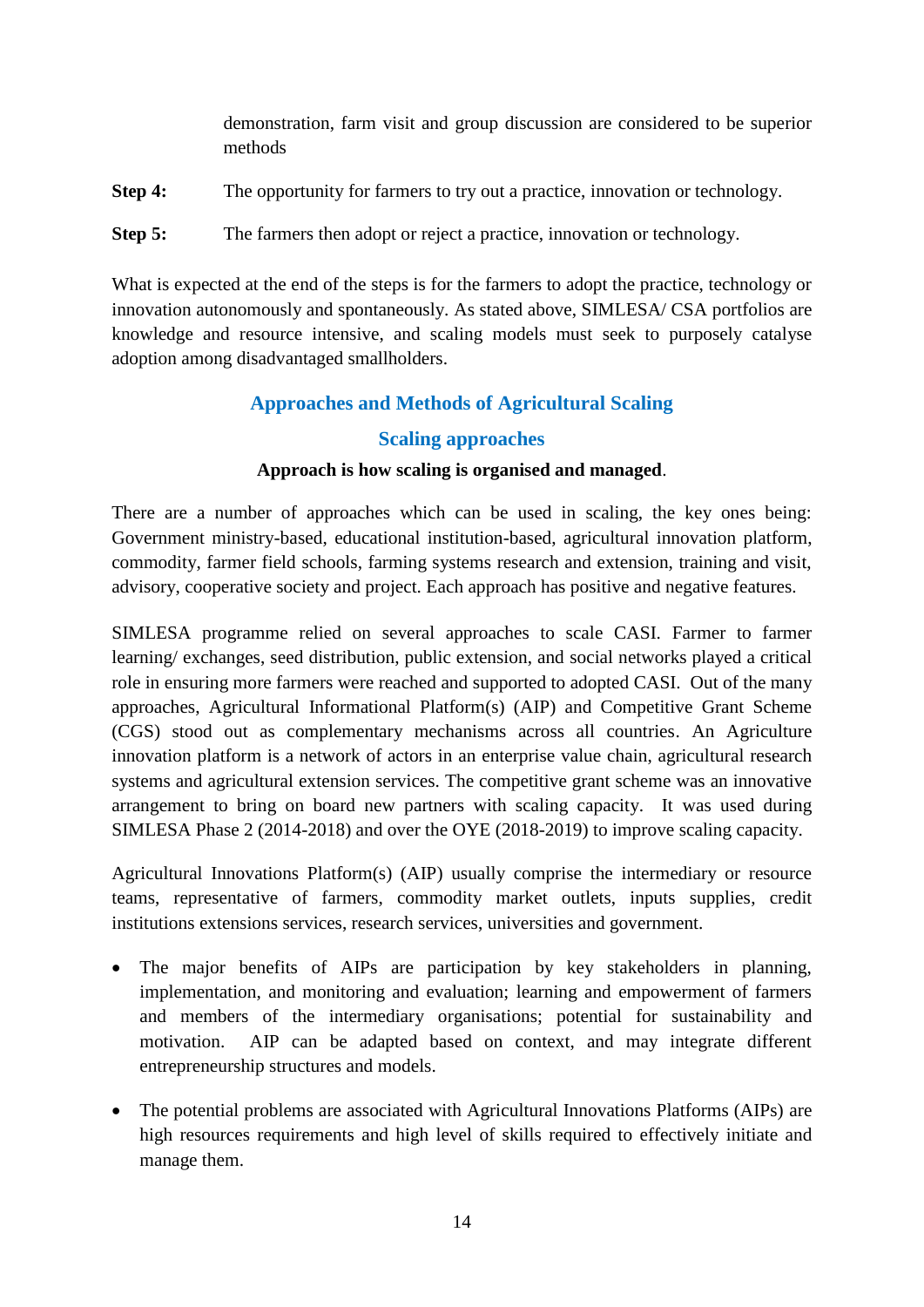|         | demonstration, farm visit and group discussion are considered to be superior<br>methods |
|---------|-----------------------------------------------------------------------------------------|
| Step 4: | The opportunity for farmers to try out a practice, innovation or technology.            |
| Step 5: | The farmers then adopt or reject a practice, innovation or technology.                  |

What is expected at the end of the steps is for the farmers to adopt the practice, technology or innovation autonomously and spontaneously. As stated above, SIMLESA/ CSA portfolios are knowledge and resource intensive, and scaling models must seek to purposely catalyse adoption among disadvantaged smallholders.

## **Approaches and Methods of Agricultural Scaling**

## **Scaling approaches**

## **Approach is how scaling is organised and managed**.

<span id="page-21-1"></span><span id="page-21-0"></span>There are a number of approaches which can be used in scaling, the key ones being: Government ministry-based, educational institution-based, agricultural innovation platform, commodity, farmer field schools, farming systems research and extension, training and visit, advisory, cooperative society and project. Each approach has positive and negative features.

SIMLESA programme relied on several approaches to scale CASI. Farmer to farmer learning/ exchanges, seed distribution, public extension, and social networks played a critical role in ensuring more farmers were reached and supported to adopted CASI. Out of the many approaches, Agricultural Informational Platform(s) (AIP) and Competitive Grant Scheme (CGS) stood out as complementary mechanisms across all countries. An Agriculture innovation platform is a network of actors in an enterprise value chain, agricultural research systems and agricultural extension services. The competitive grant scheme was an innovative arrangement to bring on board new partners with scaling capacity. It was used during SIMLESA Phase 2 (2014-2018) and over the OYE (2018-2019) to improve scaling capacity.

Agricultural Innovations Platform(s) (AIP) usually comprise the intermediary or resource teams, representative of farmers, commodity market outlets, inputs supplies, credit institutions extensions services, research services, universities and government.

- The major benefits of AIPs are participation by key stakeholders in planning, implementation, and monitoring and evaluation; learning and empowerment of farmers and members of the intermediary organisations; potential for sustainability and motivation. AIP can be adapted based on context, and may integrate different entrepreneurship structures and models.
- The potential problems are associated with Agricultural Innovations Platforms (AIPs) are high resources requirements and high level of skills required to effectively initiate and manage them.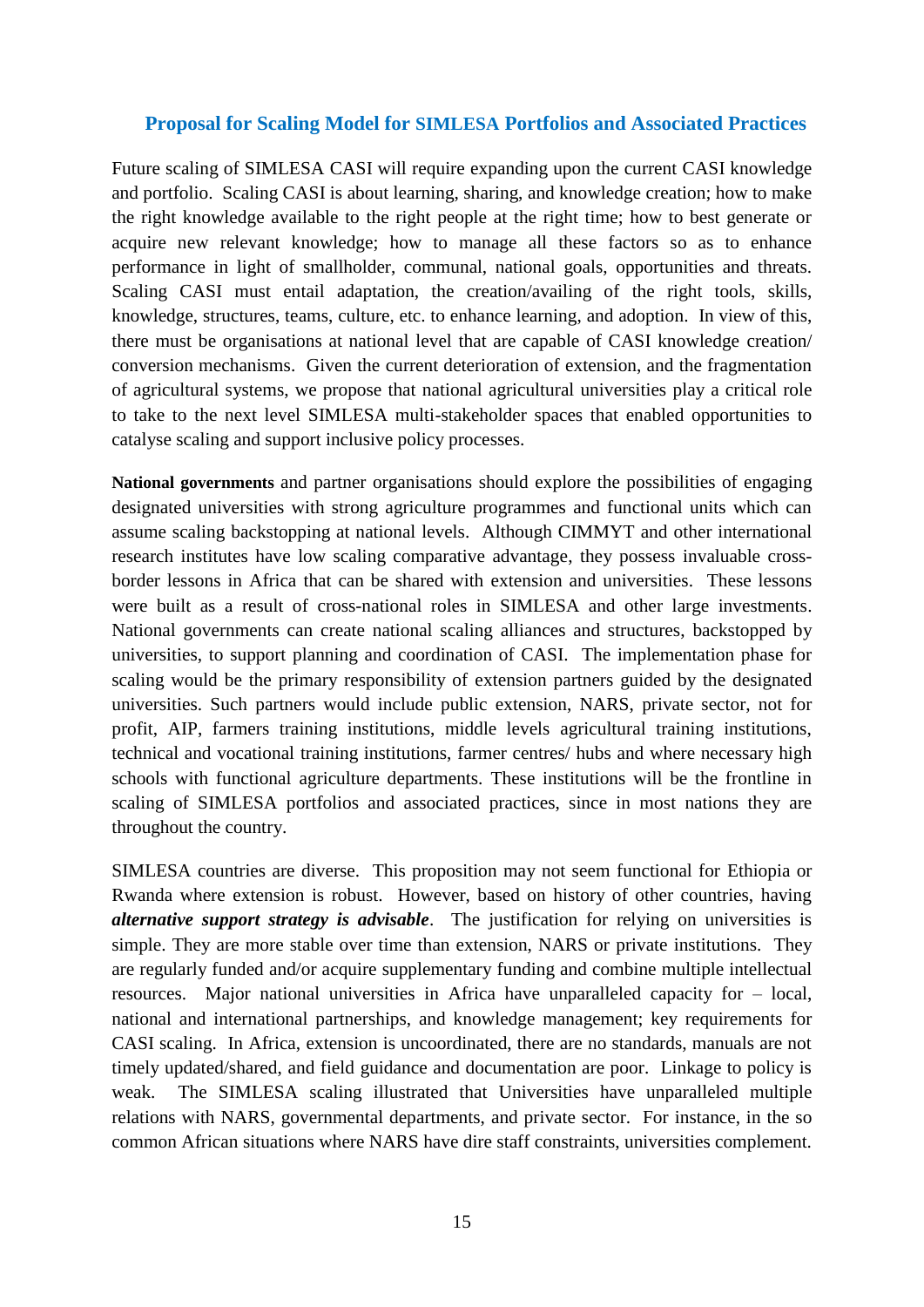#### **Proposal for Scaling Model for SIMLESA Portfolios and Associated Practices**

Future scaling of SIMLESA CASI will require expanding upon the current CASI knowledge and portfolio. Scaling CASI is about learning, sharing, and knowledge creation; how to make the right knowledge available to the right people at the right time; how to best generate or acquire new relevant knowledge; how to manage all these factors so as to enhance performance in light of smallholder, communal, national goals, opportunities and threats. Scaling CASI must entail adaptation, the creation/availing of the right tools, skills, knowledge, structures, teams, culture, etc. to enhance learning, and adoption. In view of this, there must be organisations at national level that are capable of CASI knowledge creation/ conversion mechanisms. Given the current deterioration of extension, and the fragmentation of agricultural systems, we propose that national agricultural universities play a critical role to take to the next level SIMLESA multi-stakeholder spaces that enabled opportunities to catalyse scaling and support inclusive policy processes.

**National governments** and partner organisations should explore the possibilities of engaging designated universities with strong agriculture programmes and functional units which can assume scaling backstopping at national levels. Although CIMMYT and other international research institutes have low scaling comparative advantage, they possess invaluable crossborder lessons in Africa that can be shared with extension and universities. These lessons were built as a result of cross-national roles in SIMLESA and other large investments. National governments can create national scaling alliances and structures, backstopped by universities, to support planning and coordination of CASI. The implementation phase for scaling would be the primary responsibility of extension partners guided by the designated universities. Such partners would include public extension, NARS, private sector, not for profit, AIP, farmers training institutions, middle levels agricultural training institutions, technical and vocational training institutions, farmer centres/ hubs and where necessary high schools with functional agriculture departments. These institutions will be the frontline in scaling of SIMLESA portfolios and associated practices, since in most nations they are throughout the country.

SIMLESA countries are diverse. This proposition may not seem functional for Ethiopia or Rwanda where extension is robust. However, based on history of other countries, having *alternative support strategy is advisable*. The justification for relying on universities is simple. They are more stable over time than extension, NARS or private institutions. They are regularly funded and/or acquire supplementary funding and combine multiple intellectual resources. Major national universities in Africa have unparalleled capacity for – local, national and international partnerships, and knowledge management; key requirements for CASI scaling. In Africa, extension is uncoordinated, there are no standards, manuals are not timely updated/shared, and field guidance and documentation are poor. Linkage to policy is weak. The SIMLESA scaling illustrated that Universities have unparalleled multiple relations with NARS, governmental departments, and private sector. For instance, in the so common African situations where NARS have dire staff constraints, universities complement.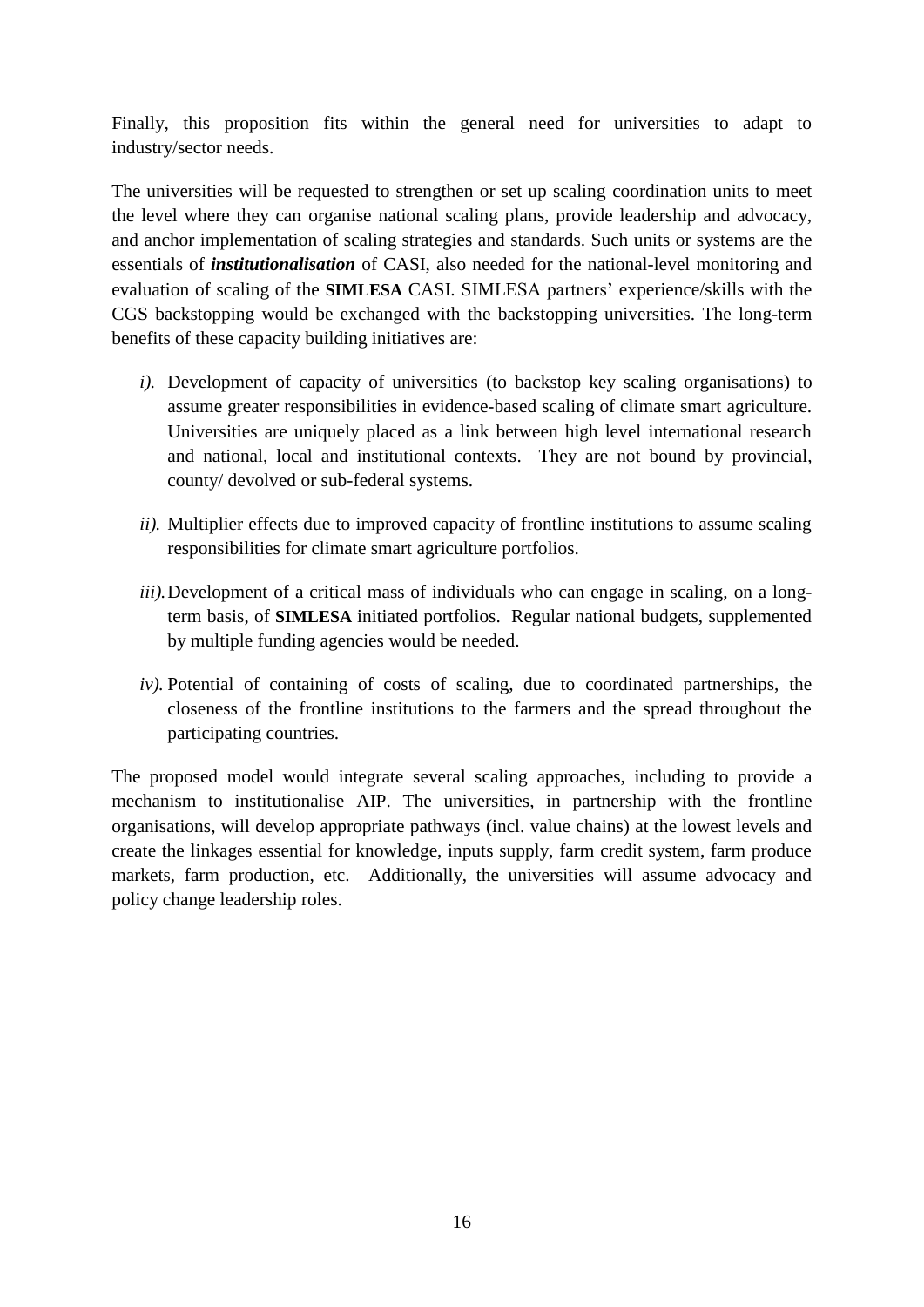Finally, this proposition fits within the general need for universities to adapt to industry/sector needs.

The universities will be requested to strengthen or set up scaling coordination units to meet the level where they can organise national scaling plans, provide leadership and advocacy, and anchor implementation of scaling strategies and standards. Such units or systems are the essentials of *institutionalisation* of CASI, also needed for the national-level monitoring and evaluation of scaling of the **SIMLESA** CASI. SIMLESA partners' experience/skills with the CGS backstopping would be exchanged with the backstopping universities. The long-term benefits of these capacity building initiatives are:

- *i).* Development of capacity of universities (to backstop key scaling organisations) to assume greater responsibilities in evidence-based scaling of climate smart agriculture. Universities are uniquely placed as a link between high level international research and national, local and institutional contexts. They are not bound by provincial, county/ devolved or sub-federal systems.
- *ii).* Multiplier effects due to improved capacity of frontline institutions to assume scaling responsibilities for climate smart agriculture portfolios.
- *iii).* Development of a critical mass of individuals who can engage in scaling, on a longterm basis, of **SIMLESA** initiated portfolios. Regular national budgets, supplemented by multiple funding agencies would be needed.
- *iv).* Potential of containing of costs of scaling, due to coordinated partnerships, the closeness of the frontline institutions to the farmers and the spread throughout the participating countries.

The proposed model would integrate several scaling approaches, including to provide a mechanism to institutionalise AIP. The universities, in partnership with the frontline organisations, will develop appropriate pathways (incl. value chains) at the lowest levels and create the linkages essential for knowledge, inputs supply, farm credit system, farm produce markets, farm production, etc. Additionally, the universities will assume advocacy and policy change leadership roles.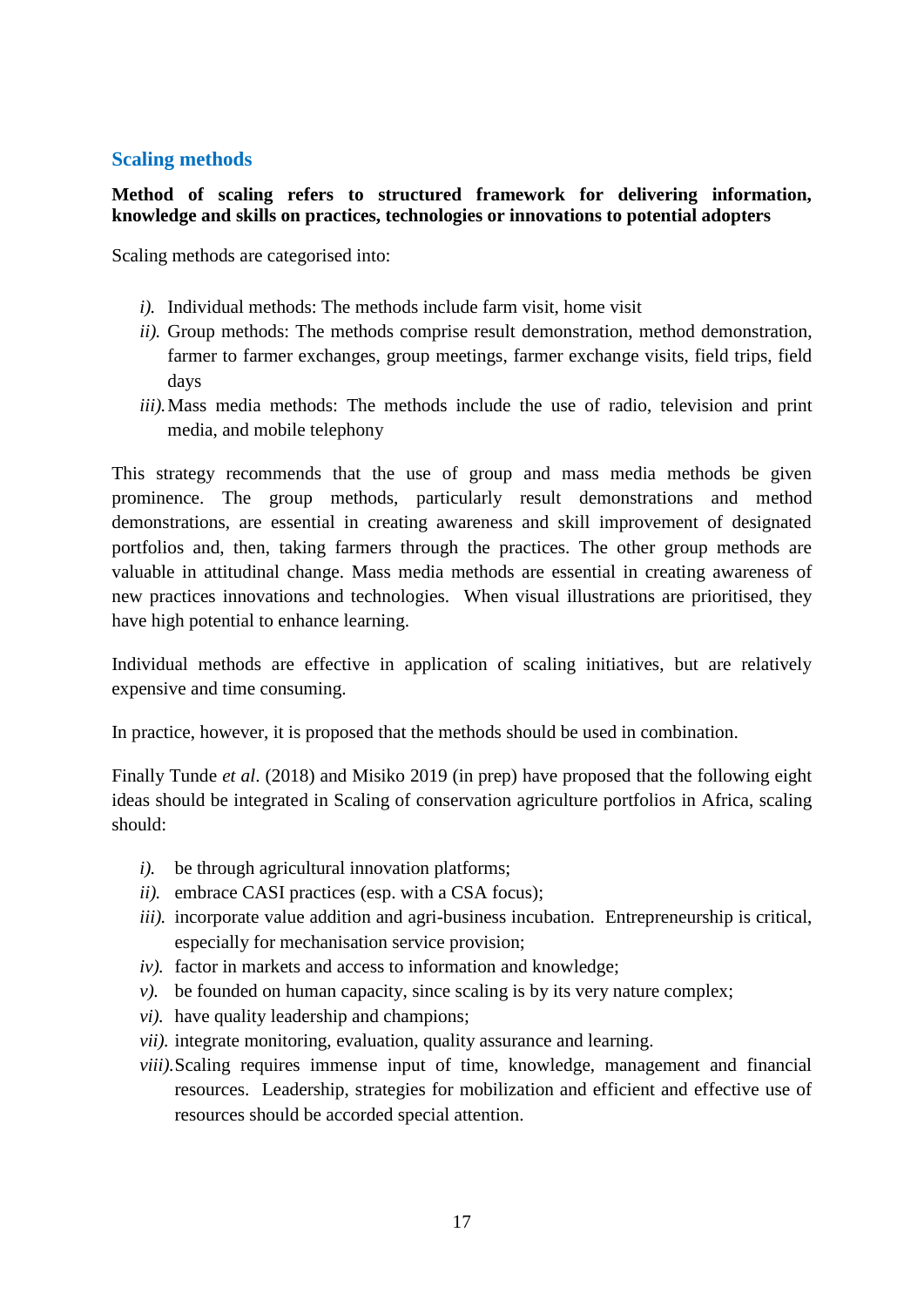## <span id="page-24-0"></span>**Scaling methods**

## **Method of scaling refers to structured framework for delivering information, knowledge and skills on practices, technologies or innovations to potential adopters**

Scaling methods are categorised into:

- *i).* Individual methods: The methods include farm visit, home visit
- *ii).* Group methods: The methods comprise result demonstration, method demonstration, farmer to farmer exchanges, group meetings, farmer exchange visits, field trips, field days
- *iii*). Mass media methods: The methods include the use of radio, television and print media, and mobile telephony

This strategy recommends that the use of group and mass media methods be given prominence. The group methods, particularly result demonstrations and method demonstrations, are essential in creating awareness and skill improvement of designated portfolios and, then, taking farmers through the practices. The other group methods are valuable in attitudinal change. Mass media methods are essential in creating awareness of new practices innovations and technologies. When visual illustrations are prioritised, they have high potential to enhance learning.

Individual methods are effective in application of scaling initiatives, but are relatively expensive and time consuming.

In practice, however, it is proposed that the methods should be used in combination.

Finally Tunde *et al*. (2018) and Misiko 2019 (in prep) have proposed that the following eight ideas should be integrated in Scaling of conservation agriculture portfolios in Africa, scaling should:

- *i*). be through agricultural innovation platforms;
- *ii*). embrace CASI practices (esp. with a CSA focus):
- *iii).* incorporate value addition and agri-business incubation. Entrepreneurship is critical, especially for mechanisation service provision;
- *iv*). factor in markets and access to information and knowledge;
- *v*). be founded on human capacity, since scaling is by its very nature complex;
- *vi).* have quality leadership and champions;
- *vii*). integrate monitoring, evaluation, quality assurance and learning.
- *viii).*Scaling requires immense input of time, knowledge, management and financial resources. Leadership, strategies for mobilization and efficient and effective use of resources should be accorded special attention.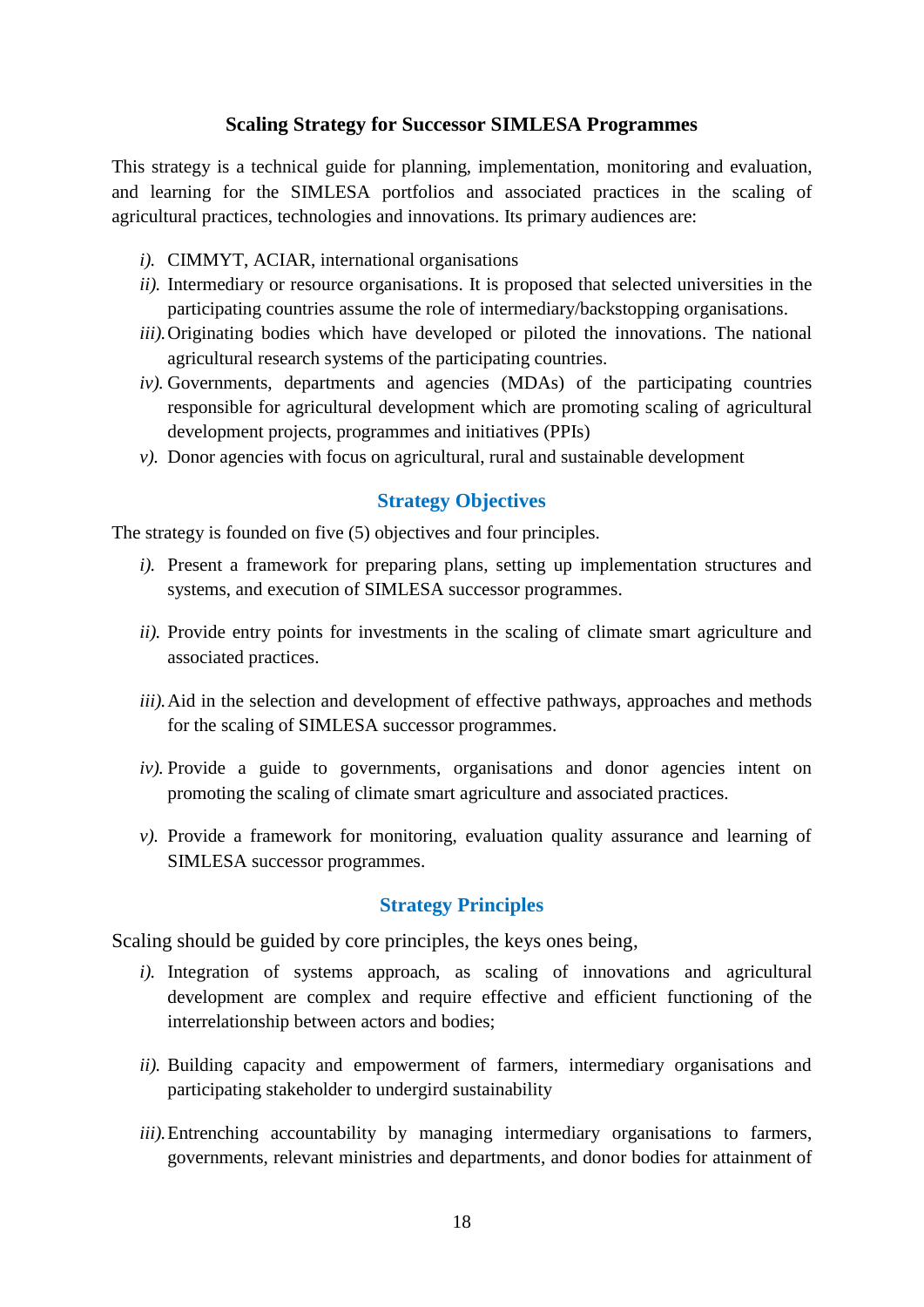## **Scaling Strategy for Successor SIMLESA Programmes**

<span id="page-25-0"></span>This strategy is a technical guide for planning, implementation, monitoring and evaluation, and learning for the SIMLESA portfolios and associated practices in the scaling of agricultural practices, technologies and innovations. Its primary audiences are:

- *i).* CIMMYT, ACIAR, international organisations
- *ii).* Intermediary or resource organisations. It is proposed that selected universities in the participating countries assume the role of intermediary/backstopping organisations.
- *iii).*Originating bodies which have developed or piloted the innovations. The national agricultural research systems of the participating countries.
- *iv*). Governments, departments and agencies (MDAs) of the participating countries responsible for agricultural development which are promoting scaling of agricultural development projects, programmes and initiatives (PPIs)
- $\nu$ ). Donor agencies with focus on agricultural, rural and sustainable development

## **Strategy Objectives**

<span id="page-25-1"></span>The strategy is founded on five (5) objectives and four principles.

- *i*). Present a framework for preparing plans, setting up implementation structures and systems, and execution of SIMLESA successor programmes.
- *ii).* Provide entry points for investments in the scaling of climate smart agriculture and associated practices.
- *iii).* Aid in the selection and development of effective pathways, approaches and methods for the scaling of SIMLESA successor programmes.
- *iv*). Provide a guide to governments, organisations and donor agencies intent on promoting the scaling of climate smart agriculture and associated practices.
- *v).* Provide a framework for monitoring, evaluation quality assurance and learning of SIMLESA successor programmes.

## **Strategy Principles**

<span id="page-25-3"></span><span id="page-25-2"></span>Scaling should be guided by core principles, the keys ones being,

- *i*). Integration of systems approach, as scaling of innovations and agricultural development are complex and require effective and efficient functioning of the interrelationship between actors and bodies;
- *ii).* Building capacity and empowerment of farmers, intermediary organisations and participating stakeholder to undergird sustainability
- *iii*). Entrenching accountability by managing intermediary organisations to farmers, governments, relevant ministries and departments, and donor bodies for attainment of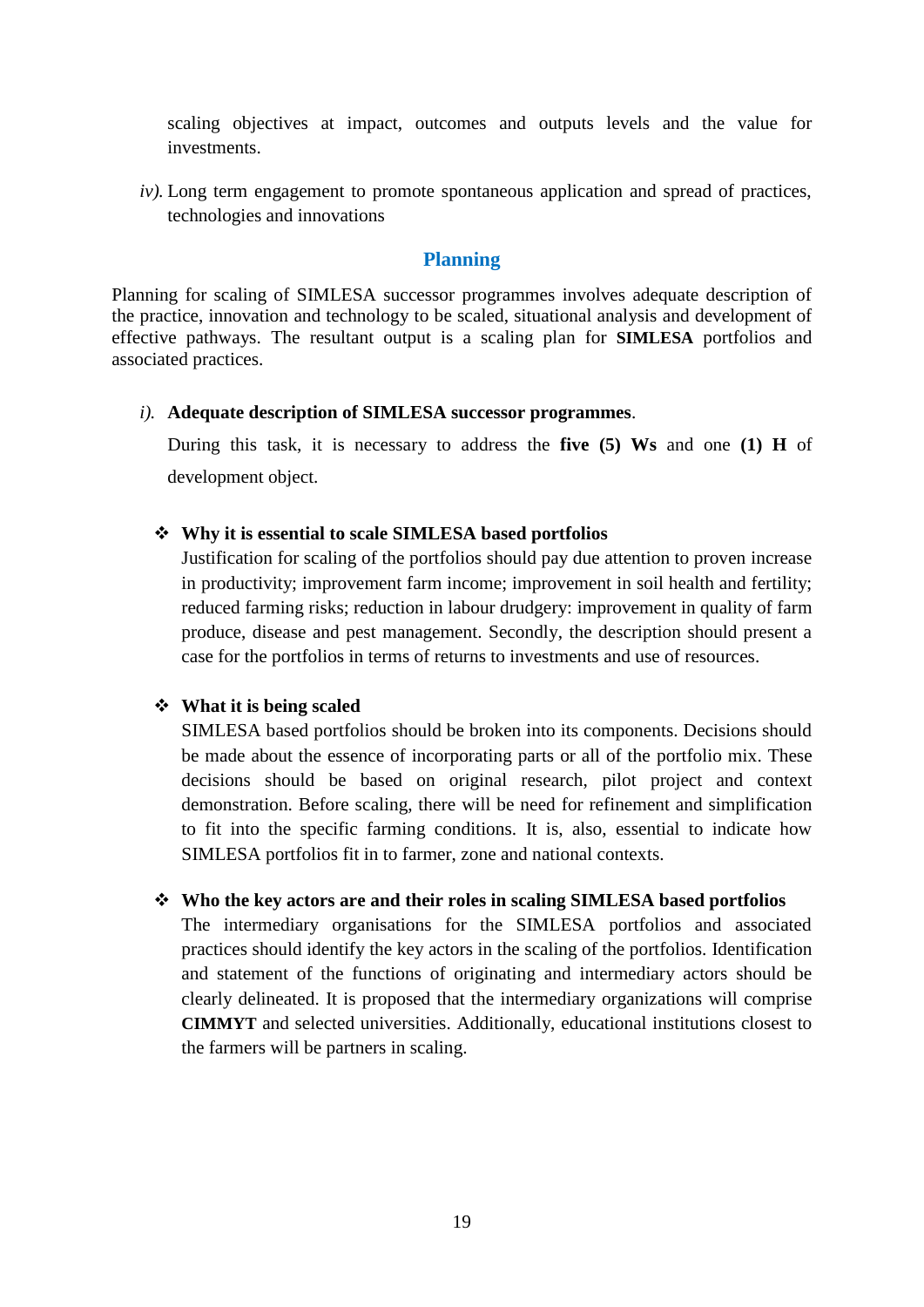scaling objectives at impact, outcomes and outputs levels and the value for investments.

*iv*). Long term engagement to promote spontaneous application and spread of practices, technologies and innovations

#### **Planning**

<span id="page-26-0"></span>Planning for scaling of SIMLESA successor programmes involves adequate description of the practice, innovation and technology to be scaled, situational analysis and development of effective pathways. The resultant output is a scaling plan for **SIMLESA** portfolios and associated practices.

#### *i).* **Adequate description of SIMLESA successor programmes**.

During this task, it is necessary to address the **five (5) Ws** and one **(1) H** of development object.

#### ❖ **Why it is essential to scale SIMLESA based portfolios**

Justification for scaling of the portfolios should pay due attention to proven increase in productivity; improvement farm income; improvement in soil health and fertility; reduced farming risks; reduction in labour drudgery: improvement in quality of farm produce, disease and pest management. Secondly, the description should present a case for the portfolios in terms of returns to investments and use of resources.

## ❖ **What it is being scaled**

SIMLESA based portfolios should be broken into its components. Decisions should be made about the essence of incorporating parts or all of the portfolio mix. These decisions should be based on original research, pilot project and context demonstration. Before scaling, there will be need for refinement and simplification to fit into the specific farming conditions. It is, also, essential to indicate how SIMLESA portfolios fit in to farmer, zone and national contexts.

#### ❖ **Who the key actors are and their roles in scaling SIMLESA based portfolios**

The intermediary organisations for the SIMLESA portfolios and associated practices should identify the key actors in the scaling of the portfolios. Identification and statement of the functions of originating and intermediary actors should be clearly delineated. It is proposed that the intermediary organizations will comprise **CIMMYT** and selected universities. Additionally, educational institutions closest to the farmers will be partners in scaling.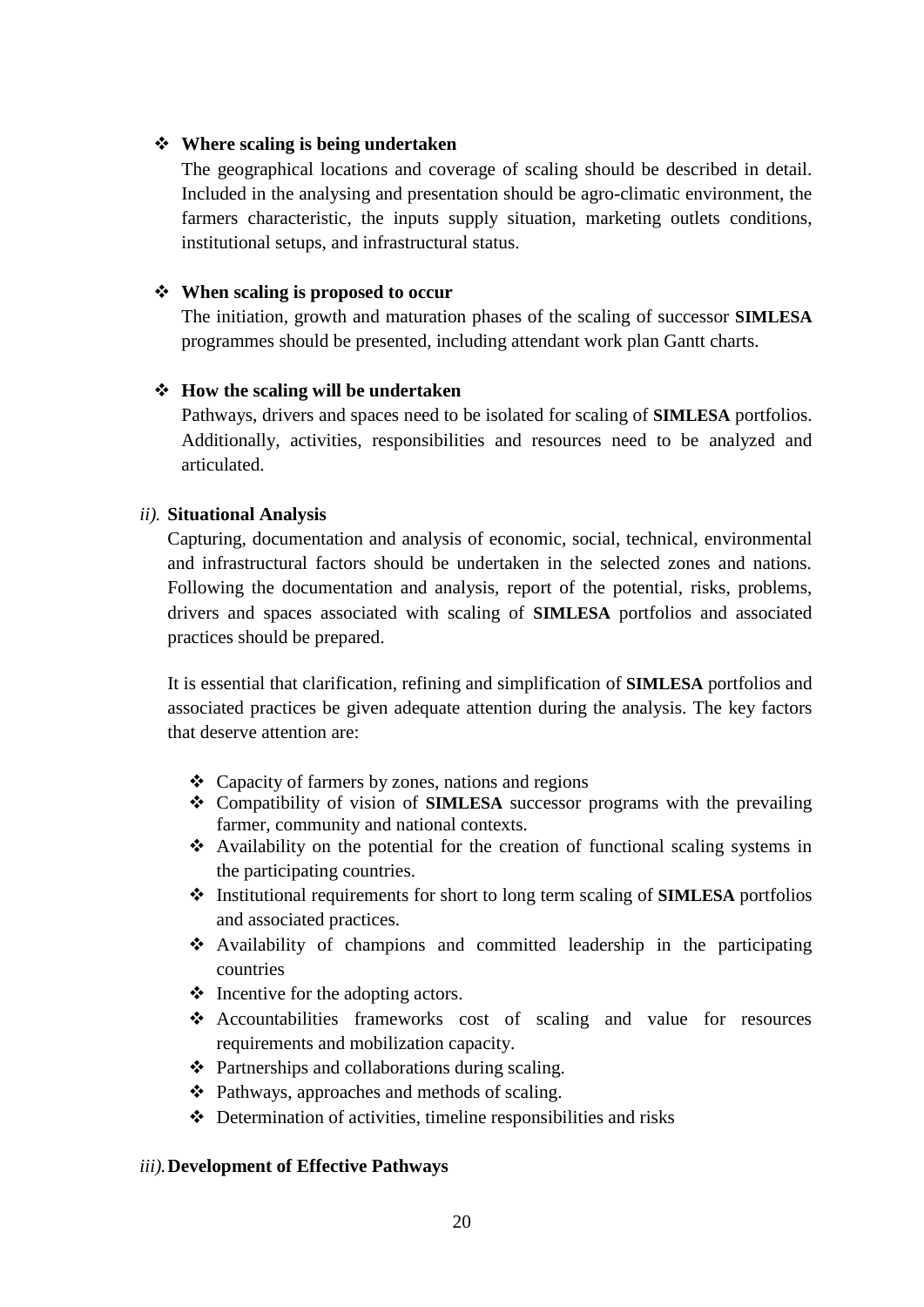#### ❖ **Where scaling is being undertaken**

The geographical locations and coverage of scaling should be described in detail. Included in the analysing and presentation should be agro-climatic environment, the farmers characteristic, the inputs supply situation, marketing outlets conditions, institutional setups, and infrastructural status.

#### ❖ **When scaling is proposed to occur**

The initiation, growth and maturation phases of the scaling of successor **SIMLESA**  programmes should be presented, including attendant work plan Gantt charts.

#### ❖ **How the scaling will be undertaken**

Pathways, drivers and spaces need to be isolated for scaling of **SIMLESA** portfolios. Additionally, activities, responsibilities and resources need to be analyzed and articulated.

#### *ii).* **Situational Analysis**

Capturing, documentation and analysis of economic, social, technical, environmental and infrastructural factors should be undertaken in the selected zones and nations. Following the documentation and analysis, report of the potential, risks, problems, drivers and spaces associated with scaling of **SIMLESA** portfolios and associated practices should be prepared.

It is essential that clarification, refining and simplification of **SIMLESA** portfolios and associated practices be given adequate attention during the analysis. The key factors that deserve attention are:

- ❖ Capacity of farmers by zones, nations and regions
- ❖ Compatibility of vision of **SIMLESA** successor programs with the prevailing farmer, community and national contexts.
- ❖ Availability on the potential for the creation of functional scaling systems in the participating countries.
- ❖ Institutional requirements for short to long term scaling of **SIMLESA** portfolios and associated practices.
- ❖ Availability of champions and committed leadership in the participating countries
- $\triangleleft$  Incentive for the adopting actors.
- ❖ Accountabilities frameworks cost of scaling and value for resources requirements and mobilization capacity.
- ❖ Partnerships and collaborations during scaling.
- ❖ Pathways, approaches and methods of scaling.
- ❖ Determination of activities, timeline responsibilities and risks

#### *iii).***Development of Effective Pathways**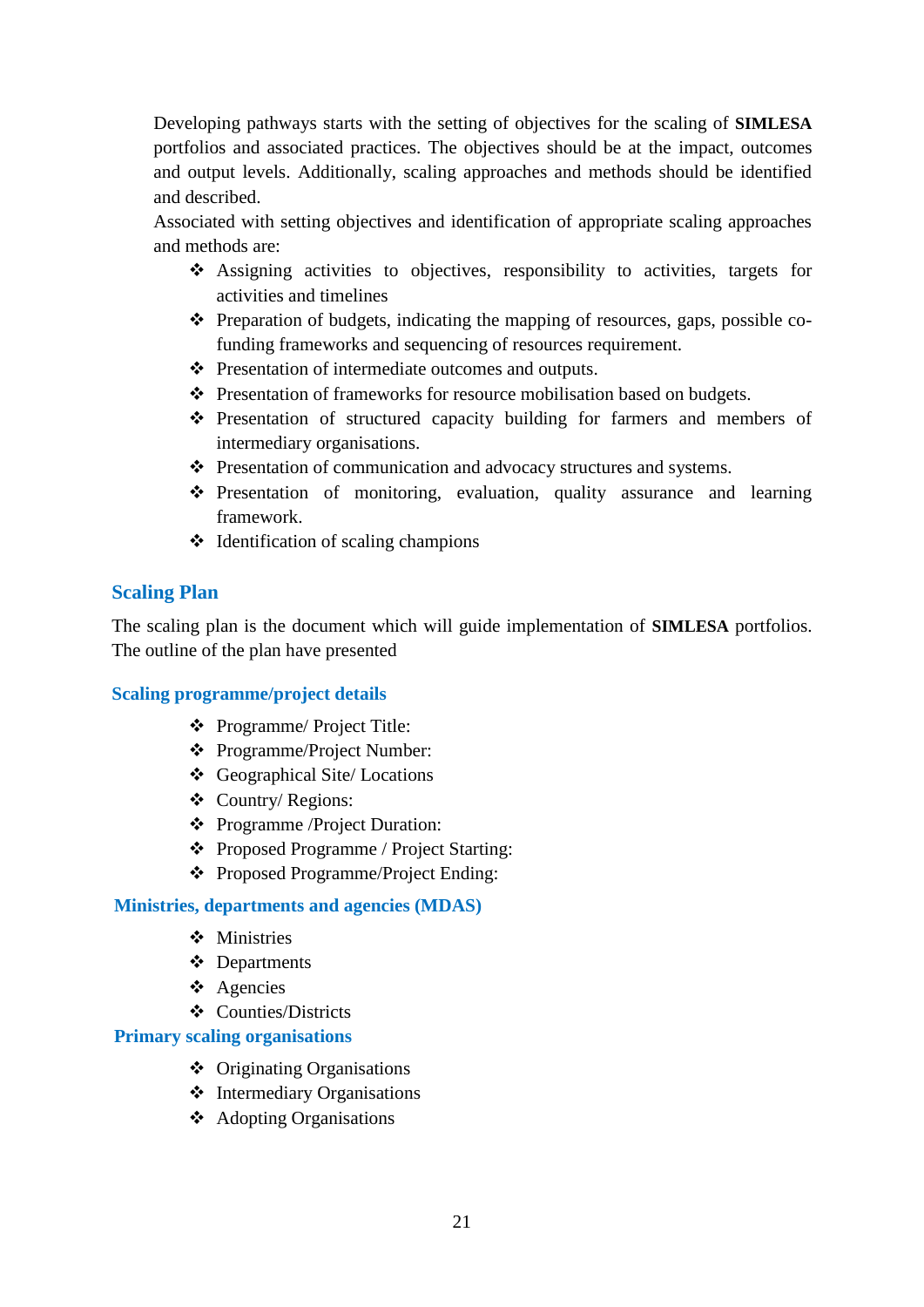Developing pathways starts with the setting of objectives for the scaling of **SIMLESA** portfolios and associated practices. The objectives should be at the impact, outcomes and output levels. Additionally, scaling approaches and methods should be identified and described.

Associated with setting objectives and identification of appropriate scaling approaches and methods are:

- ❖ Assigning activities to objectives, responsibility to activities, targets for activities and timelines
- ❖ Preparation of budgets, indicating the mapping of resources, gaps, possible cofunding frameworks and sequencing of resources requirement.
- ❖ Presentation of intermediate outcomes and outputs.
- ❖ Presentation of frameworks for resource mobilisation based on budgets.
- ❖ Presentation of structured capacity building for farmers and members of intermediary organisations.
- ❖ Presentation of communication and advocacy structures and systems.
- ❖ Presentation of monitoring, evaluation, quality assurance and learning framework.
- ❖ Identification of scaling champions

## **Scaling Plan**

The scaling plan is the document which will guide implementation of **SIMLESA** portfolios. The outline of the plan have presented

## **Scaling programme/project details**

- ❖ Programme/ Project Title:
- ❖ Programme/Project Number:
- ❖ Geographical Site/ Locations
- ❖ Country/ Regions:
- ❖ Programme /Project Duration:
- ❖ Proposed Programme / Project Starting:
- ❖ Proposed Programme/Project Ending:

#### **Ministries, departments and agencies (MDAS)**

- ❖ Ministries
- ❖ Departments
- ❖ Agencies
- ❖ Counties/Districts

#### **Primary scaling organisations**

- ❖ Originating Organisations
- ❖ Intermediary Organisations
- ❖ Adopting Organisations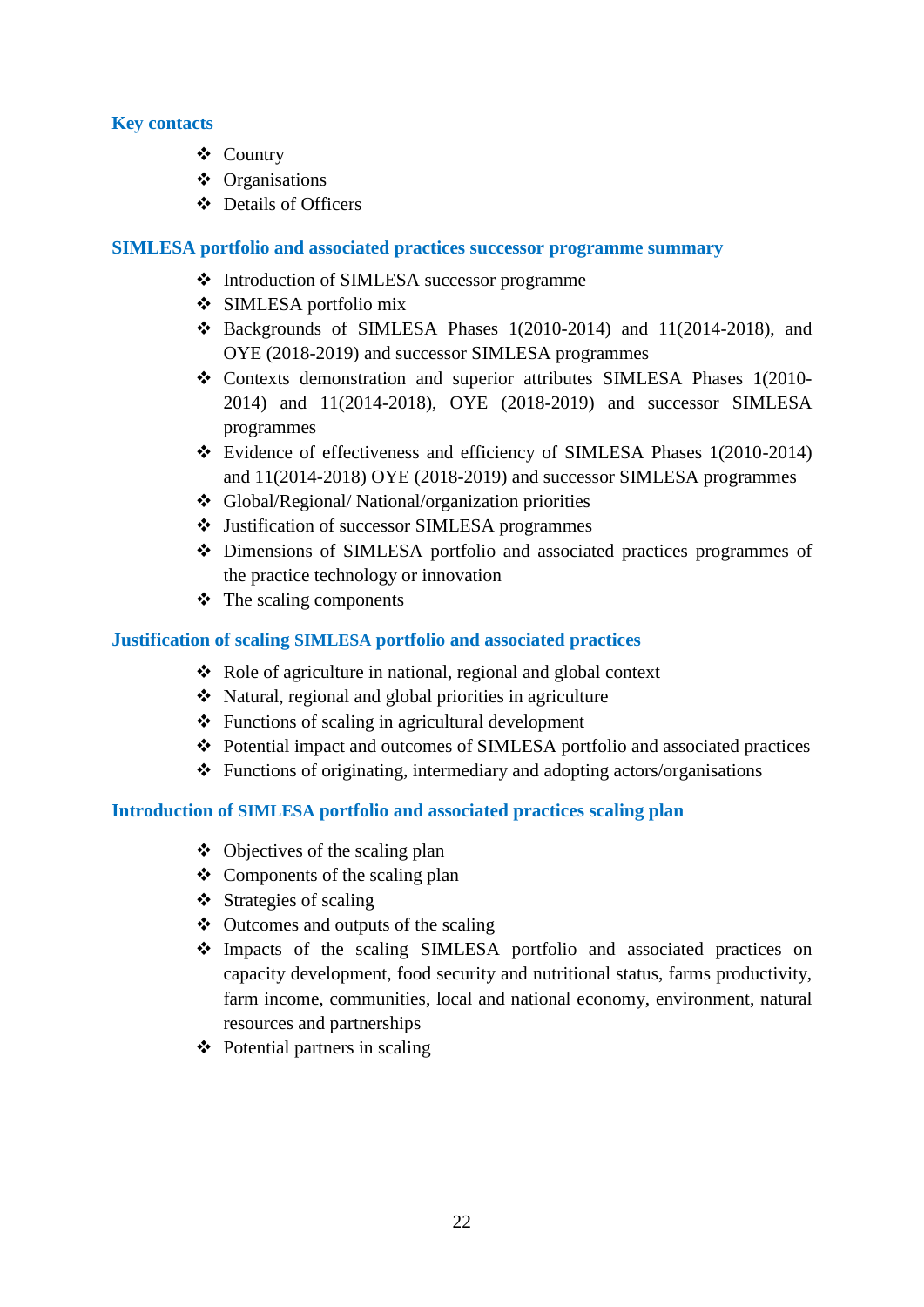## **Key contacts**

- ❖ Country
- ❖ Organisations
- ❖ Details of Officers

#### **SIMLESA portfolio and associated practices successor programme summary**

- ❖ Introduction of SIMLESA successor programme
- ❖ SIMLESA portfolio mix
- ❖ Backgrounds of SIMLESA Phases 1(2010-2014) and 11(2014-2018), and OYE (2018-2019) and successor SIMLESA programmes
- ❖ Contexts demonstration and superior attributes SIMLESA Phases 1(2010- 2014) and 11(2014-2018), OYE (2018-2019) and successor SIMLESA programmes
- ❖ Evidence of effectiveness and efficiency of SIMLESA Phases 1(2010-2014) and 11(2014-2018) OYE (2018-2019) and successor SIMLESA programmes
- ❖ Global/Regional/ National/organization priorities
- ❖ Justification of successor SIMLESA programmes
- ❖ Dimensions of SIMLESA portfolio and associated practices programmes of the practice technology or innovation
- $\triangleleft$  The scaling components

## **Justification of scaling SIMLESA portfolio and associated practices**

- ❖ Role of agriculture in national, regional and global context
- ❖ Natural, regional and global priorities in agriculture
- $\triangle$  Functions of scaling in agricultural development
- ❖ Potential impact and outcomes of SIMLESA portfolio and associated practices
- ❖ Functions of originating, intermediary and adopting actors/organisations

## **Introduction of SIMLESA portfolio and associated practices scaling plan**

- ❖ Objectives of the scaling plan
- ❖ Components of the scaling plan
- ❖ Strategies of scaling
- ❖ Outcomes and outputs of the scaling
- ❖ Impacts of the scaling SIMLESA portfolio and associated practices on capacity development, food security and nutritional status, farms productivity, farm income, communities, local and national economy, environment, natural resources and partnerships
- ❖ Potential partners in scaling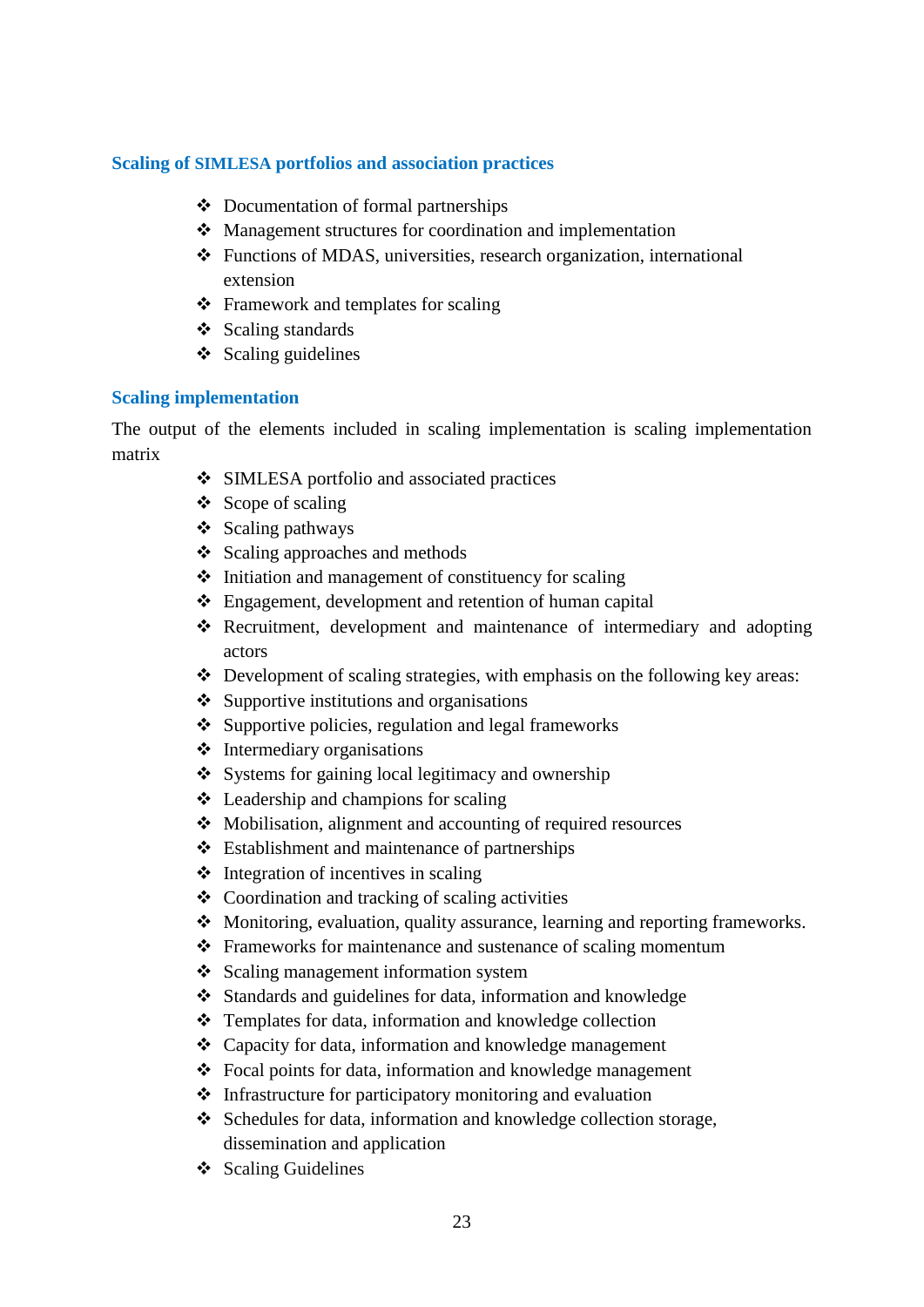## **Scaling of SIMLESA portfolios and association practices**

- ❖ Documentation of formal partnerships
- ❖ Management structures for coordination and implementation
- ❖ Functions of MDAS, universities, research organization, international extension
- ❖ Framework and templates for scaling
- ❖ Scaling standards
- ❖ Scaling guidelines

#### **Scaling implementation**

The output of the elements included in scaling implementation is scaling implementation matrix

- ❖ SIMLESA portfolio and associated practices
- ❖ Scope of scaling
- ❖ Scaling pathways
- ❖ Scaling approaches and methods
- ❖ Initiation and management of constituency for scaling
- ❖ Engagement, development and retention of human capital
- ❖ Recruitment, development and maintenance of intermediary and adopting actors
- ❖ Development of scaling strategies, with emphasis on the following key areas:
- ❖ Supportive institutions and organisations
- ❖ Supportive policies, regulation and legal frameworks
- ❖ Intermediary organisations
- ❖ Systems for gaining local legitimacy and ownership
- ❖ Leadership and champions for scaling
- ❖ Mobilisation, alignment and accounting of required resources
- ❖ Establishment and maintenance of partnerships
- $\triangleleft$  Integration of incentives in scaling
- ❖ Coordination and tracking of scaling activities
- ❖ Monitoring, evaluation, quality assurance, learning and reporting frameworks.
- ❖ Frameworks for maintenance and sustenance of scaling momentum
- ❖ Scaling management information system
- ❖ Standards and guidelines for data, information and knowledge
- ❖ Templates for data, information and knowledge collection
- ❖ Capacity for data, information and knowledge management
- ❖ Focal points for data, information and knowledge management
- ❖ Infrastructure for participatory monitoring and evaluation
- ❖ Schedules for data, information and knowledge collection storage, dissemination and application
- ❖ Scaling Guidelines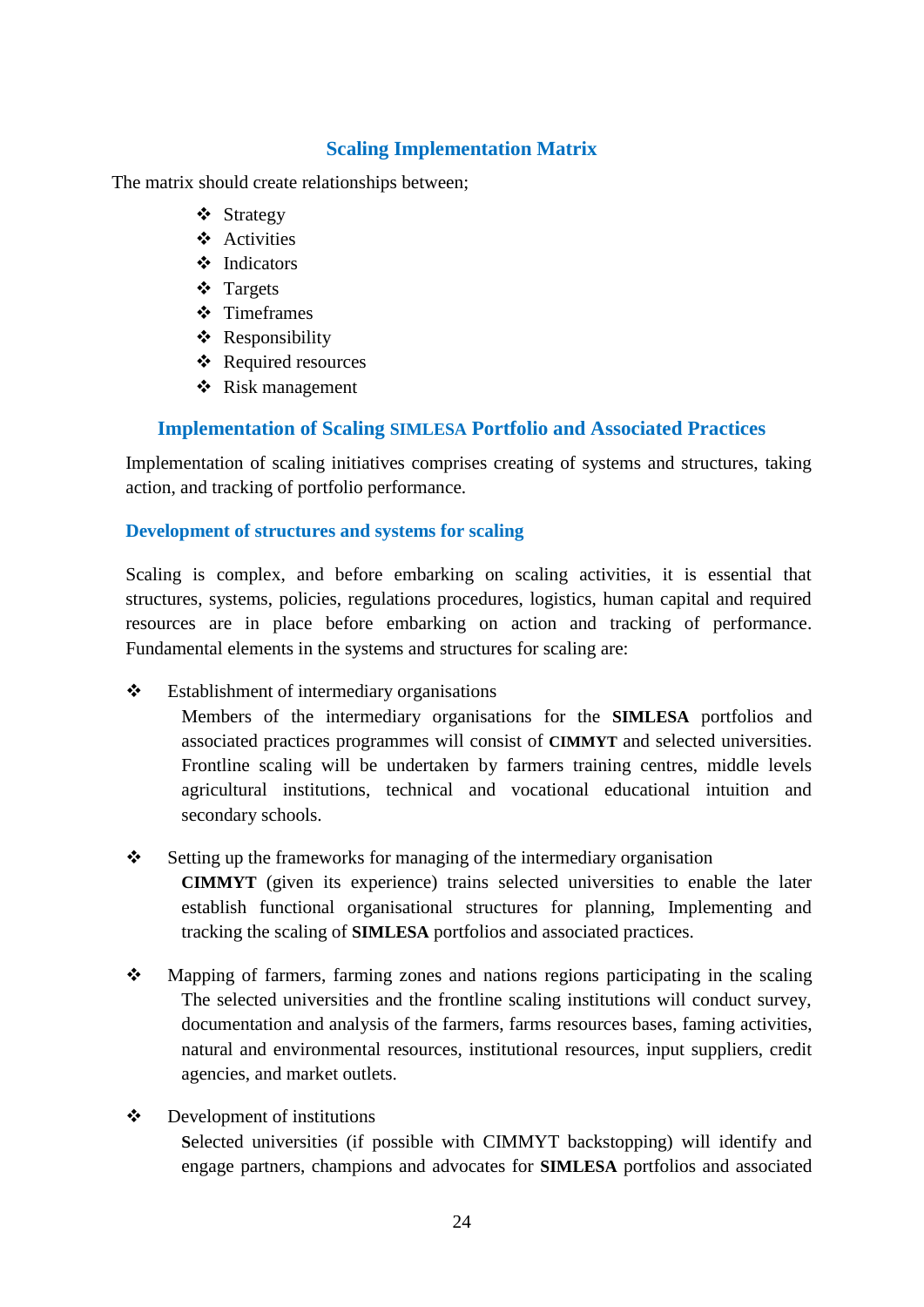## **Scaling Implementation Matrix**

The matrix should create relationships between;

- ❖ Strategy
- ❖ Activities
- ❖ Indicators
- ❖ Targets
- ❖ Timeframes
- ❖ Responsibility
- ❖ Required resources
- ❖ Risk management

## **Implementation of Scaling SIMLESA Portfolio and Associated Practices**

<span id="page-31-0"></span>Implementation of scaling initiatives comprises creating of systems and structures, taking action, and tracking of portfolio performance.

## **Development of structures and systems for scaling**

Scaling is complex, and before embarking on scaling activities, it is essential that structures, systems, policies, regulations procedures, logistics, human capital and required resources are in place before embarking on action and tracking of performance. Fundamental elements in the systems and structures for scaling are:

❖ Establishment of intermediary organisations

Members of the intermediary organisations for the **SIMLESA** portfolios and associated practices programmes will consist of **CIMMYT** and selected universities. Frontline scaling will be undertaken by farmers training centres, middle levels agricultural institutions, technical and vocational educational intuition and secondary schools.

❖ Setting up the frameworks for managing of the intermediary organisation

**CIMMYT** (given its experience) trains selected universities to enable the later establish functional organisational structures for planning, Implementing and tracking the scaling of **SIMLESA** portfolios and associated practices.

- ❖ Mapping of farmers, farming zones and nations regions participating in the scaling The selected universities and the frontline scaling institutions will conduct survey, documentation and analysis of the farmers, farms resources bases, faming activities, natural and environmental resources, institutional resources, input suppliers, credit agencies, and market outlets.
- ❖ Development of institutions **S**elected universities (if possible with CIMMYT backstopping) will identify and engage partners, champions and advocates for **SIMLESA** portfolios and associated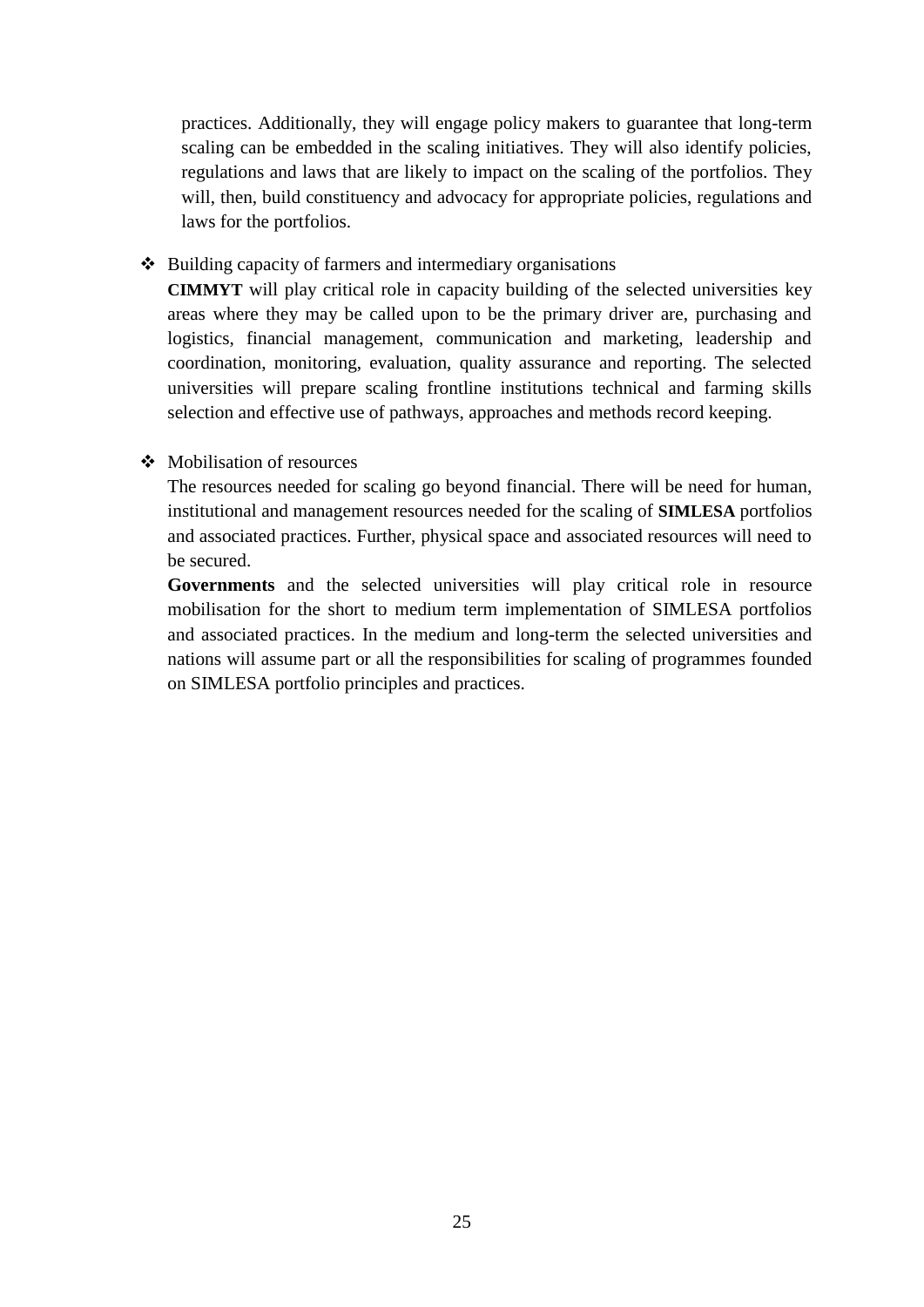practices. Additionally, they will engage policy makers to guarantee that long-term scaling can be embedded in the scaling initiatives. They will also identify policies, regulations and laws that are likely to impact on the scaling of the portfolios. They will, then, build constituency and advocacy for appropriate policies, regulations and laws for the portfolios.

❖ Building capacity of farmers and intermediary organisations

**CIMMYT** will play critical role in capacity building of the selected universities key areas where they may be called upon to be the primary driver are, purchasing and logistics, financial management, communication and marketing, leadership and coordination, monitoring, evaluation, quality assurance and reporting. The selected universities will prepare scaling frontline institutions technical and farming skills selection and effective use of pathways, approaches and methods record keeping.

## ❖ Mobilisation of resources

The resources needed for scaling go beyond financial. There will be need for human, institutional and management resources needed for the scaling of **SIMLESA** portfolios and associated practices. Further, physical space and associated resources will need to be secured.

**Governments** and the selected universities will play critical role in resource mobilisation for the short to medium term implementation of SIMLESA portfolios and associated practices. In the medium and long-term the selected universities and nations will assume part or all the responsibilities for scaling of programmes founded on SIMLESA portfolio principles and practices.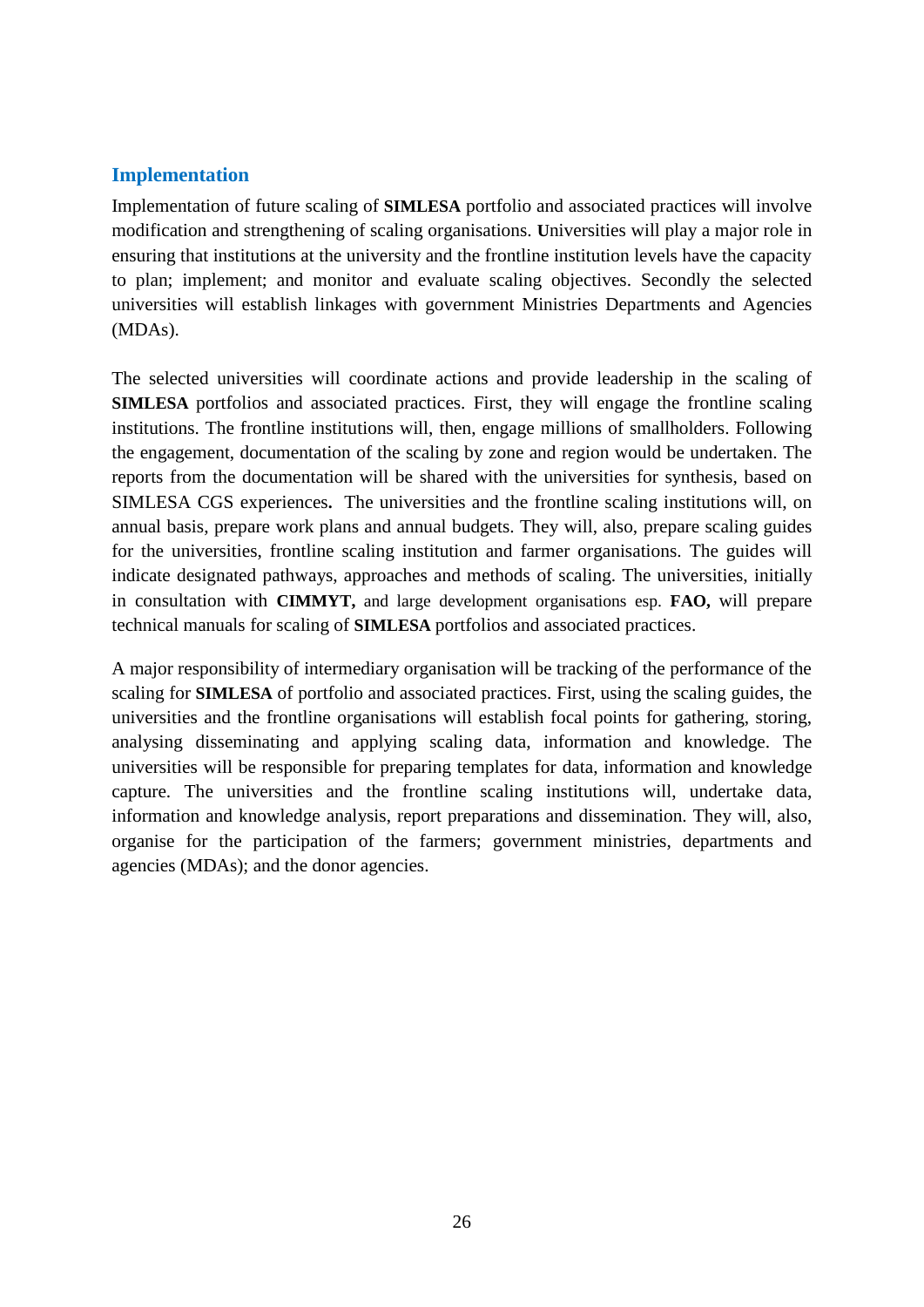## <span id="page-33-0"></span>**Implementation**

Implementation of future scaling of **SIMLESA** portfolio and associated practices will involve modification and strengthening of scaling organisations. **U**niversities will play a major role in ensuring that institutions at the university and the frontline institution levels have the capacity to plan; implement; and monitor and evaluate scaling objectives. Secondly the selected universities will establish linkages with government Ministries Departments and Agencies (MDAs).

The selected universities will coordinate actions and provide leadership in the scaling of **SIMLESA** portfolios and associated practices. First, they will engage the frontline scaling institutions. The frontline institutions will, then, engage millions of smallholders. Following the engagement, documentation of the scaling by zone and region would be undertaken. The reports from the documentation will be shared with the universities for synthesis, based on SIMLESA CGS experiences**.** The universities and the frontline scaling institutions will, on annual basis, prepare work plans and annual budgets. They will, also, prepare scaling guides for the universities, frontline scaling institution and farmer organisations. The guides will indicate designated pathways, approaches and methods of scaling. The universities, initially in consultation with **CIMMYT,** and large development organisations esp. **FAO,** will prepare technical manuals for scaling of **SIMLESA** portfolios and associated practices.

A major responsibility of intermediary organisation will be tracking of the performance of the scaling for **SIMLESA** of portfolio and associated practices. First, using the scaling guides, the universities and the frontline organisations will establish focal points for gathering, storing, analysing disseminating and applying scaling data, information and knowledge. The universities will be responsible for preparing templates for data, information and knowledge capture. The universities and the frontline scaling institutions will, undertake data, information and knowledge analysis, report preparations and dissemination. They will, also, organise for the participation of the farmers; government ministries, departments and agencies (MDAs); and the donor agencies.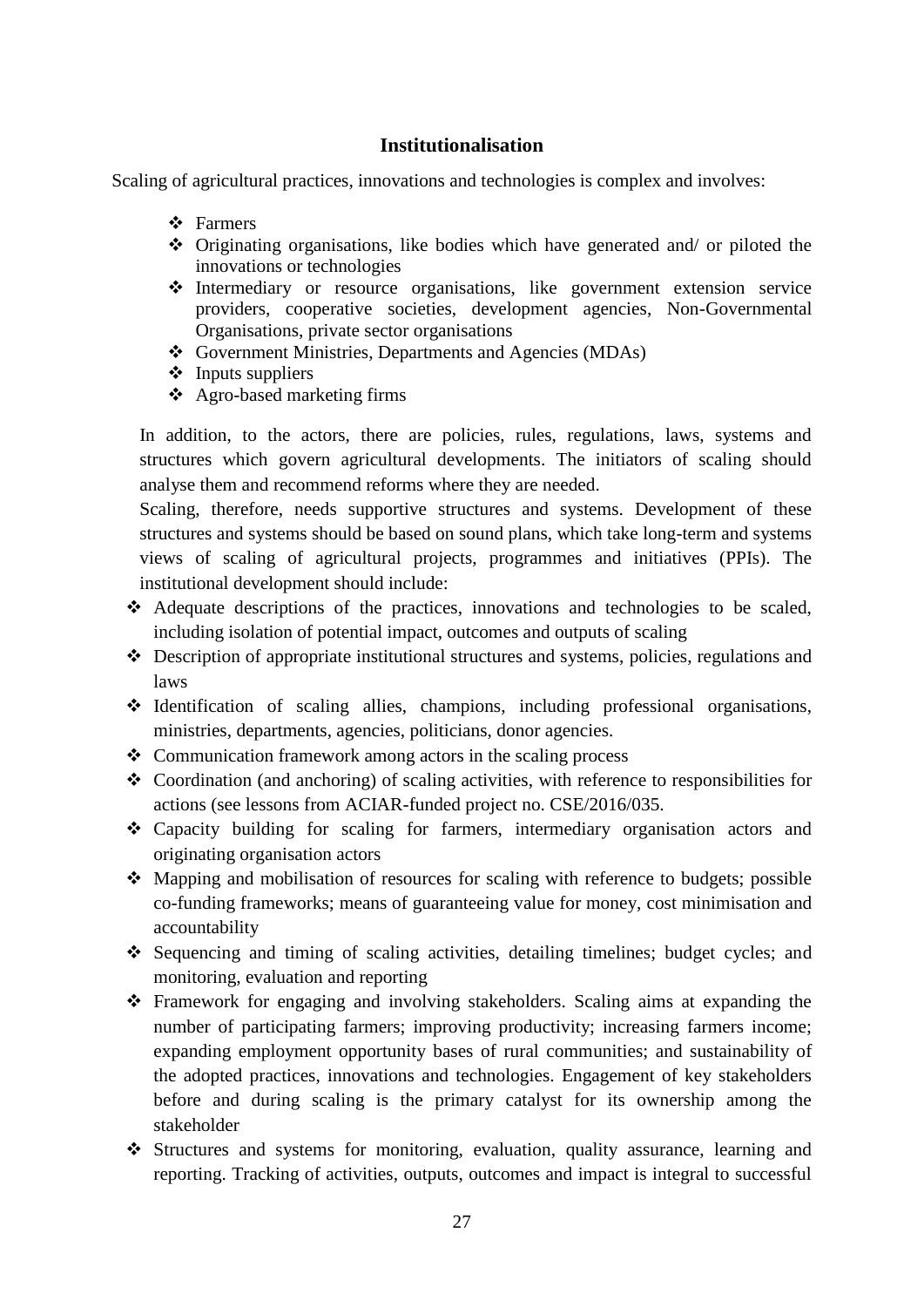## **Institutionalisation**

<span id="page-34-0"></span>Scaling of agricultural practices, innovations and technologies is complex and involves:

- ❖ Farmers
- ❖ Originating organisations, like bodies which have generated and/ or piloted the innovations or technologies
- ❖ Intermediary or resource organisations, like government extension service providers, cooperative societies, development agencies, Non-Governmental Organisations, private sector organisations
- ❖ Government Ministries, Departments and Agencies (MDAs)
- ❖ Inputs suppliers
- ❖ Agro-based marketing firms

In addition, to the actors, there are policies, rules, regulations, laws, systems and structures which govern agricultural developments. The initiators of scaling should analyse them and recommend reforms where they are needed.

Scaling, therefore, needs supportive structures and systems. Development of these structures and systems should be based on sound plans, which take long-term and systems views of scaling of agricultural projects, programmes and initiatives (PPIs). The institutional development should include:

- ❖ Adequate descriptions of the practices, innovations and technologies to be scaled, including isolation of potential impact, outcomes and outputs of scaling
- ❖ Description of appropriate institutional structures and systems, policies, regulations and laws
- ❖ Identification of scaling allies, champions, including professional organisations, ministries, departments, agencies, politicians, donor agencies.
- ❖ Communication framework among actors in the scaling process
- ❖ Coordination (and anchoring) of scaling activities, with reference to responsibilities for actions (see lessons from ACIAR-funded project no. CSE/2016/035.
- ❖ Capacity building for scaling for farmers, intermediary organisation actors and originating organisation actors
- $\div$  Mapping and mobilisation of resources for scaling with reference to budgets; possible co-funding frameworks; means of guaranteeing value for money, cost minimisation and accountability
- ❖ Sequencing and timing of scaling activities, detailing timelines; budget cycles; and monitoring, evaluation and reporting
- ❖ Framework for engaging and involving stakeholders. Scaling aims at expanding the number of participating farmers; improving productivity; increasing farmers income; expanding employment opportunity bases of rural communities; and sustainability of the adopted practices, innovations and technologies. Engagement of key stakeholders before and during scaling is the primary catalyst for its ownership among the stakeholder
- ❖ Structures and systems for monitoring, evaluation, quality assurance, learning and reporting. Tracking of activities, outputs, outcomes and impact is integral to successful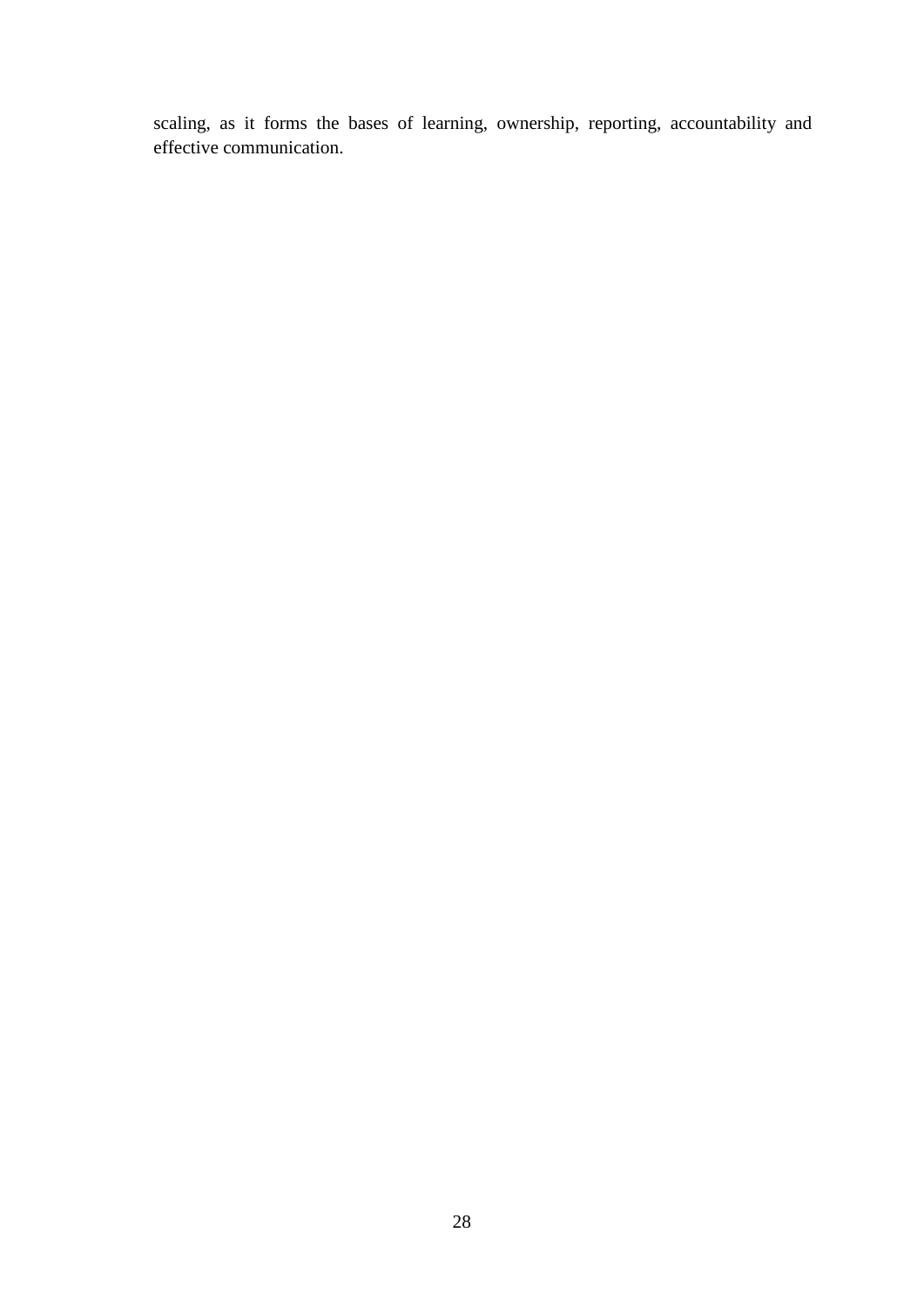scaling, as it forms the bases of learning, ownership, reporting, accountability and effective communication.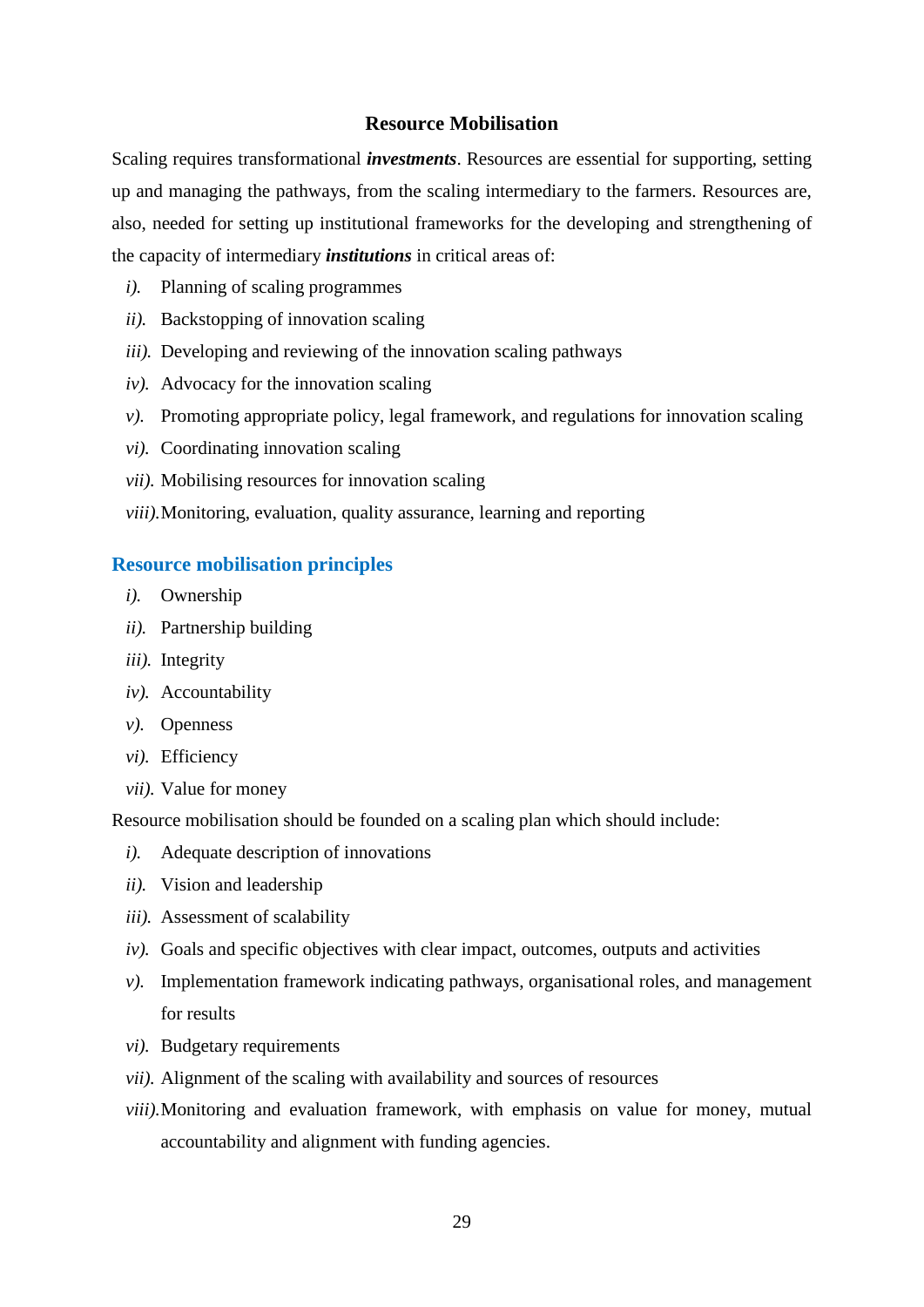#### **Resource Mobilisation**

<span id="page-36-2"></span><span id="page-36-0"></span>Scaling requires transformational *investments*. Resources are essential for supporting, setting up and managing the pathways, from the scaling intermediary to the farmers. Resources are, also, needed for setting up institutional frameworks for the developing and strengthening of the capacity of intermediary *institutions* in critical areas of:

- *i).* Planning of scaling programmes
- *ii).* Backstopping of innovation scaling
- *iii).* Developing and reviewing of the innovation scaling pathways
- *iv).* Advocacy for the innovation scaling
- *v).* Promoting appropriate policy, legal framework, and regulations for innovation scaling
- *vi).* Coordinating innovation scaling
- *vii).* Mobilising resources for innovation scaling
- *viii).*Monitoring, evaluation, quality assurance, learning and reporting

#### <span id="page-36-1"></span>**Resource mobilisation principles**

- *i).* Ownership
- *ii).* Partnership building
- *iii).* Integrity
- *iv).* Accountability
- *v).* Openness
- *vi).* Efficiency
- *vii).* Value for money

Resource mobilisation should be founded on a scaling plan which should include:

- *i).* Adequate description of innovations
- *ii).* Vision and leadership
- *iii).* Assessment of scalability
- *iv).* Goals and specific objectives with clear impact, outcomes, outputs and activities
- *v).* Implementation framework indicating pathways, organisational roles, and management for results
- *vi).* Budgetary requirements
- *vii).* Alignment of the scaling with availability and sources of resources
- *viii).*Monitoring and evaluation framework, with emphasis on value for money, mutual accountability and alignment with funding agencies.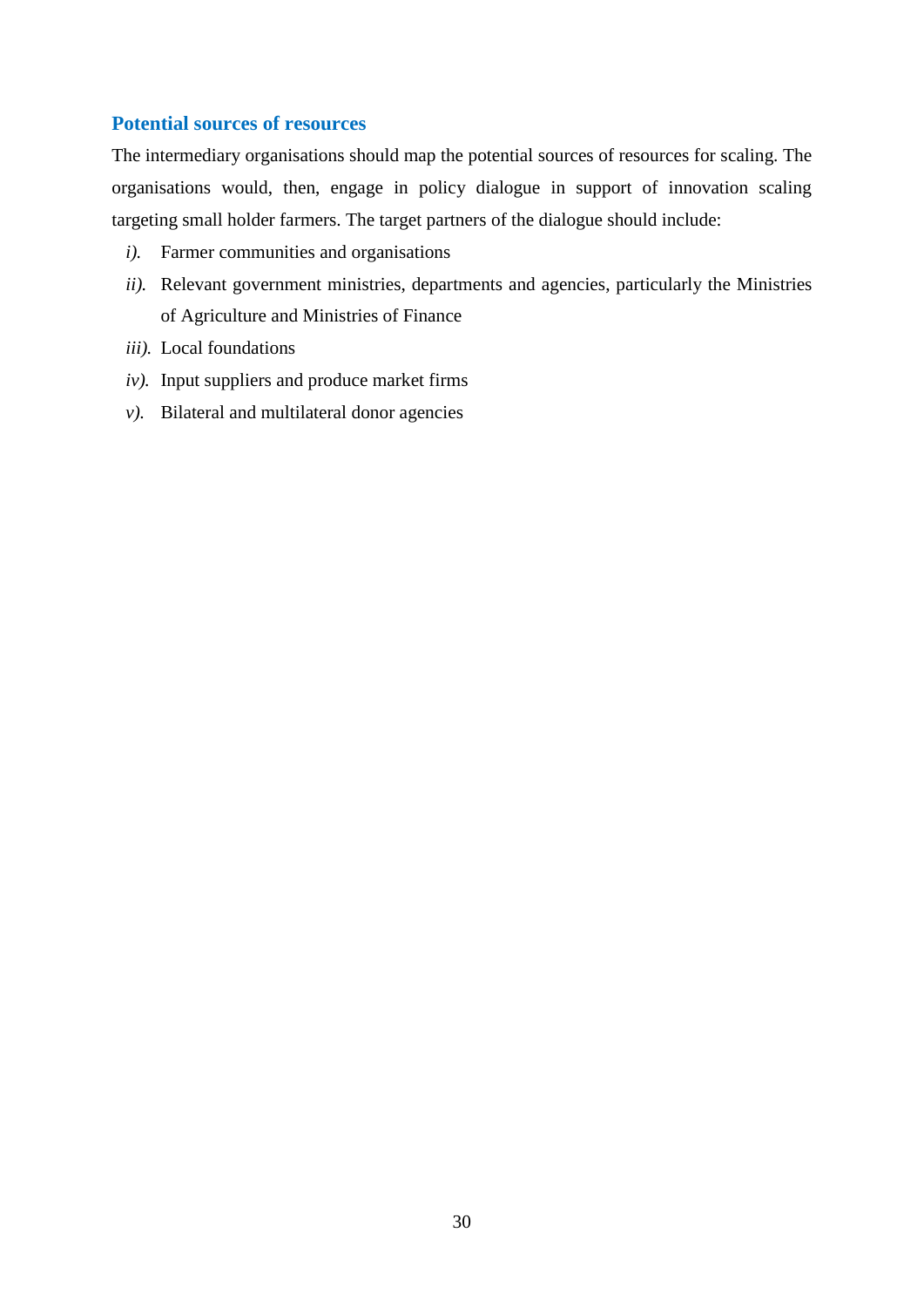## **Potential sources of resources**

The intermediary organisations should map the potential sources of resources for scaling. The organisations would, then, engage in policy dialogue in support of innovation scaling targeting small holder farmers. The target partners of the dialogue should include:

- *i).* Farmer communities and organisations
- *ii*). Relevant government ministries, departments and agencies, particularly the Ministries of Agriculture and Ministries of Finance
- *iii).* Local foundations
- *iv).* Input suppliers and produce market firms
- *v*). Bilateral and multilateral donor agencies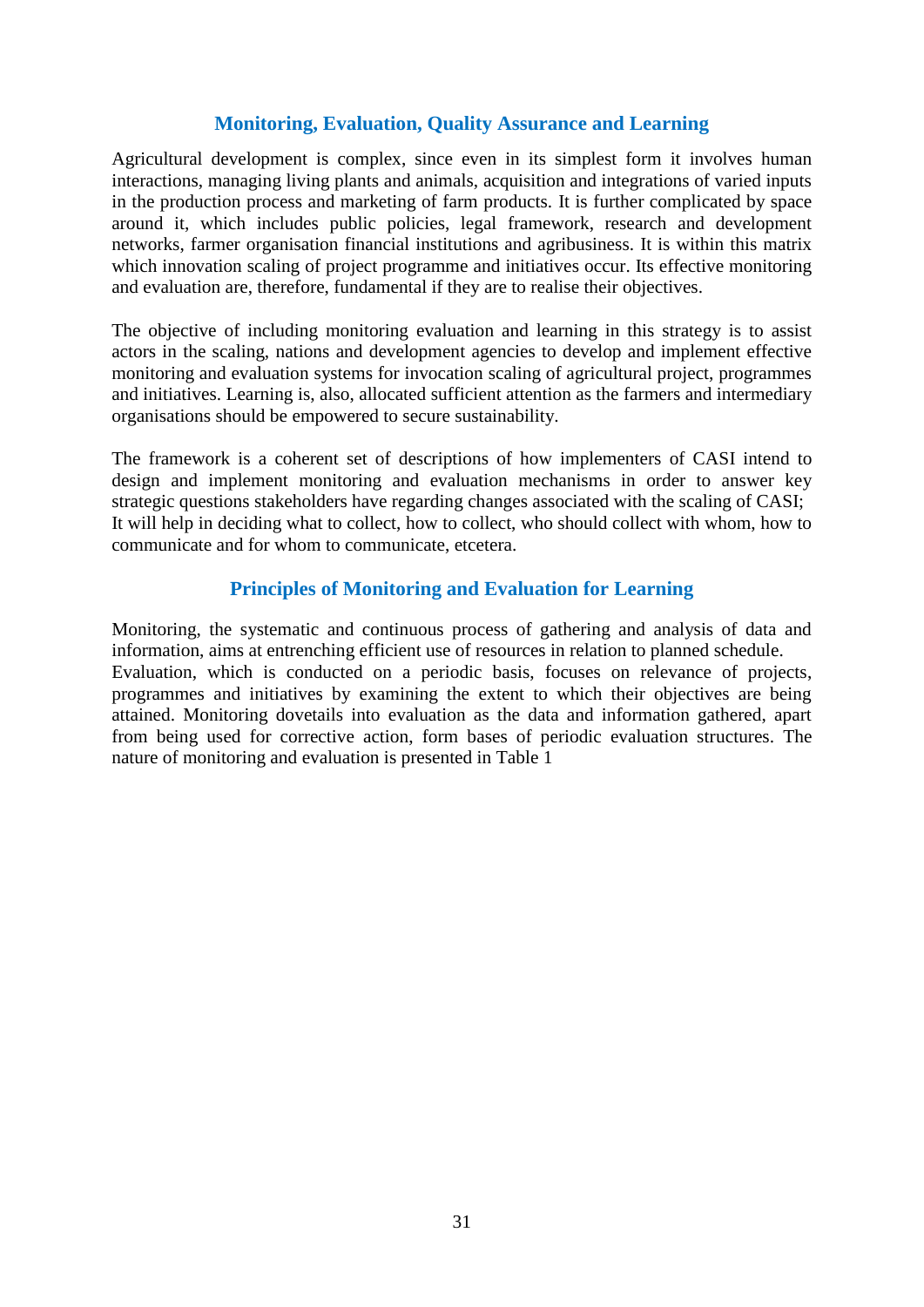## **Monitoring, Evaluation, Quality Assurance and Learning**

<span id="page-38-0"></span>Agricultural development is complex, since even in its simplest form it involves human interactions, managing living plants and animals, acquisition and integrations of varied inputs in the production process and marketing of farm products. It is further complicated by space around it, which includes public policies, legal framework, research and development networks, farmer organisation financial institutions and agribusiness. It is within this matrix which innovation scaling of project programme and initiatives occur. Its effective monitoring and evaluation are, therefore, fundamental if they are to realise their objectives.

The objective of including monitoring evaluation and learning in this strategy is to assist actors in the scaling, nations and development agencies to develop and implement effective monitoring and evaluation systems for invocation scaling of agricultural project, programmes and initiatives. Learning is, also, allocated sufficient attention as the farmers and intermediary organisations should be empowered to secure sustainability.

The framework is a coherent set of descriptions of how implementers of CASI intend to design and implement monitoring and evaluation mechanisms in order to answer key strategic questions stakeholders have regarding changes associated with the scaling of CASI; It will help in deciding what to collect, how to collect, who should collect with whom, how to communicate and for whom to communicate, etcetera.

## **Principles of Monitoring and Evaluation for Learning**

<span id="page-38-1"></span>Monitoring, the systematic and continuous process of gathering and analysis of data and information, aims at entrenching efficient use of resources in relation to planned schedule. Evaluation, which is conducted on a periodic basis, focuses on relevance of projects, programmes and initiatives by examining the extent to which their objectives are being attained. Monitoring dovetails into evaluation as the data and information gathered, apart from being used for corrective action, form bases of periodic evaluation structures. The nature of monitoring and evaluation is presented in Table 1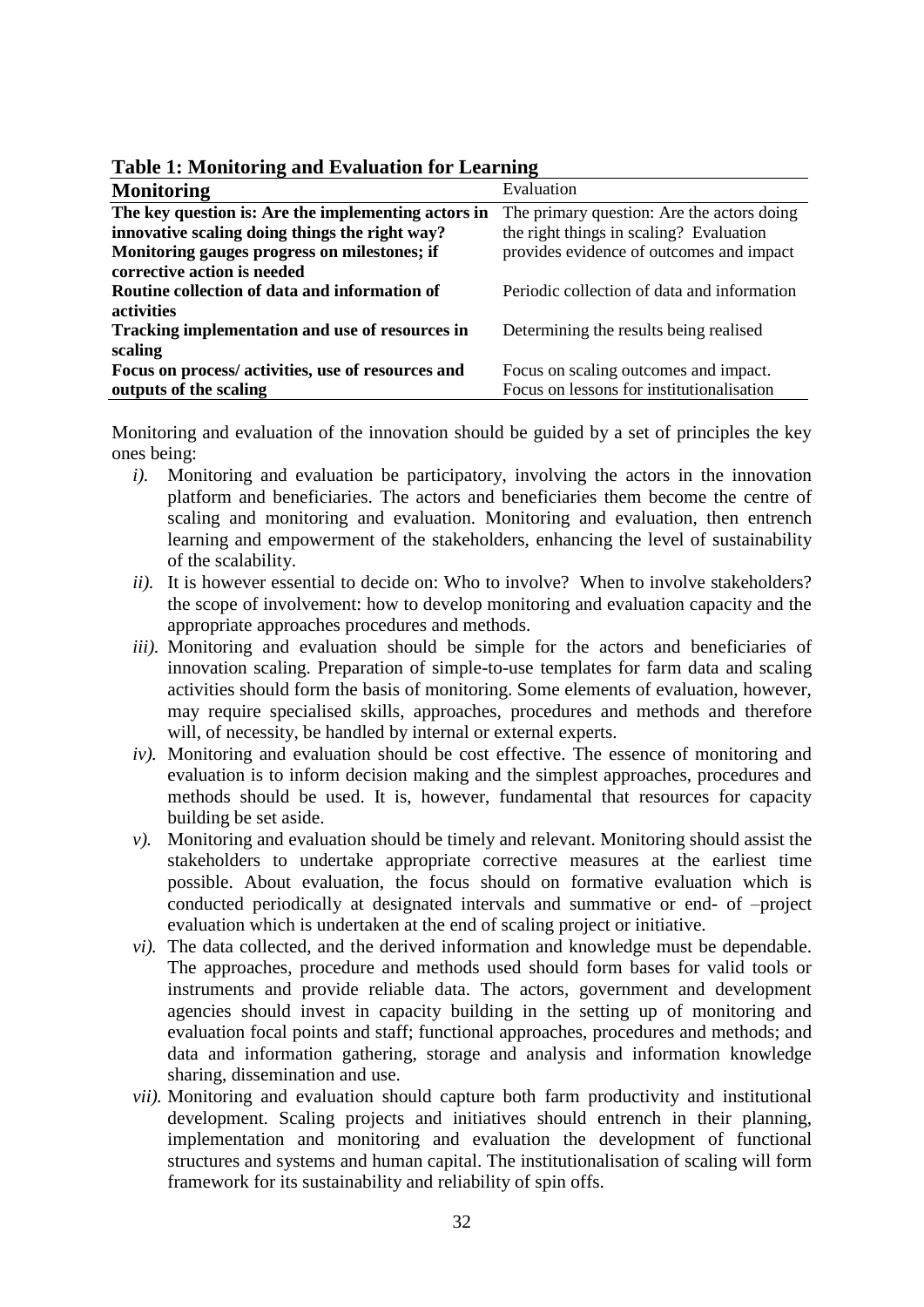| <b>Monitoring</b>                                   | Evaluation                                  |
|-----------------------------------------------------|---------------------------------------------|
| The key question is: Are the implementing actors in | The primary question: Are the actors doing  |
| innovative scaling doing things the right way?      | the right things in scaling? Evaluation     |
| Monitoring gauges progress on milestones; if        | provides evidence of outcomes and impact    |
| corrective action is needed                         |                                             |
| Routine collection of data and information of       | Periodic collection of data and information |
| <b>activities</b>                                   |                                             |
| Tracking implementation and use of resources in     | Determining the results being realised      |
| scaling                                             |                                             |
| Focus on process/ activities, use of resources and  | Focus on scaling outcomes and impact.       |
| outputs of the scaling                              | Focus on lessons for institutionalisation   |

<span id="page-39-0"></span>**Table 1: Monitoring and Evaluation for Learning**

Monitoring and evaluation of the innovation should be guided by a set of principles the key ones being:

- *i).* Monitoring and evaluation be participatory, involving the actors in the innovation platform and beneficiaries. The actors and beneficiaries them become the centre of scaling and monitoring and evaluation. Monitoring and evaluation, then entrench learning and empowerment of the stakeholders, enhancing the level of sustainability of the scalability.
- *ii*). It is however essential to decide on: Who to involve? When to involve stakeholders? the scope of involvement: how to develop monitoring and evaluation capacity and the appropriate approaches procedures and methods.
- *iii*). Monitoring and evaluation should be simple for the actors and beneficiaries of innovation scaling. Preparation of simple-to-use templates for farm data and scaling activities should form the basis of monitoring. Some elements of evaluation, however, may require specialised skills, approaches, procedures and methods and therefore will, of necessity, be handled by internal or external experts.
- *iv).* Monitoring and evaluation should be cost effective. The essence of monitoring and evaluation is to inform decision making and the simplest approaches, procedures and methods should be used. It is, however, fundamental that resources for capacity building be set aside.
- *v).* Monitoring and evaluation should be timely and relevant. Monitoring should assist the stakeholders to undertake appropriate corrective measures at the earliest time possible. About evaluation, the focus should on formative evaluation which is conducted periodically at designated intervals and summative or end- of –project evaluation which is undertaken at the end of scaling project or initiative.
- *vi).* The data collected, and the derived information and knowledge must be dependable. The approaches, procedure and methods used should form bases for valid tools or instruments and provide reliable data. The actors, government and development agencies should invest in capacity building in the setting up of monitoring and evaluation focal points and staff; functional approaches, procedures and methods; and data and information gathering, storage and analysis and information knowledge sharing, dissemination and use.
- *vii).* Monitoring and evaluation should capture both farm productivity and institutional development. Scaling projects and initiatives should entrench in their planning, implementation and monitoring and evaluation the development of functional structures and systems and human capital. The institutionalisation of scaling will form framework for its sustainability and reliability of spin offs.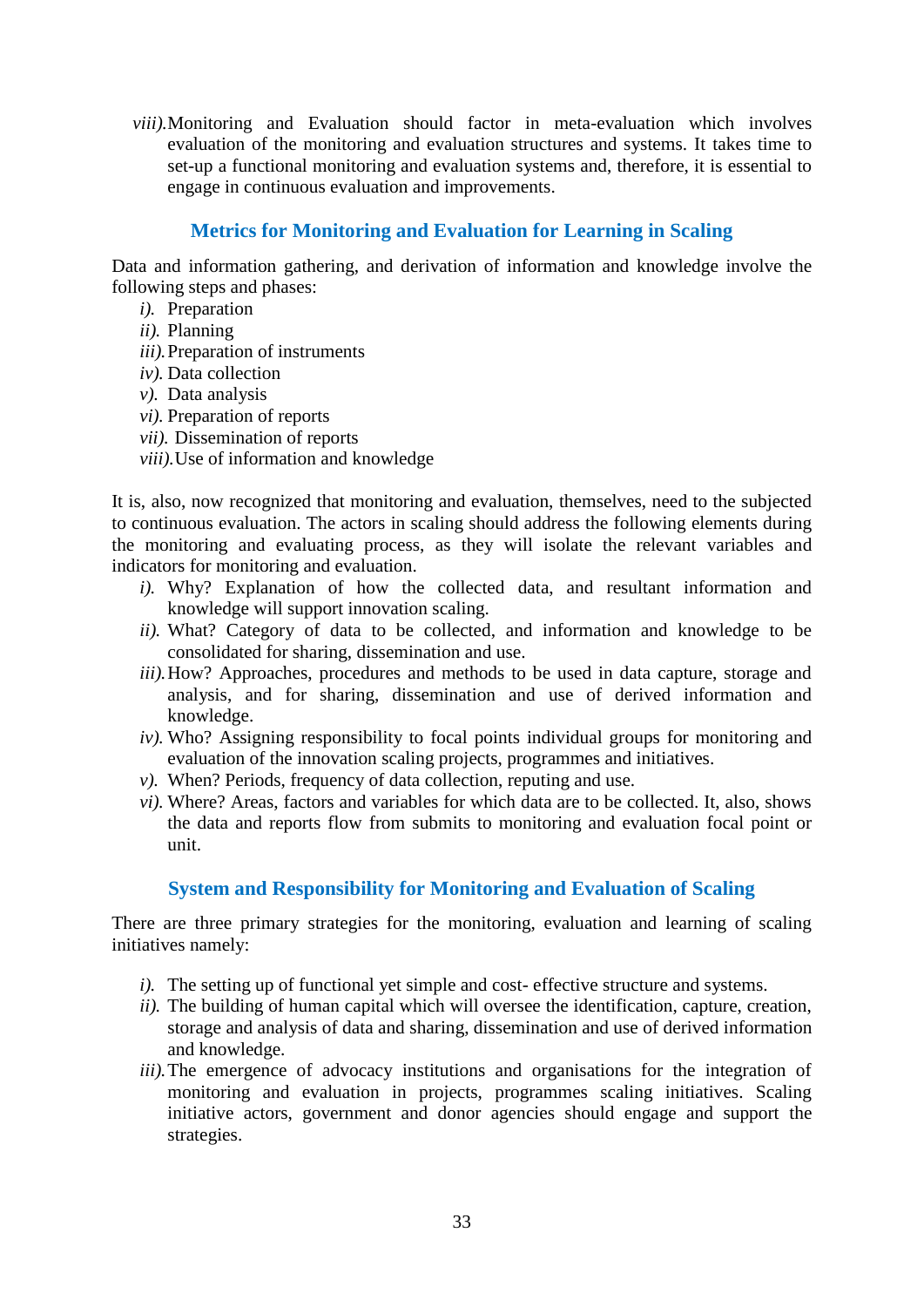*viii).*Monitoring and Evaluation should factor in meta-evaluation which involves evaluation of the monitoring and evaluation structures and systems. It takes time to set-up a functional monitoring and evaluation systems and, therefore, it is essential to engage in continuous evaluation and improvements.

## **Metrics for Monitoring and Evaluation for Learning in Scaling**

<span id="page-40-0"></span>Data and information gathering, and derivation of information and knowledge involve the following steps and phases:

- *i*). Preparation
- *ii).* Planning
- *iii).*Preparation of instruments
- *iv).* Data collection
- *v).* Data analysis
- *vi).* Preparation of reports
- *vii).* Dissemination of reports
- *viii).*Use of information and knowledge

It is, also, now recognized that monitoring and evaluation, themselves, need to the subjected to continuous evaluation. The actors in scaling should address the following elements during the monitoring and evaluating process, as they will isolate the relevant variables and indicators for monitoring and evaluation.

- *i).* Why? Explanation of how the collected data, and resultant information and knowledge will support innovation scaling.
- *ii).* What? Category of data to be collected, and information and knowledge to be consolidated for sharing, dissemination and use.
- *iii*). How? Approaches, procedures and methods to be used in data capture, storage and analysis, and for sharing, dissemination and use of derived information and knowledge.
- *iv).* Who? Assigning responsibility to focal points individual groups for monitoring and evaluation of the innovation scaling projects, programmes and initiatives.
- *v).* When? Periods, frequency of data collection, reputing and use.
- *vi).* Where? Areas, factors and variables for which data are to be collected. It, also, shows the data and reports flow from submits to monitoring and evaluation focal point or unit.

## **System and Responsibility for Monitoring and Evaluation of Scaling**

<span id="page-40-1"></span>There are three primary strategies for the monitoring, evaluation and learning of scaling initiatives namely:

- *i*). The setting up of functional yet simple and cost- effective structure and systems.
- *ii).* The building of human capital which will oversee the identification, capture, creation, storage and analysis of data and sharing, dissemination and use of derived information and knowledge.
- *iii*). The emergence of advocacy institutions and organisations for the integration of monitoring and evaluation in projects, programmes scaling initiatives. Scaling initiative actors, government and donor agencies should engage and support the strategies.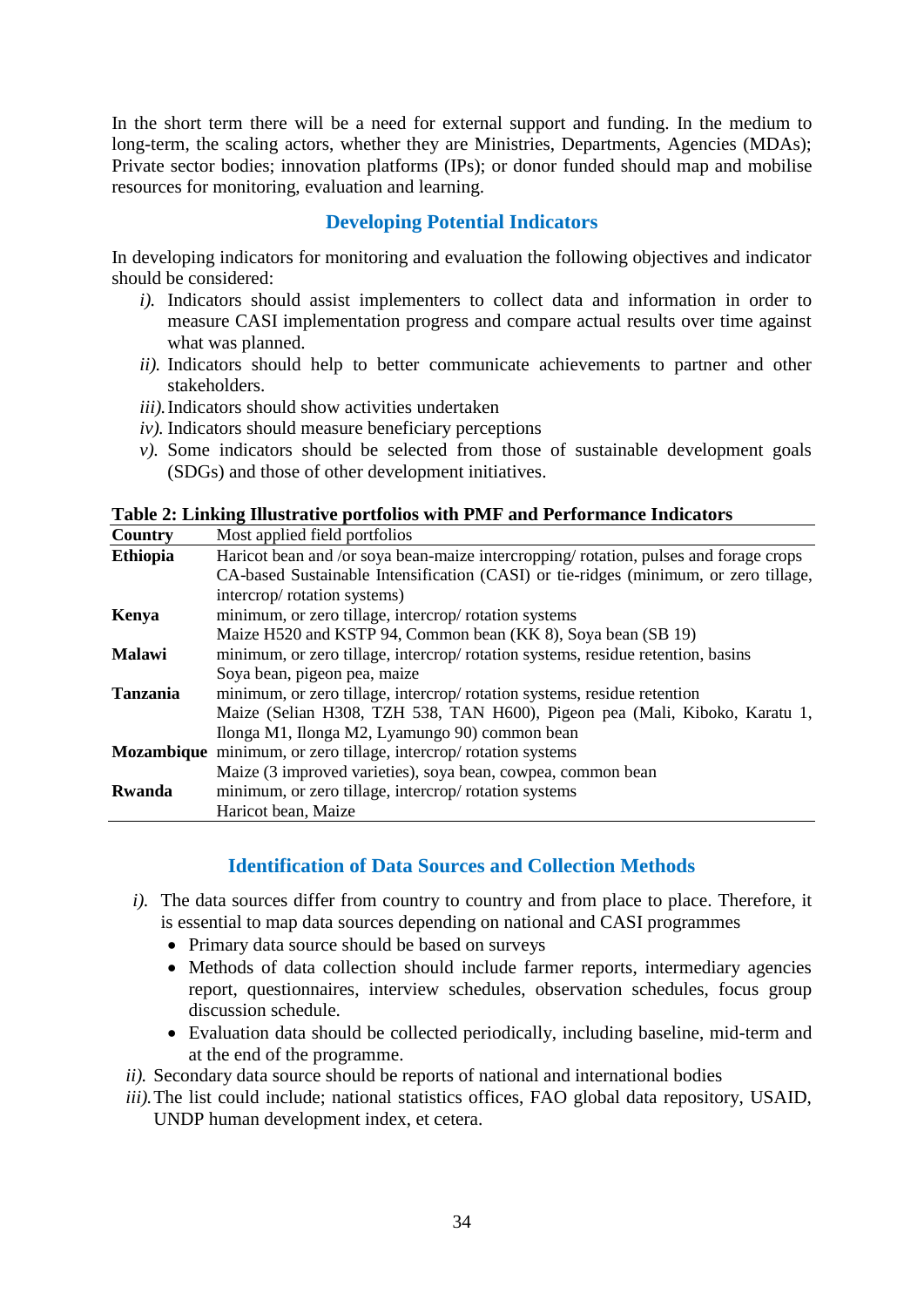<span id="page-41-2"></span>In the short term there will be a need for external support and funding. In the medium to long-term, the scaling actors, whether they are Ministries, Departments, Agencies (MDAs); Private sector bodies; innovation platforms (IPs); or donor funded should map and mobilise resources for monitoring, evaluation and learning.

## **Developing Potential Indicators**

<span id="page-41-0"></span>In developing indicators for monitoring and evaluation the following objectives and indicator should be considered:

- *i).* Indicators should assist implementers to collect data and information in order to measure CASI implementation progress and compare actual results over time against what was planned.
- *ii).* Indicators should help to better communicate achievements to partner and other stakeholders.
- *iii).*Indicators should show activities undertaken
- *iv).* Indicators should measure beneficiary perceptions
- *v*). Some indicators should be selected from those of sustainable development goals (SDGs) and those of other development initiatives.

<span id="page-41-3"></span>**Table 2: Linking Illustrative portfolios with PMF and Performance Indicators**

| Country         | Most applied field portfolios                                                         |
|-----------------|---------------------------------------------------------------------------------------|
| <b>Ethiopia</b> | Haricot bean and /or soya bean-maize intercropping/ rotation, pulses and forage crops |
|                 | CA-based Sustainable Intensification (CASI) or tie-ridges (minimum, or zero tillage,  |
|                 | intercrop/rotation systems)                                                           |
| Kenya           | minimum, or zero tillage, intercrop/rotation systems                                  |
|                 | Maize H520 and KSTP 94, Common bean (KK 8), Soya bean (SB 19)                         |
| <b>Malawi</b>   | minimum, or zero tillage, intercrop/rotation systems, residue retention, basins       |
|                 | Soya bean, pigeon pea, maize                                                          |
| <b>Tanzania</b> | minimum, or zero tillage, intercrop/rotation systems, residue retention               |
|                 | Maize (Selian H308, TZH 538, TAN H600), Pigeon pea (Mali, Kiboko, Karatu 1,           |
|                 | Ilonga M1, Ilonga M2, Lyamungo 90) common bean                                        |
|                 | <b>Mozambique</b> minimum, or zero tillage, intercrop/ rotation systems               |
|                 | Maize (3 improved varieties), soya bean, cowpea, common bean                          |
| Rwanda          | minimum, or zero tillage, intercrop/ rotation systems                                 |
|                 | Haricot bean, Maize                                                                   |

## **Identification of Data Sources and Collection Methods**

- <span id="page-41-1"></span>*i).* The data sources differ from country to country and from place to place. Therefore, it is essential to map data sources depending on national and CASI programmes
	- Primary data source should be based on surveys
	- Methods of data collection should include farmer reports, intermediary agencies report, questionnaires, interview schedules, observation schedules, focus group discussion schedule.
	- Evaluation data should be collected periodically, including baseline, mid-term and at the end of the programme.
- *ii).* Secondary data source should be reports of national and international bodies
- *iii*). The list could include; national statistics offices, FAO global data repository, USAID, UNDP human development index, et cetera.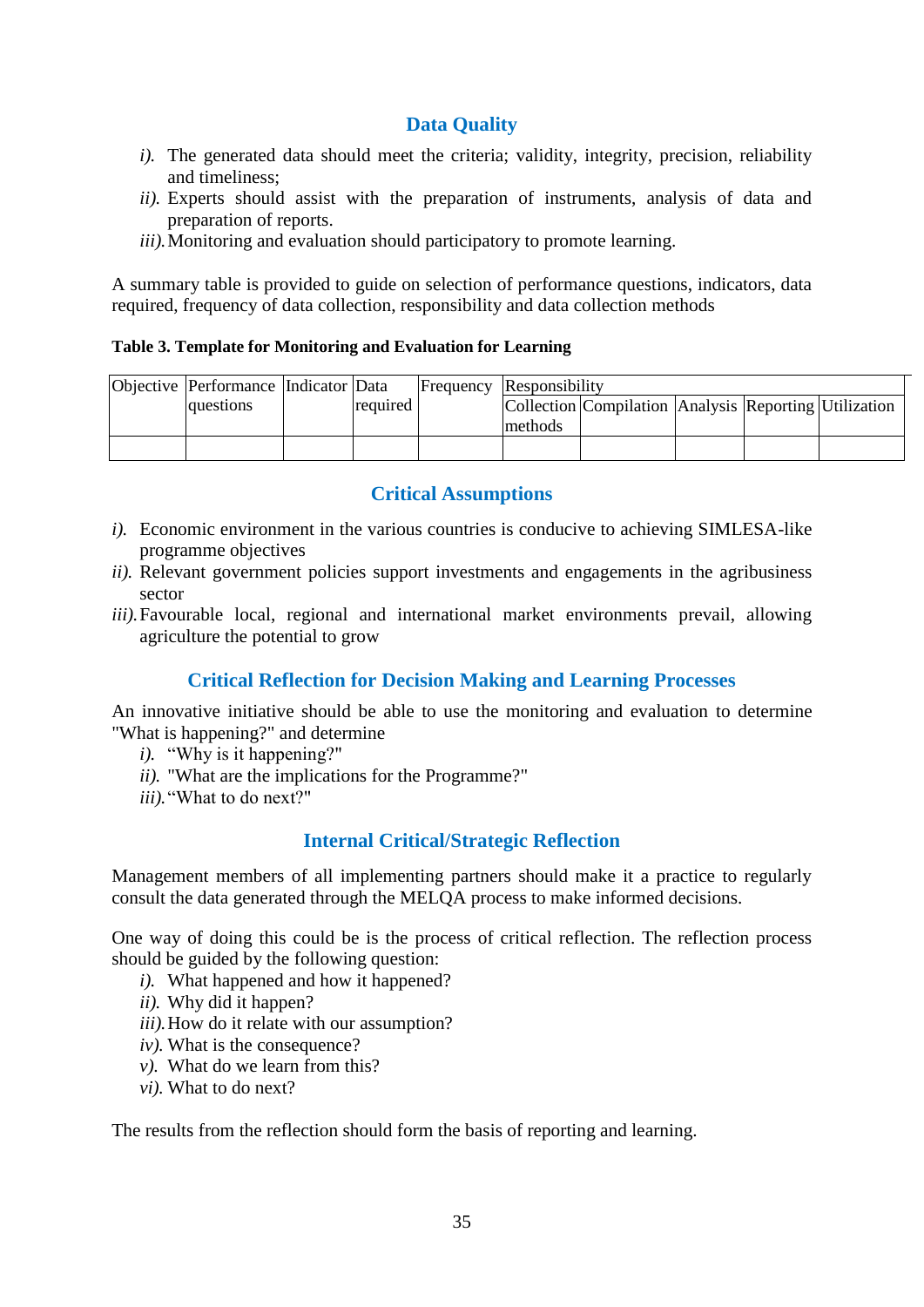## **Data Quality**

- <span id="page-42-3"></span>*i*). The generated data should meet the criteria; validity, integrity, precision, reliability and timeliness;
- *ii).* Experts should assist with the preparation of instruments, analysis of data and preparation of reports.
- *iii*). Monitoring and evaluation should participatory to promote learning.

A summary table is provided to guide on selection of performance questions, indicators, data required, frequency of data collection, responsibility and data collection methods

#### <span id="page-42-4"></span>**Table 3. Template for Monitoring and Evaluation for Learning**

| Objective Performance Indicator Data |          | <b>Frequency Responsibility</b> |                                                       |  |  |  |
|--------------------------------------|----------|---------------------------------|-------------------------------------------------------|--|--|--|
| lauestions                           | required |                                 | Collection Compilation Analysis Reporting Utilization |  |  |  |
|                                      |          | methods                         |                                                       |  |  |  |
|                                      |          |                                 |                                                       |  |  |  |

#### **Critical Assumptions**

- <span id="page-42-0"></span>*i).* Economic environment in the various countries is conducive to achieving SIMLESA-like programme objectives
- *ii).* Relevant government policies support investments and engagements in the agribusiness sector
- *iii*). Favourable local, regional and international market environments prevail, allowing agriculture the potential to grow

## **Critical Reflection for Decision Making and Learning Processes**

<span id="page-42-1"></span>An innovative initiative should be able to use the monitoring and evaluation to determine "What is happening?" and determine

- *i*). "Why is it happening?"
- *ii).* "What are the implications for the Programme?"
- *iii).*"What to do next?"

## **Internal Critical/Strategic Reflection**

<span id="page-42-2"></span>Management members of all implementing partners should make it a practice to regularly consult the data generated through the MELQA process to make informed decisions.

One way of doing this could be is the process of critical reflection. The reflection process should be guided by the following question:

- *i).* What happened and how it happened?
- *ii).* Why did it happen?
- *iii).*How do it relate with our assumption?
- *iv).* What is the consequence?
- *v).* What do we learn from this?
- *vi).* What to do next?

The results from the reflection should form the basis of reporting and learning.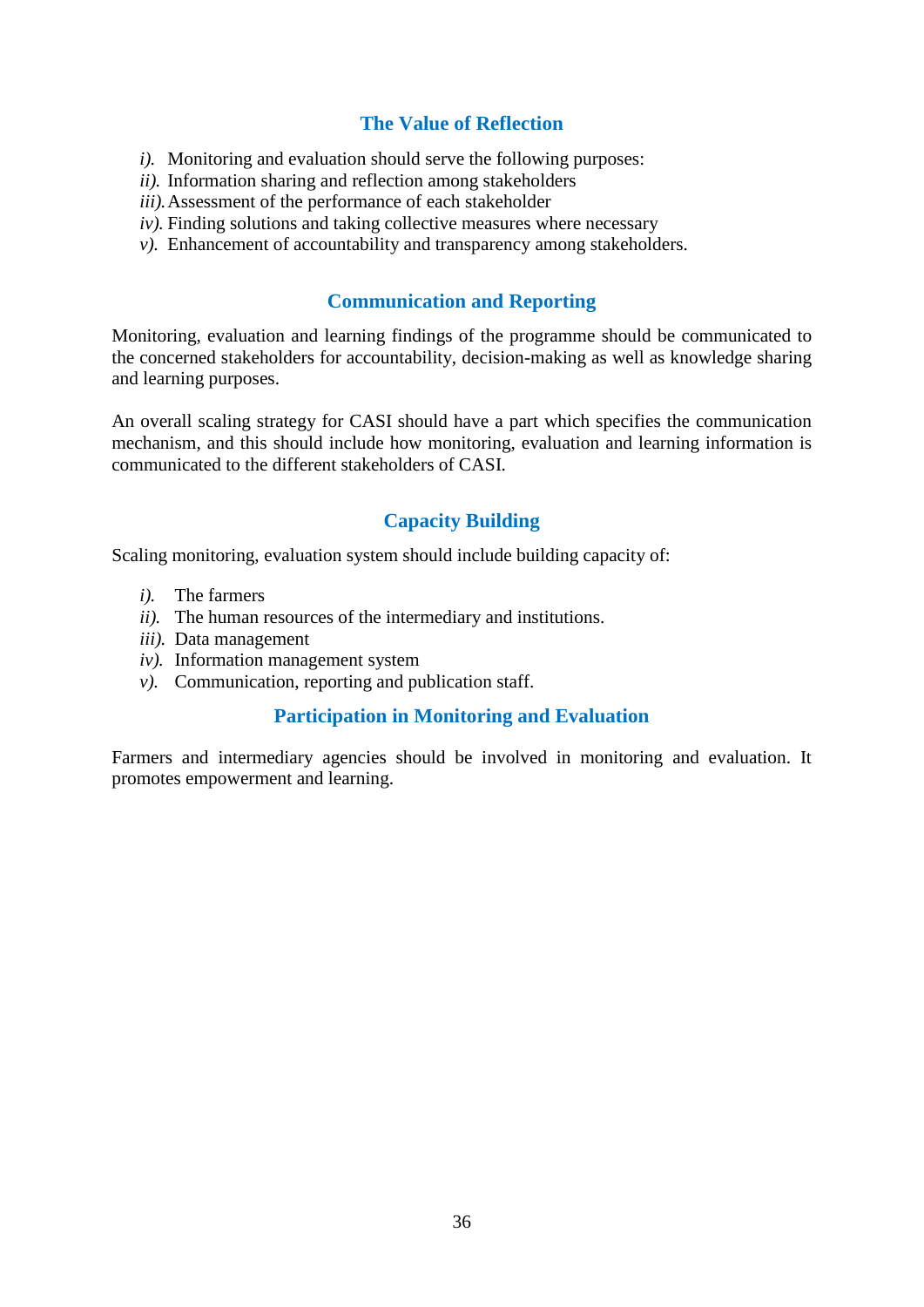## **The Value of Reflection**

- *i*). Monitoring and evaluation should serve the following purposes:
- *ii).* Information sharing and reflection among stakeholders
- *iii).*Assessment of the performance of each stakeholder
- $iv$ ). Finding solutions and taking collective measures where necessary
- *v*). Enhancement of accountability and transparency among stakeholders.

## **Communication and Reporting**

<span id="page-43-0"></span>Monitoring, evaluation and learning findings of the programme should be communicated to the concerned stakeholders for accountability, decision-making as well as knowledge sharing and learning purposes.

An overall scaling strategy for CASI should have a part which specifies the communication mechanism, and this should include how monitoring, evaluation and learning information is communicated to the different stakeholders of CASI.

## **Capacity Building**

<span id="page-43-1"></span>Scaling monitoring, evaluation system should include building capacity of:

- *i).* The farmers
- *ii).* The human resources of the intermediary and institutions.
- *iii).* Data management
- *iv).* Information management system
- <span id="page-43-2"></span>*v).* Communication, reporting and publication staff.

## **Participation in Monitoring and Evaluation**

Farmers and intermediary agencies should be involved in monitoring and evaluation. It promotes empowerment and learning.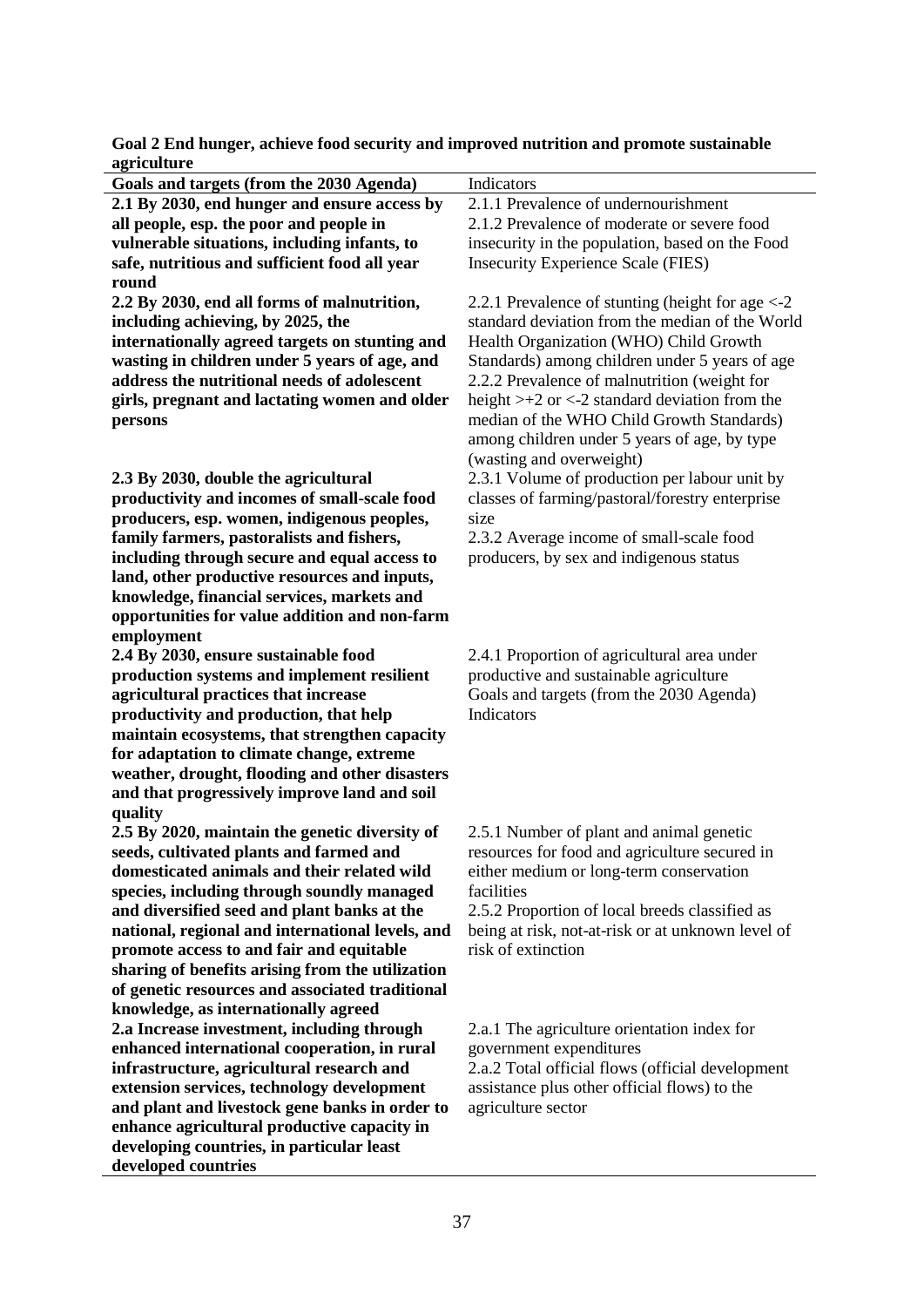| Goals and targets (from the 2030 Agenda)                                                | Indicators                                                             |
|-----------------------------------------------------------------------------------------|------------------------------------------------------------------------|
| 2.1 By 2030, end hunger and ensure access by                                            | 2.1.1 Prevalence of undernourishment                                   |
| all people, esp. the poor and people in                                                 | 2.1.2 Prevalence of moderate or severe food                            |
| vulnerable situations, including infants, to                                            | insecurity in the population, based on the Food                        |
| safe, nutritious and sufficient food all year                                           | <b>Insecurity Experience Scale (FIES)</b>                              |
| round                                                                                   |                                                                        |
| 2.2 By 2030, end all forms of malnutrition,                                             | 2.2.1 Prevalence of stunting (height for age $\langle -2 \rangle$      |
| including achieving, by 2025, the                                                       | standard deviation from the median of the World                        |
| internationally agreed targets on stunting and                                          | Health Organization (WHO) Child Growth                                 |
| wasting in children under 5 years of age, and                                           | Standards) among children under 5 years of age                         |
| address the nutritional needs of adolescent                                             | 2.2.2 Prevalence of malnutrition (weight for                           |
| girls, pregnant and lactating women and older                                           | height $>+2$ or $<-2$ standard deviation from the                      |
| persons                                                                                 | median of the WHO Child Growth Standards)                              |
|                                                                                         | among children under 5 years of age, by type                           |
|                                                                                         | (wasting and overweight)                                               |
| 2.3 By 2030, double the agricultural                                                    | 2.3.1 Volume of production per labour unit by                          |
| productivity and incomes of small-scale food                                            | classes of farming/pastoral/forestry enterprise                        |
| producers, esp. women, indigenous peoples,                                              | size                                                                   |
| family farmers, pastoralists and fishers,                                               | 2.3.2 Average income of small-scale food                               |
| including through secure and equal access to                                            | producers, by sex and indigenous status                                |
| land, other productive resources and inputs,                                            |                                                                        |
| knowledge, financial services, markets and                                              |                                                                        |
| opportunities for value addition and non-farm                                           |                                                                        |
| employment                                                                              |                                                                        |
| 2.4 By 2030, ensure sustainable food                                                    | 2.4.1 Proportion of agricultural area under                            |
| production systems and implement resilient                                              | productive and sustainable agriculture                                 |
| agricultural practices that increase                                                    | Goals and targets (from the 2030 Agenda)                               |
| productivity and production, that help                                                  | Indicators                                                             |
| maintain ecosystems, that strengthen capacity                                           |                                                                        |
| for adaptation to climate change, extreme                                               |                                                                        |
| weather, drought, flooding and other disasters                                          |                                                                        |
| and that progressively improve land and soil                                            |                                                                        |
| quality                                                                                 |                                                                        |
| 2.5 By 2020, maintain the genetic diversity of                                          | 2.5.1 Number of plant and animal genetic                               |
| seeds, cultivated plants and farmed and                                                 | resources for food and agriculture secured in                          |
| domesticated animals and their related wild                                             | either medium or long-term conservation                                |
| species, including through soundly managed                                              | facilities                                                             |
| and diversified seed and plant banks at the                                             | 2.5.2 Proportion of local breeds classified as                         |
| national, regional and international levels, and                                        | being at risk, not-at-risk or at unknown level of                      |
| promote access to and fair and equitable                                                | risk of extinction                                                     |
| sharing of benefits arising from the utilization                                        |                                                                        |
| of genetic resources and associated traditional<br>knowledge, as internationally agreed |                                                                        |
| 2.a Increase investment, including through                                              |                                                                        |
| enhanced international cooperation, in rural                                            | 2.a.1 The agriculture orientation index for<br>government expenditures |
| infrastructure, agricultural research and                                               | 2.a.2 Total official flows (official development                       |
| extension services, technology development                                              | assistance plus other official flows) to the                           |
| and plant and livestock gene banks in order to                                          | agriculture sector                                                     |
| enhance agricultural productive capacity in                                             |                                                                        |
| developing countries, in particular least                                               |                                                                        |
| developed countries                                                                     |                                                                        |

**Goal 2 End hunger, achieve food security and improved nutrition and promote sustainable agriculture**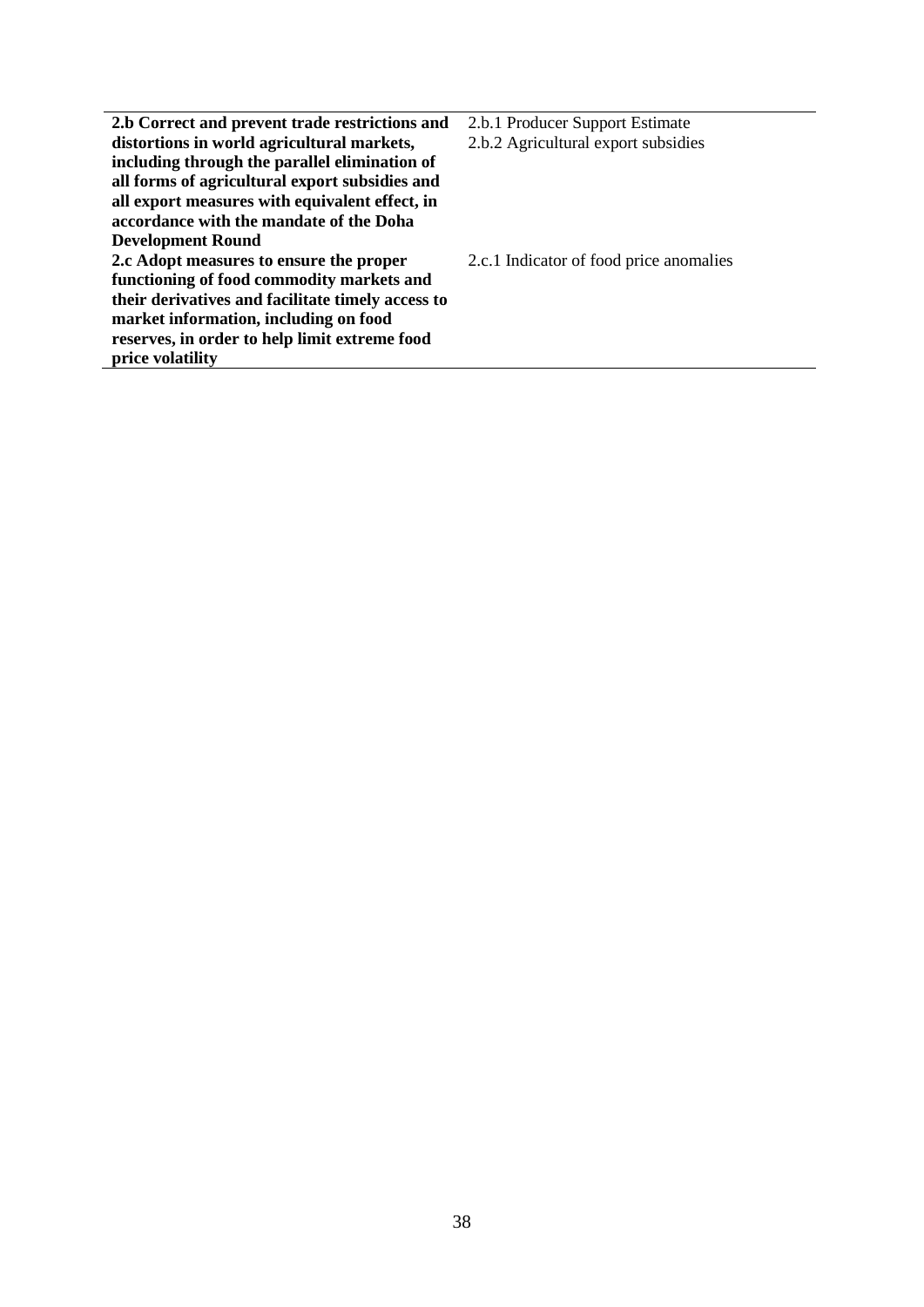| 2.b Correct and prevent trade restrictions and    | 2.b.1 Producer Support Estimate         |
|---------------------------------------------------|-----------------------------------------|
| distortions in world agricultural markets,        | 2.b.2 Agricultural export subsidies     |
| including through the parallel elimination of     |                                         |
| all forms of agricultural export subsidies and    |                                         |
| all export measures with equivalent effect, in    |                                         |
| accordance with the mandate of the Doha           |                                         |
| <b>Development Round</b>                          |                                         |
| 2.c Adopt measures to ensure the proper           | 2.c.1 Indicator of food price anomalies |
| functioning of food commodity markets and         |                                         |
| their derivatives and facilitate timely access to |                                         |
| market information, including on food             |                                         |
| reserves, in order to help limit extreme food     |                                         |
| price volatility                                  |                                         |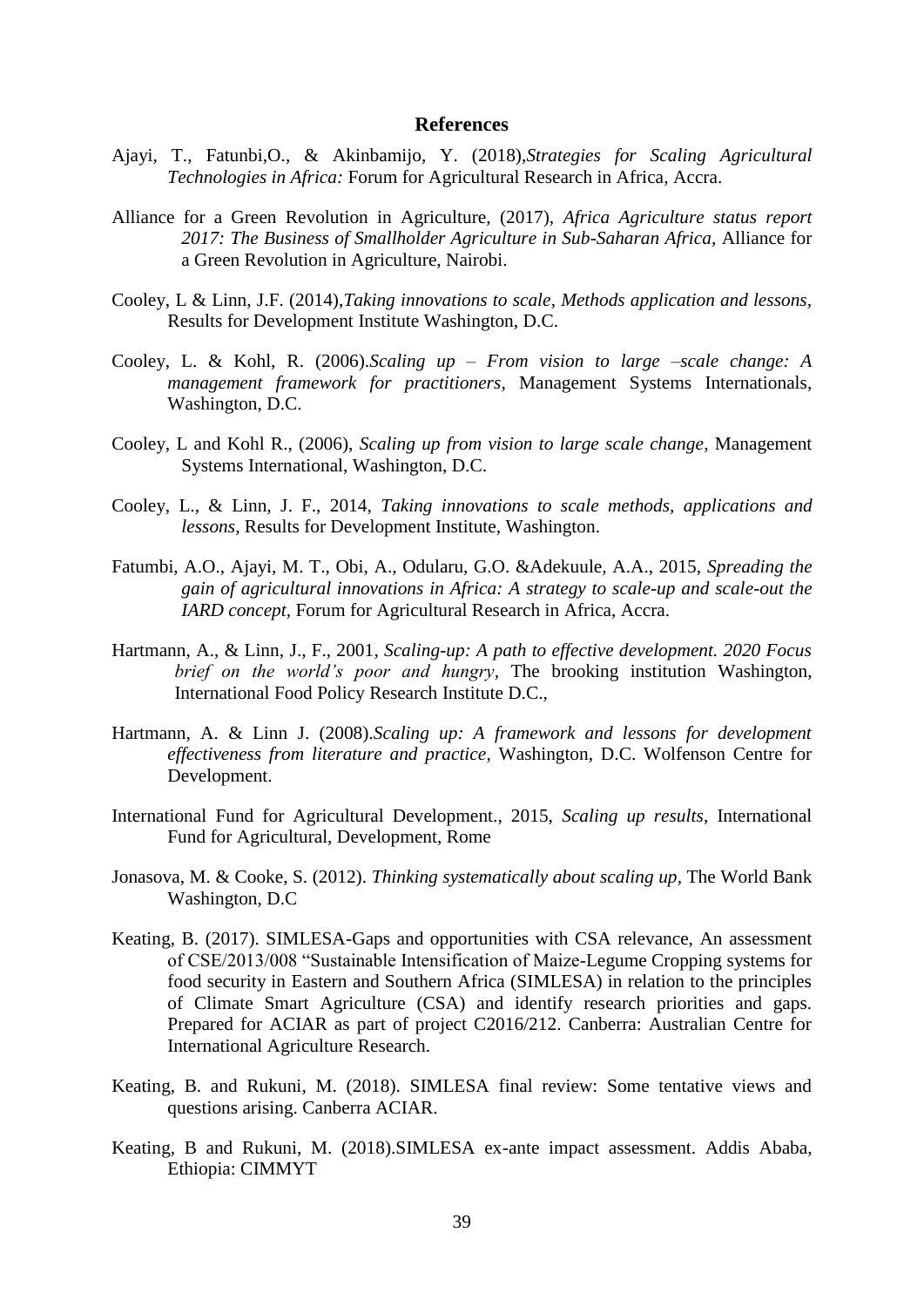#### **References**

- <span id="page-46-0"></span>Ajayi, T., Fatunbi,O., & Akinbamijo, Y. (2018),*Strategies for Scaling Agricultural Technologies in Africa:* Forum for Agricultural Research in Africa, Accra.
- Alliance for a Green Revolution in Agriculture, (2017), *Africa Agriculture status report 2017: The Business of Smallholder Agriculture in Sub-Saharan Africa,* Alliance for a Green Revolution in Agriculture, Nairobi.
- Cooley, L & Linn, J.F. (2014),*Taking innovations to scale, Methods application and lessons,* Results for Development Institute Washington, D.C.
- Cooley, L. & Kohl, R. (2006).*Scaling up – From vision to large –scale change: A management framework for practitioners,* Management Systems Internationals, Washington, D.C.
- Cooley, L and Kohl R., (2006), *Scaling up from vision to large scale change*, Management Systems International, Washington, D.C.
- Cooley, L., & Linn, J. F., 2014, *Taking innovations to scale methods, applications and lessons,* Results for Development Institute, Washington.
- Fatumbi, A.O., Ajayi, M. T., Obi, A., Odularu, G.O. &Adekuule, A.A., 2015, *Spreading the gain of agricultural innovations in Africa: A strategy to scale-up and scale-out the IARD concept,* Forum for Agricultural Research in Africa, Accra.
- Hartmann, A., & Linn, J., F., 2001*, Scaling-up: A path to effective development. 2020 Focus brief on the world's poor and hungry,* The brooking institution Washington, International Food Policy Research Institute D.C.,
- Hartmann, A. & Linn J. (2008).*Scaling up: A framework and lessons for development effectiveness from literature and practice*, Washington, D.C. Wolfenson Centre for Development.
- International Fund for Agricultural Development., 2015, *Scaling up results*, International Fund for Agricultural, Development, Rome
- Jonasova, M. & Cooke, S. (2012). *Thinking systematically about scaling up,* The World Bank Washington, D.C
- Keating, B. (2017). SIMLESA-Gaps and opportunities with CSA relevance, An assessment of CSE/2013/008 "Sustainable Intensification of Maize-Legume Cropping systems for food security in Eastern and Southern Africa (SIMLESA) in relation to the principles of Climate Smart Agriculture (CSA) and identify research priorities and gaps. Prepared for ACIAR as part of project C2016/212. Canberra: Australian Centre for International Agriculture Research.
- Keating, B. and Rukuni, M. (2018). SIMLESA final review: Some tentative views and questions arising. Canberra ACIAR.
- Keating, B and Rukuni, M. (2018).SIMLESA ex-ante impact assessment. Addis Ababa, Ethiopia: CIMMYT